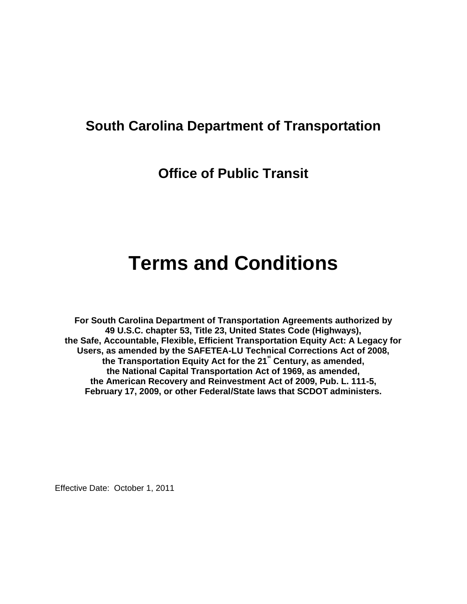# **South Carolina Department of Transportation**

**Office of Public Transit**

# **Terms and Conditions**

**For South Carolina Department of Transportation Agreements authorized by 49 U.S.C. chapter 53, Title 23, United States Code (Highways), the Safe, Accountable, Flexible, Efficient Transportation Equity Act: A Legacy for Users, as amended by the SAFETEA-LU Technical Corrections Act of 2008, the Transportation Equity Act for the 21st Century, as amended, the National Capital Transportation Act of 1969, as amended, the American Recovery and Reinvestment Act of 2009, Pub. L. 111-5, February 17, 2009, or other Federal/State laws that SCDOT administers.**

Effective Date: October 1, 2011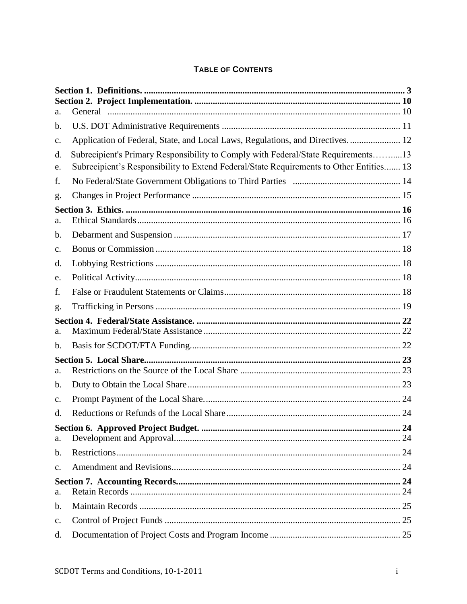# TABLE OF CONTENTS

| a.             |                                                                                         |  |
|----------------|-----------------------------------------------------------------------------------------|--|
| b.             |                                                                                         |  |
| c.             | Application of Federal, State, and Local Laws, Regulations, and Directives.  12         |  |
| d.             | Subrecipient's Primary Responsibility to Comply with Federal/State Requirements13       |  |
| e.             | Subrecipient's Responsibility to Extend Federal/State Requirements to Other Entities 13 |  |
| f.             |                                                                                         |  |
| g.             |                                                                                         |  |
|                |                                                                                         |  |
| a.             |                                                                                         |  |
| b.             |                                                                                         |  |
| $\mathbf{c}$ . |                                                                                         |  |
| d.             |                                                                                         |  |
| e.             |                                                                                         |  |
| f.             |                                                                                         |  |
| g.             |                                                                                         |  |
|                |                                                                                         |  |
| a.             |                                                                                         |  |
| b.             |                                                                                         |  |
| a.             |                                                                                         |  |
| b.             |                                                                                         |  |
| c.             |                                                                                         |  |
| d.             |                                                                                         |  |
| a.             |                                                                                         |  |
| b.             |                                                                                         |  |
| $C_{\bullet}$  |                                                                                         |  |
| a.             |                                                                                         |  |
| b.             |                                                                                         |  |
| c.             |                                                                                         |  |
| d.             |                                                                                         |  |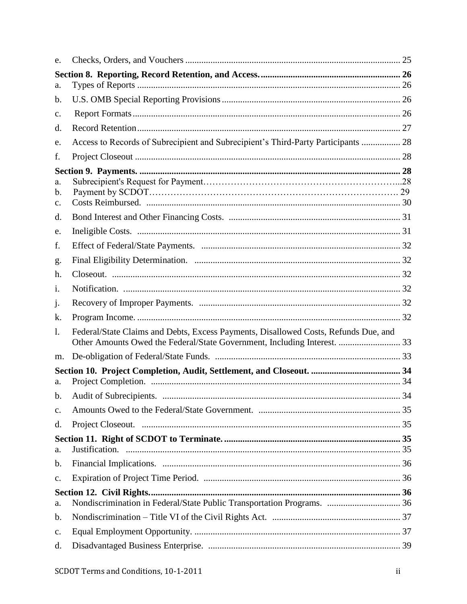| e.             |                                                                                     |  |
|----------------|-------------------------------------------------------------------------------------|--|
|                |                                                                                     |  |
| a.             |                                                                                     |  |
| b.             |                                                                                     |  |
| $\mathbf{c}$ . |                                                                                     |  |
| d.             |                                                                                     |  |
| e.             | Access to Records of Subrecipient and Subrecipient's Third-Party Participants  28   |  |
| f.             |                                                                                     |  |
|                |                                                                                     |  |
| a.             |                                                                                     |  |
| b.             |                                                                                     |  |
| $\mathbf{c}$ . |                                                                                     |  |
| d.             |                                                                                     |  |
| e.             |                                                                                     |  |
| f.             |                                                                                     |  |
| g.             |                                                                                     |  |
| h.             |                                                                                     |  |
| 1.             |                                                                                     |  |
| j.             |                                                                                     |  |
| k.             |                                                                                     |  |
| $\mathbf{l}$ . | Federal/State Claims and Debts, Excess Payments, Disallowed Costs, Refunds Due, and |  |
|                | Other Amounts Owed the Federal/State Government, Including Interest.  33            |  |
| m.             |                                                                                     |  |
|                |                                                                                     |  |
| a.             |                                                                                     |  |
|                |                                                                                     |  |
| c.             |                                                                                     |  |
| d.             |                                                                                     |  |
| a.             |                                                                                     |  |
| b.             |                                                                                     |  |
| $C_{\bullet}$  |                                                                                     |  |
|                |                                                                                     |  |
| a.             | Nondiscrimination in Federal/State Public Transportation Programs.  36              |  |
| b.             |                                                                                     |  |
| c.             |                                                                                     |  |
| d.             |                                                                                     |  |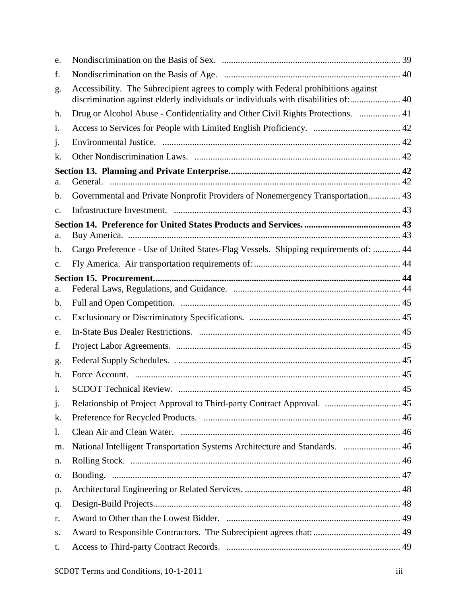| e.             |                                                                                                                                                                          |  |
|----------------|--------------------------------------------------------------------------------------------------------------------------------------------------------------------------|--|
| f.             |                                                                                                                                                                          |  |
| g.             | Accessibility. The Subrecipient agrees to comply with Federal prohibitions against<br>discrimination against elderly individuals or individuals with disabilities of: 40 |  |
| h.             | Drug or Alcohol Abuse - Confidentiality and Other Civil Rights Protections.  41                                                                                          |  |
| $\mathbf{1}$ . |                                                                                                                                                                          |  |
| j.             |                                                                                                                                                                          |  |
| k.             |                                                                                                                                                                          |  |
|                |                                                                                                                                                                          |  |
| a.             |                                                                                                                                                                          |  |
| b.             | Governmental and Private Nonprofit Providers of Nonemergency Transportation 43                                                                                           |  |
| $\mathbf{C}$ . |                                                                                                                                                                          |  |
| a.             |                                                                                                                                                                          |  |
| b.             | Cargo Preference - Use of United States-Flag Vessels. Shipping requirements of:  44                                                                                      |  |
| $\mathbf{c}$ . |                                                                                                                                                                          |  |
|                |                                                                                                                                                                          |  |
| a.             |                                                                                                                                                                          |  |
| b.             |                                                                                                                                                                          |  |
| $\mathbf{c}$ . |                                                                                                                                                                          |  |
| e.             |                                                                                                                                                                          |  |
| f.             |                                                                                                                                                                          |  |
| g.             |                                                                                                                                                                          |  |
| h.             |                                                                                                                                                                          |  |
| 1.             |                                                                                                                                                                          |  |
| j.             |                                                                                                                                                                          |  |
| k.             |                                                                                                                                                                          |  |
| 1.             |                                                                                                                                                                          |  |
| m.             | National Intelligent Transportation Systems Architecture and Standards.  46                                                                                              |  |
| n.             |                                                                                                                                                                          |  |
| 0.             |                                                                                                                                                                          |  |
| p.             |                                                                                                                                                                          |  |
| q.             |                                                                                                                                                                          |  |
| r.             |                                                                                                                                                                          |  |
| S.             |                                                                                                                                                                          |  |
| t.             |                                                                                                                                                                          |  |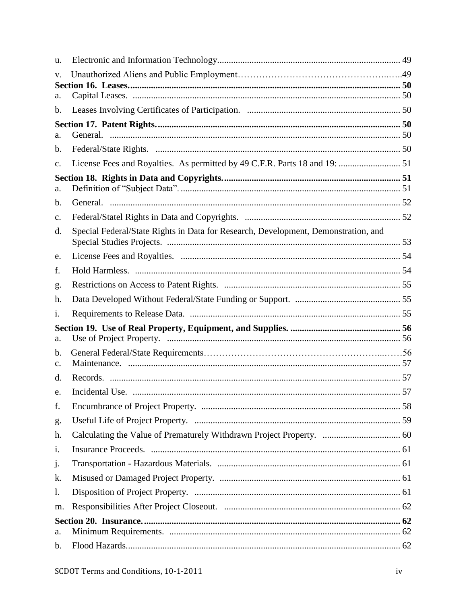| u.             |                                                                                    |  |
|----------------|------------------------------------------------------------------------------------|--|
| V.             |                                                                                    |  |
|                |                                                                                    |  |
| a.             |                                                                                    |  |
| b.             |                                                                                    |  |
| a.             |                                                                                    |  |
| b.             |                                                                                    |  |
| $\mathbf{c}$ . |                                                                                    |  |
|                |                                                                                    |  |
| a.             |                                                                                    |  |
| $\mathbf b$ .  |                                                                                    |  |
| c.             |                                                                                    |  |
| d.             | Special Federal/State Rights in Data for Research, Development, Demonstration, and |  |
| e.             |                                                                                    |  |
| f.             |                                                                                    |  |
| g.             |                                                                                    |  |
| h.             |                                                                                    |  |
| i.             |                                                                                    |  |
|                |                                                                                    |  |
| a.             |                                                                                    |  |
| b.<br>c.       |                                                                                    |  |
| d.             |                                                                                    |  |
| e.             |                                                                                    |  |
| f.             |                                                                                    |  |
| g.             |                                                                                    |  |
| h.             |                                                                                    |  |
| i.             |                                                                                    |  |
| j.             |                                                                                    |  |
| k.             |                                                                                    |  |
| 1.             |                                                                                    |  |
| m.             |                                                                                    |  |
|                |                                                                                    |  |
| a.             |                                                                                    |  |
| b.             |                                                                                    |  |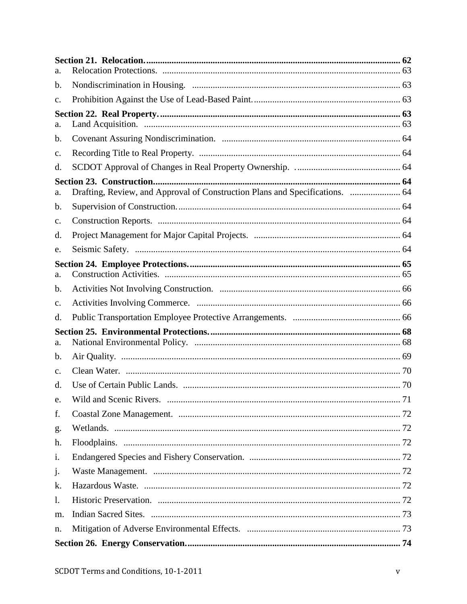| a.             |                                                                              |  |
|----------------|------------------------------------------------------------------------------|--|
| b.             |                                                                              |  |
| c.             |                                                                              |  |
|                |                                                                              |  |
| a.             |                                                                              |  |
| b.             |                                                                              |  |
| c.             |                                                                              |  |
| d.             |                                                                              |  |
|                |                                                                              |  |
| a.             | Drafting, Review, and Approval of Construction Plans and Specifications.  64 |  |
| b.             |                                                                              |  |
| c.             |                                                                              |  |
| d.             |                                                                              |  |
| e.             |                                                                              |  |
|                |                                                                              |  |
| a.             |                                                                              |  |
| b.             |                                                                              |  |
| c.             |                                                                              |  |
| d.             |                                                                              |  |
| a.             |                                                                              |  |
| b.             |                                                                              |  |
|                |                                                                              |  |
| $\mathbf{c}$ . |                                                                              |  |
| d.             |                                                                              |  |
| e.             |                                                                              |  |
| f.             |                                                                              |  |
| g.             |                                                                              |  |
| h.             |                                                                              |  |
| i.             |                                                                              |  |
| j.             |                                                                              |  |
| k.             |                                                                              |  |
| $\mathbf{1}$ . |                                                                              |  |
| m.             |                                                                              |  |
| n.             |                                                                              |  |
|                |                                                                              |  |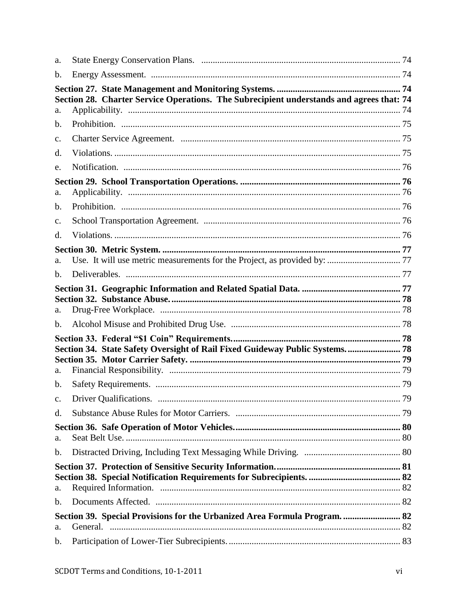| a.             |                                                                                          |  |
|----------------|------------------------------------------------------------------------------------------|--|
| $\mathbf b$ .  |                                                                                          |  |
| a.             | Section 28. Charter Service Operations. The Subrecipient understands and agrees that: 74 |  |
| b.             |                                                                                          |  |
| c.             |                                                                                          |  |
| d.             |                                                                                          |  |
| e.             |                                                                                          |  |
| a.             |                                                                                          |  |
| b.             |                                                                                          |  |
| c.             |                                                                                          |  |
| d.             |                                                                                          |  |
|                |                                                                                          |  |
| a.             |                                                                                          |  |
| $\mathbf{b}$ . |                                                                                          |  |
|                |                                                                                          |  |
| a.             |                                                                                          |  |
| b.             |                                                                                          |  |
| a.             | Section 34. State Safety Oversight of Rail Fixed Guideway Public Systems 78              |  |
| b.             |                                                                                          |  |
| c.             |                                                                                          |  |
| d.             |                                                                                          |  |
| a.             |                                                                                          |  |
| b.             |                                                                                          |  |
| a.             |                                                                                          |  |
| b.             |                                                                                          |  |
| a.             | Section 39. Special Provisions for the Urbanized Area Formula Program.  82               |  |
| b.             |                                                                                          |  |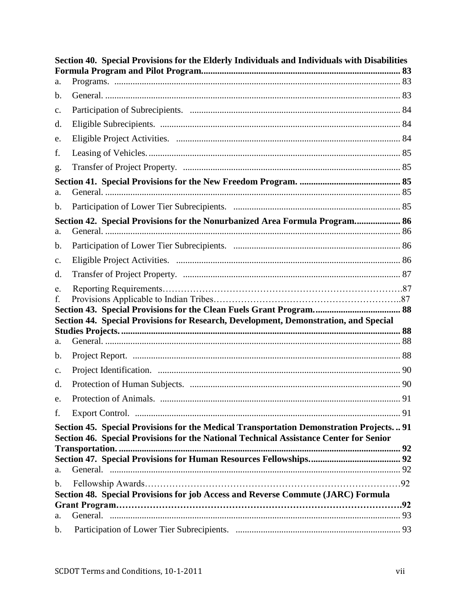|                     | Section 40. Special Provisions for the Elderly Individuals and Individuals with Disabilities |  |
|---------------------|----------------------------------------------------------------------------------------------|--|
| a.                  |                                                                                              |  |
| b.                  |                                                                                              |  |
| c.                  |                                                                                              |  |
| d.                  |                                                                                              |  |
| e.                  |                                                                                              |  |
| f.                  |                                                                                              |  |
| g.                  |                                                                                              |  |
| a.                  |                                                                                              |  |
| b.                  |                                                                                              |  |
| a.                  | Section 42. Special Provisions for the Nonurbanized Area Formula Program 86                  |  |
| b.                  |                                                                                              |  |
| c.                  |                                                                                              |  |
| d.                  |                                                                                              |  |
| e.                  |                                                                                              |  |
| f.                  |                                                                                              |  |
|                     | Section 44. Special Provisions for Research, Development, Demonstration, and Special         |  |
|                     |                                                                                              |  |
| a.                  |                                                                                              |  |
| b.                  |                                                                                              |  |
| $C_{\bullet}$<br>d. |                                                                                              |  |
| e.                  |                                                                                              |  |
| f.                  |                                                                                              |  |
|                     | Section 45. Special Provisions for the Medical Transportation Demonstration Projects 91      |  |
|                     | Section 46. Special Provisions for the National Technical Assistance Center for Senior       |  |
|                     |                                                                                              |  |
| a.                  |                                                                                              |  |
| $\mathbf b$ .       |                                                                                              |  |
|                     | Section 48. Special Provisions for job Access and Reverse Commute (JARC) Formula             |  |
| a.                  |                                                                                              |  |
| b.                  |                                                                                              |  |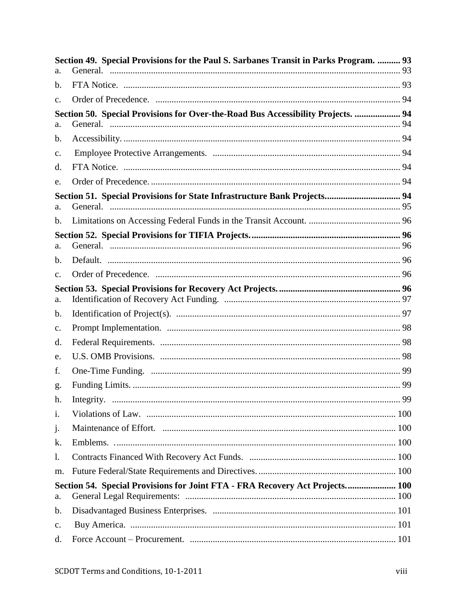|                | Section 49. Special Provisions for the Paul S. Sarbanes Transit in Parks Program.  93 |  |
|----------------|---------------------------------------------------------------------------------------|--|
| a.             |                                                                                       |  |
| b.             |                                                                                       |  |
| $\mathbf{C}$ . |                                                                                       |  |
|                | Section 50. Special Provisions for Over-the-Road Bus Accessibility Projects.  94      |  |
| a.             |                                                                                       |  |
| b.             |                                                                                       |  |
| $\mathbf{c}$ . |                                                                                       |  |
| d.             |                                                                                       |  |
| e.             |                                                                                       |  |
| a.             | Section 51. Special Provisions for State Infrastructure Bank Projects 94              |  |
| b.             |                                                                                       |  |
|                |                                                                                       |  |
| a.             |                                                                                       |  |
| b.             |                                                                                       |  |
| c.             |                                                                                       |  |
| a.             |                                                                                       |  |
| b.             |                                                                                       |  |
| c.             |                                                                                       |  |
| d.             |                                                                                       |  |
| e.             |                                                                                       |  |
| f.             |                                                                                       |  |
| g.             |                                                                                       |  |
| h.             |                                                                                       |  |
| i.             |                                                                                       |  |
| j.             |                                                                                       |  |
| k.             |                                                                                       |  |
| 1.             |                                                                                       |  |
| m.             |                                                                                       |  |
|                | Section 54. Special Provisions for Joint FTA - FRA Recovery Act Projects 100          |  |
| a.             |                                                                                       |  |
| $\mathbf b$ .  |                                                                                       |  |
| c.             |                                                                                       |  |
| d.             |                                                                                       |  |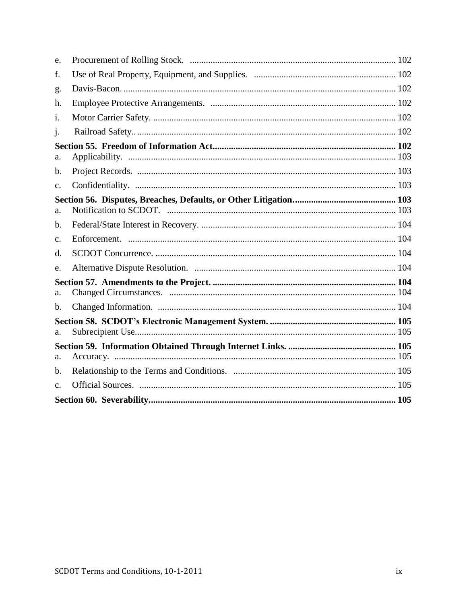| e.             |  |  |  |
|----------------|--|--|--|
| f.             |  |  |  |
| g.             |  |  |  |
| h.             |  |  |  |
| i.             |  |  |  |
| J <sub>1</sub> |  |  |  |
| a.             |  |  |  |
| b.             |  |  |  |
| c.             |  |  |  |
|                |  |  |  |
| a.             |  |  |  |
| $\mathbf{b}$ . |  |  |  |
| c.             |  |  |  |
| d.             |  |  |  |
| e.             |  |  |  |
| a.             |  |  |  |
| $\mathbf b$ .  |  |  |  |
| a.             |  |  |  |
|                |  |  |  |
| a.             |  |  |  |
| $\mathbf b$ .  |  |  |  |
| $\mathbf{C}$ . |  |  |  |
|                |  |  |  |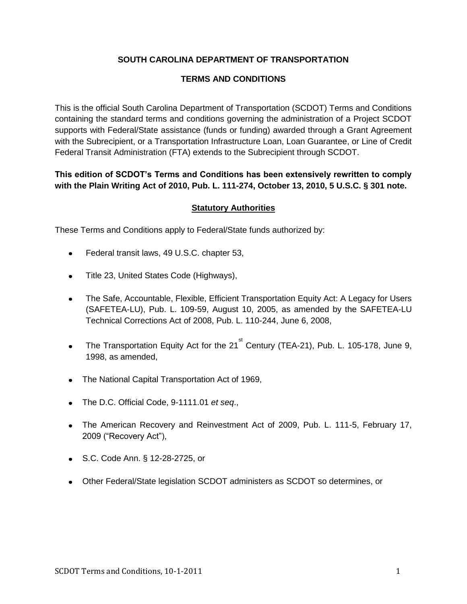## **SOUTH CAROLINA DEPARTMENT OF TRANSPORTATION**

#### **TERMS AND CONDITIONS**

This is the official South Carolina Department of Transportation (SCDOT) Terms and Conditions containing the standard terms and conditions governing the administration of a Project SCDOT supports with Federal/State assistance (funds or funding) awarded through a Grant Agreement with the Subrecipient, or a Transportation Infrastructure Loan, Loan Guarantee, or Line of Credit Federal Transit Administration (FTA) extends to the Subrecipient through SCDOT.

## **This edition of SCDOT's Terms and Conditions has been extensively rewritten to comply with the Plain Writing Act of 2010, Pub. L. 111-274, October 13, 2010, 5 U.S.C. § 301 note.**

#### **Statutory Authorities**

These Terms and Conditions apply to Federal/State funds authorized by:

- Federal transit laws, 49 U.S.C. chapter 53,  $\bullet$
- Title 23, United States Code (Highways),  $\bullet$
- The Safe, Accountable, Flexible, Efficient Transportation Equity Act: A Legacy for Users  $\bullet$ (SAFETEA-LU), Pub. L. 109-59, August 10, 2005, as amended by the SAFETEA-LU Technical Corrections Act of 2008, Pub. L. 110-244, June 6, 2008,
- The Transportation Equity Act for the 21<sup>st</sup> Century (TEA-21), Pub. L. 105-178, June 9,  $\bullet$ 1998, as amended,
- The National Capital Transportation Act of 1969,
- The D.C. Official Code, 9-1111.01 *et seq*.,
- The American Recovery and Reinvestment Act of 2009, Pub. L. 111-5, February 17, 2009 ("Recovery Act"),
- S.C. Code Ann. § 12-28-2725, or
- Other Federal/State legislation SCDOT administers as SCDOT so determines, or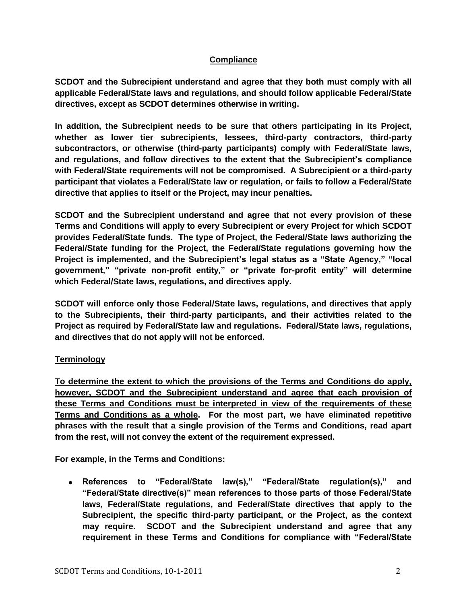#### **Compliance**

**SCDOT and the Subrecipient understand and agree that they both must comply with all applicable Federal/State laws and regulations, and should follow applicable Federal/State directives, except as SCDOT determines otherwise in writing.** 

**In addition, the Subrecipient needs to be sure that others participating in its Project, whether as lower tier subrecipients, lessees, third-party contractors, third-party subcontractors, or otherwise (third-party participants) comply with Federal/State laws, and regulations, and follow directives to the extent that the Subrecipient's compliance with Federal/State requirements will not be compromised. A Subrecipient or a third-party participant that violates a Federal/State law or regulation, or fails to follow a Federal/State directive that applies to itself or the Project, may incur penalties.** 

**SCDOT and the Subrecipient understand and agree that not every provision of these Terms and Conditions will apply to every Subrecipient or every Project for which SCDOT provides Federal/State funds. The type of Project, the Federal/State laws authorizing the Federal/State funding for the Project, the Federal/State regulations governing how the Project is implemented, and the Subrecipient's legal status as a "State Agency," "local government," "private non-profit entity," or "private for-profit entity" will determine which Federal/State laws, regulations, and directives apply.** 

**SCDOT will enforce only those Federal/State laws, regulations, and directives that apply to the Subrecipients, their third-party participants, and their activities related to the Project as required by Federal/State law and regulations. Federal/State laws, regulations, and directives that do not apply will not be enforced.** 

#### **Terminology**

**To determine the extent to which the provisions of the Terms and Conditions do apply, however, SCDOT and the Subrecipient understand and agree that each provision of these Terms and Conditions must be interpreted in view of the requirements of these Terms and Conditions as a whole. For the most part, we have eliminated repetitive phrases with the result that a single provision of the Terms and Conditions, read apart from the rest, will not convey the extent of the requirement expressed.** 

**For example, in the Terms and Conditions:** 

**References to "Federal/State law(s)," "Federal/State regulation(s)," and**   $\bullet$ **"Federal/State directive(s)" mean references to those parts of those Federal/State laws, Federal/State regulations, and Federal/State directives that apply to the Subrecipient, the specific third-party participant, or the Project, as the context may require. SCDOT and the Subrecipient understand and agree that any requirement in these Terms and Conditions for compliance with "Federal/State**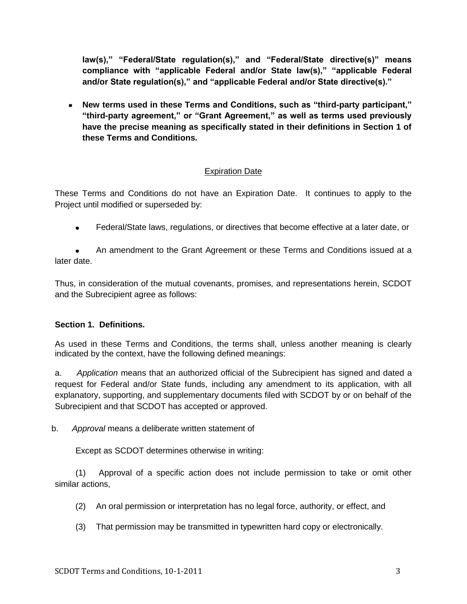**law(s)," "Federal/State regulation(s)," and "Federal/State directive(s)" means compliance with "applicable Federal and/or State law(s)," "applicable Federal and/or State regulation(s)," and "applicable Federal and/or State directive(s)."**

**New terms used in these Terms and Conditions, such as "third-party participant," "third-party agreement," or "Grant Agreement," as well as terms used previously have the precise meaning as specifically stated in their definitions in Section 1 of these Terms and Conditions.** 

# Expiration Date

These Terms and Conditions do not have an Expiration Date. It continues to apply to the Project until modified or superseded by:

Federal/State laws, regulations, or directives that become effective at a later date, or  $\bullet$ 

An amendment to the Grant Agreement or these Terms and Conditions issued at a later date.

Thus, in consideration of the mutual covenants, promises, and representations herein, SCDOT and the Subrecipient agree as follows:

## <span id="page-13-0"></span>**Section 1. Definitions.**

As used in these Terms and Conditions, the terms shall, unless another meaning is clearly indicated by the context, have the following defined meanings:

a. *Application* means that an authorized official of the Subrecipient has signed and dated a request for Federal and/or State funds, including any amendment to its application, with all explanatory, supporting, and supplementary documents filed with SCDOT by or on behalf of the Subrecipient and that SCDOT has accepted or approved.

b. *Approval* means a deliberate written statement of

Except as SCDOT determines otherwise in writing:

(1) Approval of a specific action does not include permission to take or omit other similar actions,

- (2) An oral permission or interpretation has no legal force, authority, or effect, and
- (3) That permission may be transmitted in typewritten hard copy or electronically.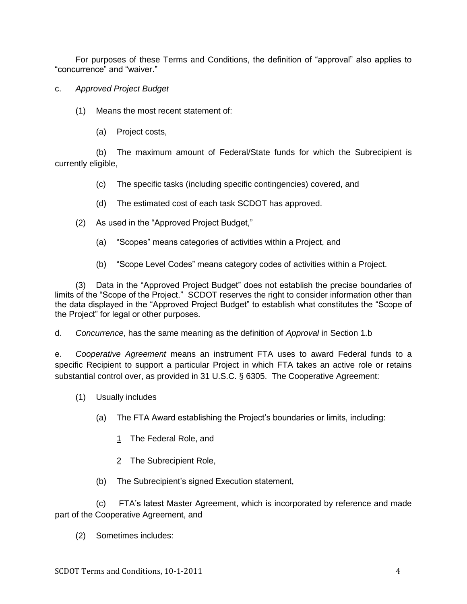For purposes of these Terms and Conditions, the definition of "approval" also applies to "concurrence" and "waiver."

- c. *Approved Project Budget*
	- (1) Means the most recent statement of:
		- (a) Project costs,

(b) The maximum amount of Federal/State funds for which the Subrecipient is currently eligible,

- (c) The specific tasks (including specific contingencies) covered, and
- (d) The estimated cost of each task SCDOT has approved.
- (2) As used in the "Approved Project Budget,"
	- (a) "Scopes" means categories of activities within a Project, and
	- (b) "Scope Level Codes" means category codes of activities within a Project.

(3) Data in the "Approved Project Budget" does not establish the precise boundaries of limits of the "Scope of the Project." SCDOT reserves the right to consider information other than the data displayed in the "Approved Project Budget" to establish what constitutes the "Scope of the Project" for legal or other purposes.

d. *Concurrence*, has the same meaning as the definition of *Approval* in Section 1.b

e. *Cooperative Agreement* means an instrument FTA uses to award Federal funds to a specific Recipient to support a particular Project in which FTA takes an active role or retains substantial control over, as provided in 31 U.S.C. § 6305. The Cooperative Agreement:

- (1) Usually includes
	- (a) The FTA Award establishing the Project's boundaries or limits, including:
		- 1 The Federal Role, and
		- 2 The Subrecipient Role,
	- (b) The Subrecipient's signed Execution statement,

(c) FTA's latest Master Agreement, which is incorporated by reference and made part of the Cooperative Agreement, and

(2) Sometimes includes: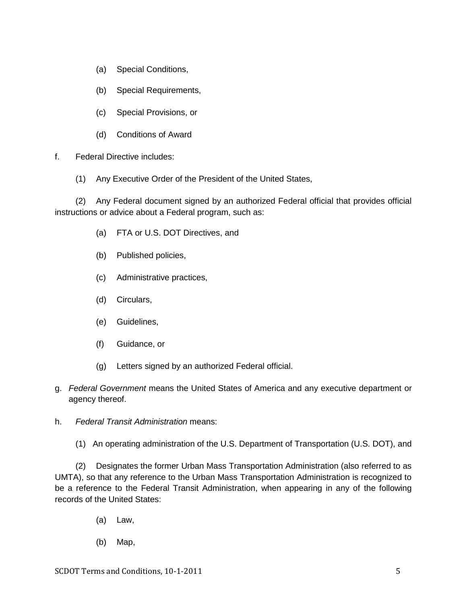- (a) Special Conditions,
- (b) Special Requirements,
- (c) Special Provisions, or
- (d) Conditions of Award
- f. Federal Directive includes:
	- (1) Any Executive Order of the President of the United States,

(2) Any Federal document signed by an authorized Federal official that provides official instructions or advice about a Federal program, such as:

- (a) FTA or U.S. DOT Directives, and
- (b) Published policies,
- (c) Administrative practices,
- (d) Circulars,
- (e) Guidelines,
- (f) Guidance, or
- (g) Letters signed by an authorized Federal official.
- g. *Federal Government* means the United States of America and any executive department or agency thereof.
- h. *Federal Transit Administration* means:
	- (1) An operating administration of the U.S. Department of Transportation (U.S. DOT), and

(2) Designates the former Urban Mass Transportation Administration (also referred to as UMTA), so that any reference to the Urban Mass Transportation Administration is recognized to be a reference to the Federal Transit Administration, when appearing in any of the following records of the United States:

- (a) Law,
- (b) Map,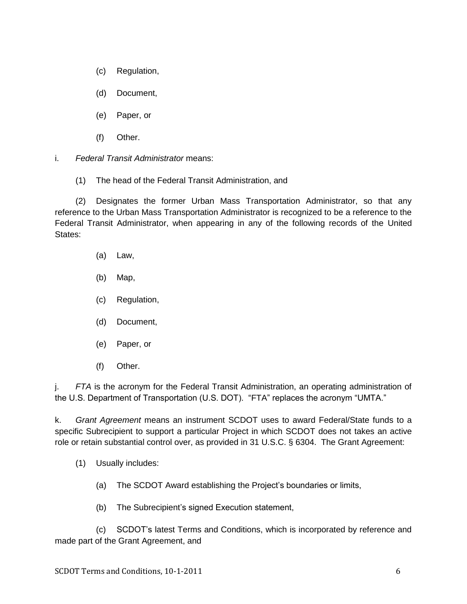- (c) Regulation,
- (d) Document,
- (e) Paper, or
- (f) Other.
- i. *Federal Transit Administrator* means:
	- (1) The head of the Federal Transit Administration, and

(2) Designates the former Urban Mass Transportation Administrator, so that any reference to the Urban Mass Transportation Administrator is recognized to be a reference to the Federal Transit Administrator, when appearing in any of the following records of the United States:

- (a) Law,
- (b) Map,
- (c) Regulation,
- (d) Document,
- (e) Paper, or
- (f) Other.

j. *FTA* is the acronym for the Federal Transit Administration, an operating administration of the U.S. Department of Transportation (U.S. DOT). "FTA" replaces the acronym "UMTA."

k. *Grant Agreement* means an instrument SCDOT uses to award Federal/State funds to a specific Subrecipient to support a particular Project in which SCDOT does not takes an active role or retain substantial control over, as provided in 31 U.S.C. § 6304. The Grant Agreement:

- (1) Usually includes:
	- (a) The SCDOT Award establishing the Project's boundaries or limits,
	- (b) The Subrecipient's signed Execution statement,

(c) SCDOT's latest Terms and Conditions, which is incorporated by reference and made part of the Grant Agreement, and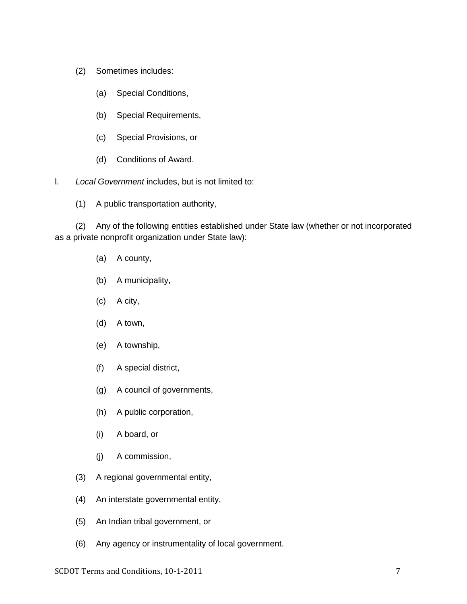- (2) Sometimes includes:
	- (a) Special Conditions,
	- (b) Special Requirements,
	- (c) Special Provisions, or
	- (d) Conditions of Award.

l. *Local Government* includes, but is not limited to:

(1) A public transportation authority,

(2) Any of the following entities established under State law (whether or not incorporated as a private nonprofit organization under State law):

- (a) A county,
- (b) A municipality,
- (c) A city,
- (d) A town,
- (e) A township,
- (f) A special district,
- (g) A council of governments,
- (h) A public corporation,
- (i) A board, or
- (j) A commission,
- (3) A regional governmental entity,
- (4) An interstate governmental entity,
- (5) An Indian tribal government, or
- (6) Any agency or instrumentality of local government.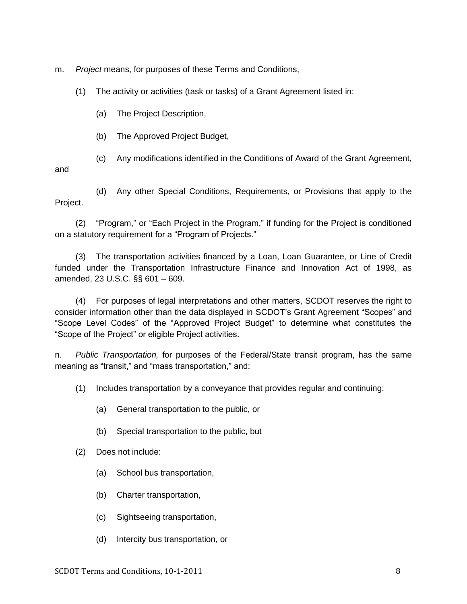m. *Project* means, for purposes of these Terms and Conditions,

(1) The activity or activities (task or tasks) of a Grant Agreement listed in:

(a) The Project Description,

(b) The Approved Project Budget,

(c) Any modifications identified in the Conditions of Award of the Grant Agreement,

and

(d) Any other Special Conditions, Requirements, or Provisions that apply to the Project.

(2) "Program," or "Each Project in the Program," if funding for the Project is conditioned on a statutory requirement for a "Program of Projects."

(3) The transportation activities financed by a Loan, Loan Guarantee, or Line of Credit funded under the Transportation Infrastructure Finance and Innovation Act of 1998, as amended, 23 U.S.C. §§ 601 – 609.

(4) For purposes of legal interpretations and other matters, SCDOT reserves the right to consider information other than the data displayed in SCDOT's Grant Agreement "Scopes" and "Scope Level Codes" of the "Approved Project Budget" to determine what constitutes the ―Scope of the Project‖ or eligible Project activities.

n. *Public Transportation,* for purposes of the Federal/State transit program, has the same meaning as "transit," and "mass transportation," and:

(1) Includes transportation by a conveyance that provides regular and continuing:

- (a) General transportation to the public, or
- (b) Special transportation to the public, but
- (2) Does not include:
	- (a) School bus transportation,
	- (b) Charter transportation,
	- (c) Sightseeing transportation,
	- (d) Intercity bus transportation, or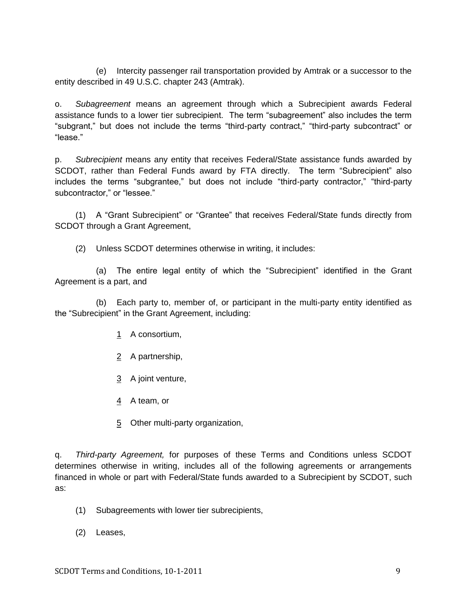(e) Intercity passenger rail transportation provided by Amtrak or a successor to the entity described in 49 U.S.C. chapter 243 (Amtrak).

o. *Subagreement* means an agreement through which a Subrecipient awards Federal assistance funds to a lower tier subrecipient. The term "subagreement" also includes the term "subgrant," but does not include the terms "third-party contract," "third-party subcontract" or "lease."

p. *Subrecipient* means any entity that receives Federal/State assistance funds awarded by SCDOT, rather than Federal Funds award by FTA directly. The term "Subrecipient" also includes the terms "subgrantee," but does not include "third-party contractor," "third-party subcontractor," or "lessee."

(1) A "Grant Subrecipient" or "Grantee" that receives Federal/State funds directly from SCDOT through a Grant Agreement,

(2) Unless SCDOT determines otherwise in writing, it includes:

(a) The entire legal entity of which the "Subrecipient" identified in the Grant Agreement is a part, and

(b) Each party to, member of, or participant in the multi-party entity identified as the "Subrecipient" in the Grant Agreement, including:

- 1 A consortium,
- 2 A partnership,
- 3 A joint venture,
- 4 A team, or
- 5 Other multi-party organization,

q. *Third-party Agreement,* for purposes of these Terms and Conditions unless SCDOT determines otherwise in writing, includes all of the following agreements or arrangements financed in whole or part with Federal/State funds awarded to a Subrecipient by SCDOT, such as:

- (1) Subagreements with lower tier subrecipients,
- (2) Leases,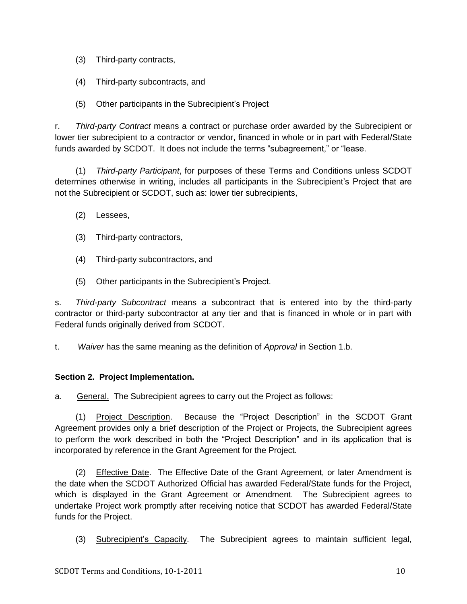- (3) Third-party contracts,
- (4) Third-party subcontracts, and
- (5) Other participants in the Subrecipient's Project

r. *Third-party Contract* means a contract or purchase order awarded by the Subrecipient or lower tier subrecipient to a contractor or vendor, financed in whole or in part with Federal/State funds awarded by SCDOT. It does not include the terms "subagreement," or "lease.

(1) *Third-party Participant*, for purposes of these Terms and Conditions unless SCDOT determines otherwise in writing, includes all participants in the Subrecipient's Project that are not the Subrecipient or SCDOT, such as: lower tier subrecipients,

- (2) Lessees,
- (3) Third-party contractors,
- (4) Third-party subcontractors, and
- (5) Other participants in the Subrecipient's Project.

s. *Third-party Subcontract* means a subcontract that is entered into by the third-party contractor or third-party subcontractor at any tier and that is financed in whole or in part with Federal funds originally derived from SCDOT.

t. *Waiver* has the same meaning as the definition of *Approval* in Section 1.b.

## <span id="page-20-0"></span>**Section 2. Project Implementation.**

<span id="page-20-1"></span>a. General. The Subrecipient agrees to carry out the Project as follows:

(1) Project Description. Because the "Project Description" in the SCDOT Grant Agreement provides only a brief description of the Project or Projects, the Subrecipient agrees to perform the work described in both the "Project Description" and in its application that is incorporated by reference in the Grant Agreement for the Project.

(2) Effective Date. The Effective Date of the Grant Agreement, or later Amendment is the date when the SCDOT Authorized Official has awarded Federal/State funds for the Project, which is displayed in the Grant Agreement or Amendment. The Subrecipient agrees to undertake Project work promptly after receiving notice that SCDOT has awarded Federal/State funds for the Project.

(3) Subrecipient's Capacity. The Subrecipient agrees to maintain sufficient legal,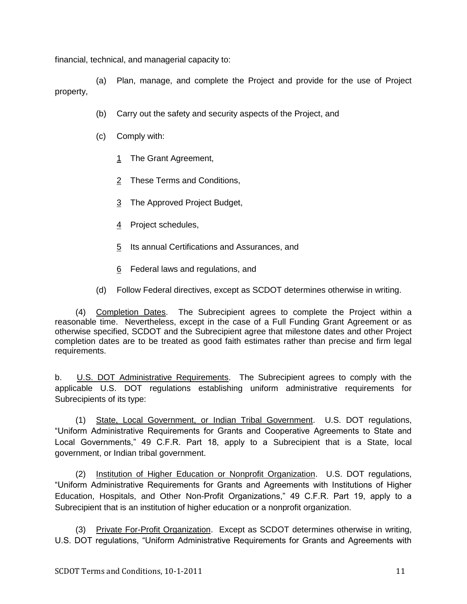financial, technical, and managerial capacity to:

(a) Plan, manage, and complete the Project and provide for the use of Project property,

- (b) Carry out the safety and security aspects of the Project, and
- (c) Comply with:
	- 1 The Grant Agreement,
	- 2 These Terms and Conditions,
	- 3 The Approved Project Budget,
	- 4 Project schedules,
	- 5 Its annual Certifications and Assurances, and
	- 6 Federal laws and regulations, and
- (d) Follow Federal directives, except as SCDOT determines otherwise in writing.

(4) Completion Dates. The Subrecipient agrees to complete the Project within a reasonable time. Nevertheless, except in the case of a Full Funding Grant Agreement or as otherwise specified, SCDOT and the Subrecipient agree that milestone dates and other Project completion dates are to be treated as good faith estimates rather than precise and firm legal requirements.

<span id="page-21-0"></span>b. **U.S. DOT Administrative Requirements**. The Subrecipient agrees to comply with the applicable U.S. DOT regulations establishing uniform administrative requirements for Subrecipients of its type:

(1) State, Local Government, or Indian Tribal Government. U.S. DOT regulations, ―Uniform Administrative Requirements for Grants and Cooperative Agreements to State and Local Governments," 49 C.F.R. Part 18, apply to a Subrecipient that is a State, local government, or Indian tribal government.

(2) Institution of Higher Education or Nonprofit Organization. U.S. DOT regulations, ―Uniform Administrative Requirements for Grants and Agreements with Institutions of Higher Education, Hospitals, and Other Non-Profit Organizations," 49 C.F.R. Part 19, apply to a Subrecipient that is an institution of higher education or a nonprofit organization.

(3) Private For-Profit Organization. Except as SCDOT determines otherwise in writing, U.S. DOT regulations, "Uniform Administrative Requirements for Grants and Agreements with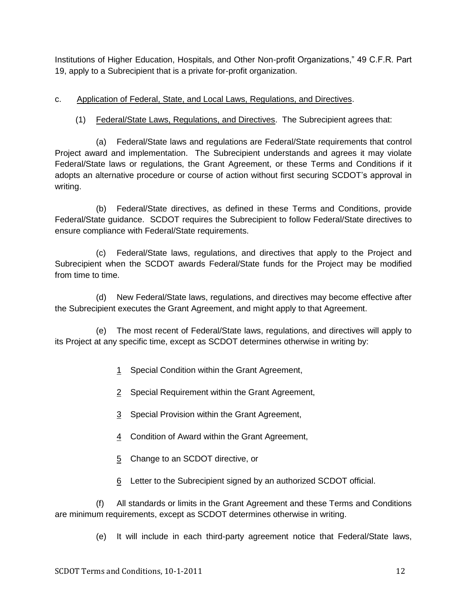Institutions of Higher Education, Hospitals, and Other Non-profit Organizations," 49 C.F.R. Part 19, apply to a Subrecipient that is a private for-profit organization.

- <span id="page-22-0"></span>c. Application of Federal, State, and Local Laws, Regulations, and Directives.
	- (1) Federal/State Laws, Regulations, and Directives. The Subrecipient agrees that:

(a) Federal/State laws and regulations are Federal/State requirements that control Project award and implementation. The Subrecipient understands and agrees it may violate Federal/State laws or regulations, the Grant Agreement, or these Terms and Conditions if it adopts an alternative procedure or course of action without first securing SCDOT's approval in writing.

(b) Federal/State directives, as defined in these Terms and Conditions, provide Federal/State guidance. SCDOT requires the Subrecipient to follow Federal/State directives to ensure compliance with Federal/State requirements.

(c) Federal/State laws, regulations, and directives that apply to the Project and Subrecipient when the SCDOT awards Federal/State funds for the Project may be modified from time to time.

(d) New Federal/State laws, regulations, and directives may become effective after the Subrecipient executes the Grant Agreement, and might apply to that Agreement.

(e) The most recent of Federal/State laws, regulations, and directives will apply to its Project at any specific time, except as SCDOT determines otherwise in writing by:

- 1 Special Condition within the Grant Agreement,
- 2 Special Requirement within the Grant Agreement,
- 3 Special Provision within the Grant Agreement,
- 4 Condition of Award within the Grant Agreement,
- 5 Change to an SCDOT directive, or
- 6 Letter to the Subrecipient signed by an authorized SCDOT official.

(f) All standards or limits in the Grant Agreement and these Terms and Conditions are minimum requirements, except as SCDOT determines otherwise in writing.

(e) It will include in each third-party agreement notice that Federal/State laws,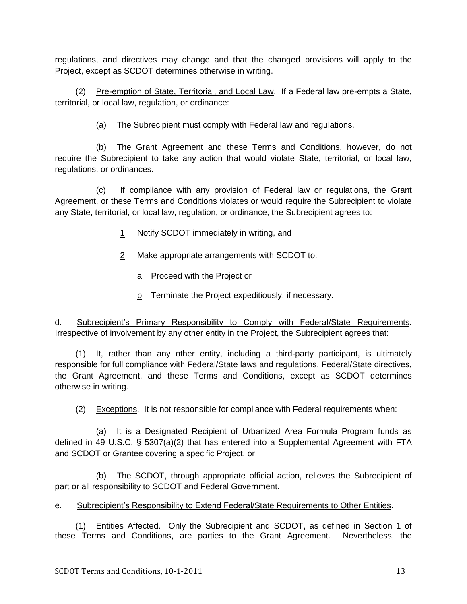regulations, and directives may change and that the changed provisions will apply to the Project, except as SCDOT determines otherwise in writing.

(2) Pre-emption of State, Territorial, and Local Law. If a Federal law pre-empts a State, territorial, or local law, regulation, or ordinance:

(a) The Subrecipient must comply with Federal law and regulations.

(b) The Grant Agreement and these Terms and Conditions, however, do not require the Subrecipient to take any action that would violate State, territorial, or local law, regulations, or ordinances.

(c) If compliance with any provision of Federal law or regulations, the Grant Agreement, or these Terms and Conditions violates or would require the Subrecipient to violate any State, territorial, or local law, regulation, or ordinance, the Subrecipient agrees to:

- 1 Notify SCDOT immediately in writing, and
- 2 Make appropriate arrangements with SCDOT to:
	- a Proceed with the Project or
	- b Terminate the Project expeditiously, if necessary.

d. Subrecipient's Primary Responsibility to Comply with Federal/State Requirements. Irrespective of involvement by any other entity in the Project, the Subrecipient agrees that:

(1) It, rather than any other entity, including a third-party participant, is ultimately responsible for full compliance with Federal/State laws and regulations, Federal/State directives, the Grant Agreement, and these Terms and Conditions, except as SCDOT determines otherwise in writing.

(2) Exceptions. It is not responsible for compliance with Federal requirements when:

(a) It is a Designated Recipient of Urbanized Area Formula Program funds as defined in 49 U.S.C. § 5307(a)(2) that has entered into a Supplemental Agreement with FTA and SCDOT or Grantee covering a specific Project, or

(b) The SCDOT, through appropriate official action, relieves the Subrecipient of part or all responsibility to SCDOT and Federal Government.

<span id="page-23-0"></span>e. Subrecipient's Responsibility to Extend Federal/State Requirements to Other Entities.

(1) Entities Affected. Only the Subrecipient and SCDOT, as defined in Section 1 of these Terms and Conditions, are parties to the Grant Agreement. Nevertheless, the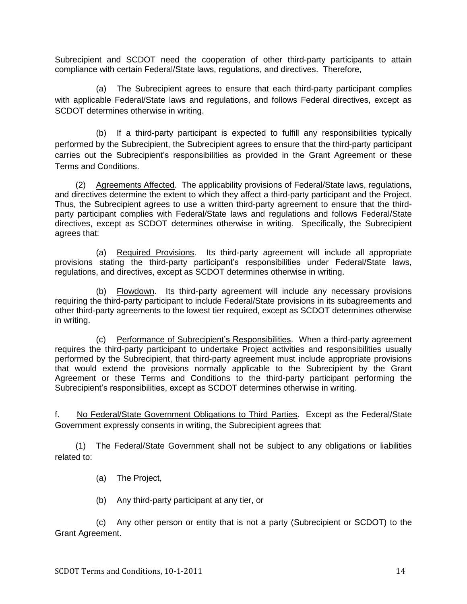Subrecipient and SCDOT need the cooperation of other third-party participants to attain compliance with certain Federal/State laws, regulations, and directives. Therefore,

(a) The Subrecipient agrees to ensure that each third-party participant complies with applicable Federal/State laws and regulations, and follows Federal directives, except as SCDOT determines otherwise in writing.

(b) If a third-party participant is expected to fulfill any responsibilities typically performed by the Subrecipient, the Subrecipient agrees to ensure that the third-party participant carries out the Subrecipient's responsibilities as provided in the Grant Agreement or these Terms and Conditions.

(2) Agreements Affected. The applicability provisions of Federal/State laws, regulations, and directives determine the extent to which they affect a third-party participant and the Project. Thus, the Subrecipient agrees to use a written third-party agreement to ensure that the thirdparty participant complies with Federal/State laws and regulations and follows Federal/State directives, except as SCDOT determines otherwise in writing. Specifically, the Subrecipient agrees that:

(a) Required Provisions. Its third-party agreement will include all appropriate provisions stating the third-party participant's responsibilities under Federal/State laws, regulations, and directives, except as SCDOT determines otherwise in writing.

(b) Flowdown. Its third-party agreement will include any necessary provisions requiring the third-party participant to include Federal/State provisions in its subagreements and other third-party agreements to the lowest tier required, except as SCDOT determines otherwise in writing.

(c) Performance of Subrecipient's Responsibilities. When a third-party agreement requires the third-party participant to undertake Project activities and responsibilities usually performed by the Subrecipient, that third-party agreement must include appropriate provisions that would extend the provisions normally applicable to the Subrecipient by the Grant Agreement or these Terms and Conditions to the third-party participant performing the Subrecipient's responsibilities, except as SCDOT determines otherwise in writing.

<span id="page-24-0"></span>f. No Federal/State Government Obligations to Third Parties. Except as the Federal/State Government expressly consents in writing, the Subrecipient agrees that:

(1) The Federal/State Government shall not be subject to any obligations or liabilities related to:

(a) The Project,

(b) Any third-party participant at any tier, or

(c) Any other person or entity that is not a party (Subrecipient or SCDOT) to the Grant Agreement.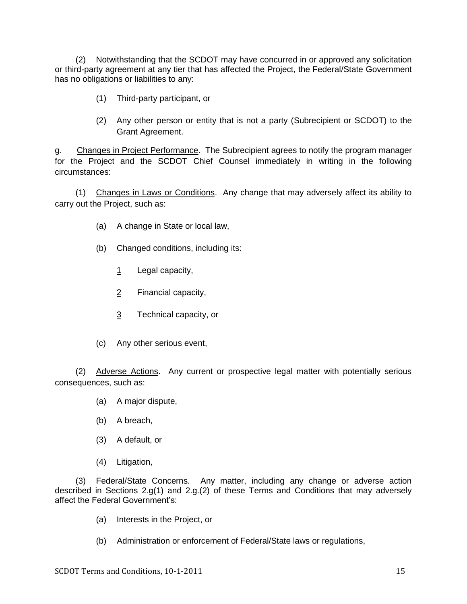(2) Notwithstanding that the SCDOT may have concurred in or approved any solicitation or third-party agreement at any tier that has affected the Project, the Federal/State Government has no obligations or liabilities to any:

- (1) Third-party participant, or
- (2) Any other person or entity that is not a party (Subrecipient or SCDOT) to the Grant Agreement.

<span id="page-25-0"></span>g. Changes in Project Performance. The Subrecipient agrees to notify the program manager for the Project and the SCDOT Chief Counsel immediately in writing in the following circumstances:

(1) Changes in Laws or Conditions. Any change that may adversely affect its ability to carry out the Project, such as:

- (a) A change in State or local law,
- (b) Changed conditions, including its:
	- 1 Legal capacity,
	- 2 Financial capacity,
	- 3 Technical capacity, or
- (c) Any other serious event,

(2) Adverse Actions. Any current or prospective legal matter with potentially serious consequences, such as:

- (a) A major dispute,
- (b) A breach,
- (3) A default, or
- (4) Litigation,

(3) Federal/State Concerns. Any matter, including any change or adverse action described in Sections 2.g(1) and 2.g.(2) of these Terms and Conditions that may adversely affect the Federal Government's:

- (a) Interests in the Project, or
- (b) Administration or enforcement of Federal/State laws or regulations,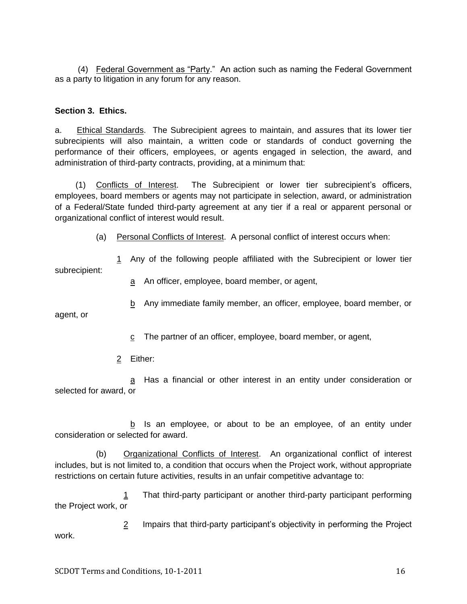(4) Federal Government as "Party." An action such as naming the Federal Government as a party to litigation in any forum for any reason.

#### <span id="page-26-0"></span>**Section 3. Ethics.**

<span id="page-26-1"></span>a. Ethical Standards. The Subrecipient agrees to maintain, and assures that its lower tier subrecipients will also maintain, a written code or standards of conduct governing the performance of their officers, employees, or agents engaged in selection, the award, and administration of third-party contracts, providing, at a minimum that:

(1) Conflicts of Interest. The Subrecipient or lower tier subrecipient's officers, employees, board members or agents may not participate in selection, award, or administration of a Federal/State funded third-party agreement at any tier if a real or apparent personal or organizational conflict of interest would result.

(a) Personal Conflicts of Interest. A personal conflict of interest occurs when:

1 Any of the following people affiliated with the Subrecipient or lower tier subrecipient:

a An officer, employee, board member, or agent,

b Any immediate family member, an officer, employee, board member, or

agent, or

- c The partner of an officer, employee, board member, or agent,
- 2 Either:

a Has a financial or other interest in an entity under consideration or selected for award, or

b Is an employee, or about to be an employee, of an entity under consideration or selected for award.

(b) Organizational Conflicts of Interest. An organizational conflict of interest includes, but is not limited to, a condition that occurs when the Project work, without appropriate restrictions on certain future activities, results in an unfair competitive advantage to:

1 That third-party participant or another third-party participant performing the Project work, or

2 Impairs that third-party participant's objectivity in performing the Project work.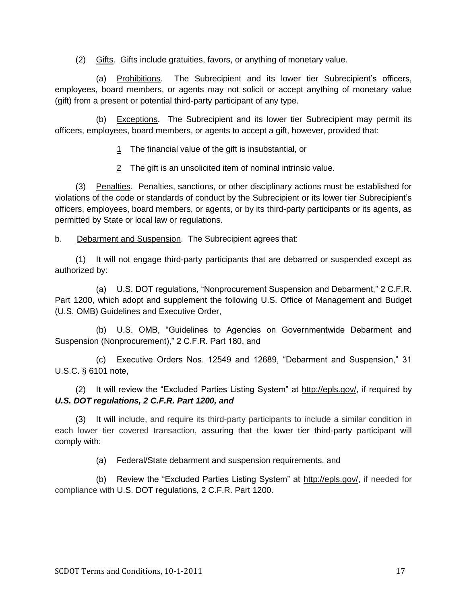(2) Gifts. Gifts include gratuities, favors, or anything of monetary value.

(a) Prohibitions. The Subrecipient and its lower tier Subrecipient's officers, employees, board members, or agents may not solicit or accept anything of monetary value (gift) from a present or potential third-party participant of any type.

(b) Exceptions. The Subrecipient and its lower tier Subrecipient may permit its officers, employees, board members, or agents to accept a gift, however, provided that:

1 The financial value of the gift is insubstantial, or

2 The gift is an unsolicited item of nominal intrinsic value.

(3) Penalties. Penalties, sanctions, or other disciplinary actions must be established for violations of the code or standards of conduct by the Subrecipient or its lower tier Subrecipient's officers, employees, board members, or agents, or by its third-party participants or its agents, as permitted by State or local law or regulations.

<span id="page-27-0"></span>b. Debarment and Suspension. The Subrecipient agrees that:

(1) It will not engage third-party participants that are debarred or suspended except as authorized by:

(a) U.S. DOT regulations, "Nonprocurement Suspension and Debarment," 2 C.F.R. Part 1200, which adopt and supplement the following U.S. Office of Management and Budget (U.S. OMB) Guidelines and Executive Order,

(b) U.S. OMB, "Guidelines to Agencies on Governmentwide Debarment and Suspension (Nonprocurement)," 2 C.F.R. Part 180, and

(c) Executive Orders Nos. 12549 and 12689, "Debarment and Suspension," 31 U.S.C. § 6101 note,

(2) It will review the "Excluded Parties Listing System" at [http://epls.gov/,](http://epls.gov/) if required by *U.S. DOT regulations, 2 C.F.R. Part 1200, and* 

(3) It will include, and require its third-party participants to include a similar condition in each lower tier covered transaction, assuring that the lower tier third-party participant will comply with:

(a) Federal/State debarment and suspension requirements, and

(b) Review the "Excluded Parties Listing System" at [http://epls.gov/,](http://epls.gov/) if needed for compliance with U.S. DOT regulations, 2 C.F.R. Part 1200.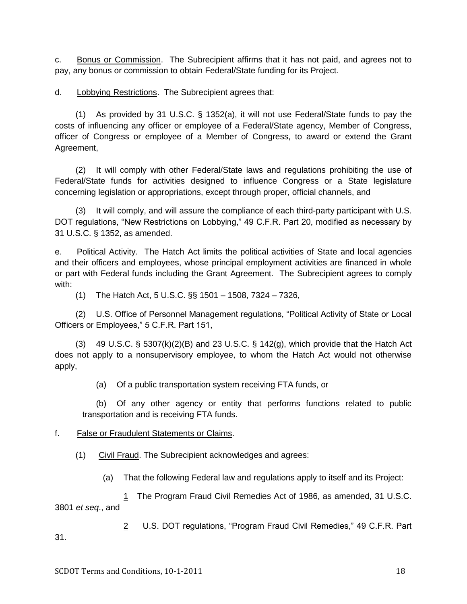<span id="page-28-0"></span>c. Bonus or Commission. The Subrecipient affirms that it has not paid, and agrees not to pay, any bonus or commission to obtain Federal/State funding for its Project.

<span id="page-28-1"></span>d. Lobbying Restrictions. The Subrecipient agrees that:

(1) As provided by 31 U.S.C. § 1352(a), it will not use Federal/State funds to pay the costs of influencing any officer or employee of a Federal/State agency, Member of Congress, officer of Congress or employee of a Member of Congress, to award or extend the Grant Agreement,

(2) It will comply with other Federal/State laws and regulations prohibiting the use of Federal/State funds for activities designed to influence Congress or a State legislature concerning legislation or appropriations, except through proper, official channels, and

(3) It will comply, and will assure the compliance of each third-party participant with U.S. DOT regulations, "New Restrictions on Lobbying," 49 C.F.R. Part 20, modified as necessary by 31 U.S.C. § 1352, as amended.

<span id="page-28-2"></span>e. Political Activity. The Hatch Act limits the political activities of State and local agencies and their officers and employees, whose principal employment activities are financed in whole or part with Federal funds including the Grant Agreement. The Subrecipient agrees to comply with:

(1) The Hatch Act, 5 U.S.C. §§ 1501 – 1508, 7324 – 7326,

(2) U.S. Office of Personnel Management regulations, "Political Activity of State or Local Officers or Employees," 5 C.F.R. Part 151,

(3) 49 U.S.C.  $\S$  5307(k)(2)(B) and 23 U.S.C.  $\S$  142(g), which provide that the Hatch Act does not apply to a nonsupervisory employee, to whom the Hatch Act would not otherwise apply,

(a) Of a public transportation system receiving FTA funds, or

(b) Of any other agency or entity that performs functions related to public transportation and is receiving FTA funds.

<span id="page-28-3"></span>f. False or Fraudulent Statements or Claims.

(1) Civil Fraud. The Subrecipient acknowledges and agrees:

(a) That the following Federal law and regulations apply to itself and its Project:

1 The Program Fraud Civil Remedies Act of 1986, as amended, 31 U.S.C. 3801 *et seq*., and

2 U.S. DOT regulations, "Program Fraud Civil Remedies," 49 C.F.R. Part 31.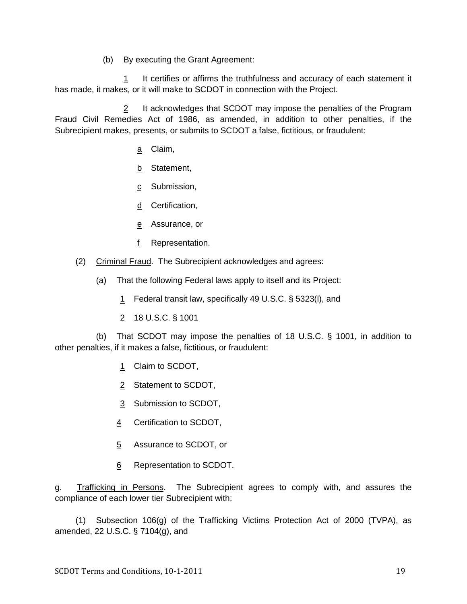(b) By executing the Grant Agreement:

1 It certifies or affirms the truthfulness and accuracy of each statement it has made, it makes, or it will make to SCDOT in connection with the Project.

2 It acknowledges that SCDOT may impose the penalties of the Program Fraud Civil Remedies Act of 1986, as amended, in addition to other penalties, if the Subrecipient makes, presents, or submits to SCDOT a false, fictitious, or fraudulent:

- a Claim,
- b Statement,
- c Submission,
- d Certification,
- e Assurance, or
- f Representation.
- (2) Criminal Fraud. The Subrecipient acknowledges and agrees:
	- (a) That the following Federal laws apply to itself and its Project:
		- 1 Federal transit law, specifically 49 U.S.C. § 5323(l), and
		- 2 18 U.S.C. § 1001

(b) That SCDOT may impose the penalties of 18 U.S.C. § 1001, in addition to other penalties, if it makes a false, fictitious, or fraudulent:

- 1 Claim to SCDOT,
- 2 Statement to SCDOT,
- 3 Submission to SCDOT,
- 4 Certification to SCDOT,
- 5 Assurance to SCDOT, or
- 6 Representation to SCDOT.

<span id="page-29-0"></span>g. Trafficking in Persons. The Subrecipient agrees to comply with, and assures the compliance of each lower tier Subrecipient with:

(1) Subsection 106(g) of the Trafficking Victims Protection Act of 2000 (TVPA), as amended, 22 U.S.C. § 7104(g), and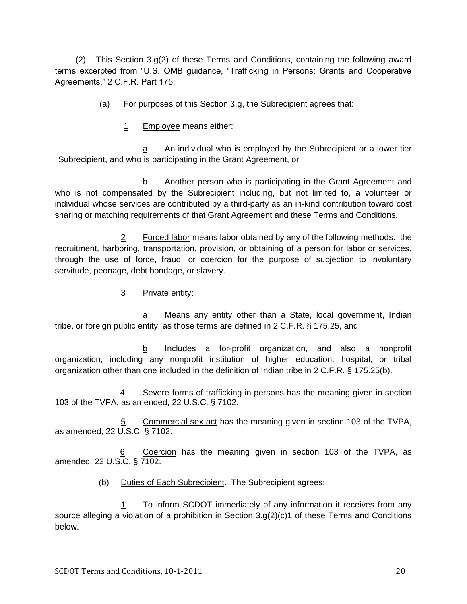(2) This Section 3.g(2) of these Terms and Conditions, containing the following award terms excerpted from "U.S. OMB guidance, "Trafficking in Persons: Grants and Cooperative Agreements," 2 C.F.R. Part 175:

- (a) For purposes of this Section 3.g, the Subrecipient agrees that:
	- 1 Employee means either:

a An individual who is employed by the Subrecipient or a lower tier Subrecipient, and who is participating in the Grant Agreement, or

b Another person who is participating in the Grant Agreement and who is not compensated by the Subrecipient including, but not limited to, a volunteer or individual whose services are contributed by a third-party as an in-kind contribution toward cost sharing or matching requirements of that Grant Agreement and these Terms and Conditions.

2 Forced labor means labor obtained by any of the following methods: the recruitment, harboring, transportation, provision, or obtaining of a person for labor or services, through the use of force, fraud, or coercion for the purpose of subjection to involuntary servitude, peonage, debt bondage, or slavery.

3 Private entity:

a Means any entity other than a State, local government, Indian tribe, or foreign public entity, as those terms are defined in 2 C.F.R. § 175.25, and

b Includes a for-profit organization, and also a nonprofit organization, including any nonprofit institution of higher education, hospital, or tribal organization other than one included in the definition of Indian tribe in 2 C.F.R. § 175.25(b).

Severe forms of trafficking in persons has the meaning given in section 103 of the TVPA, as amended, 22 U.S.C. § 7102.

Commercial sex act has the meaning given in section 103 of the TVPA, as amended, 22 U.S.C. § 7102.

Coercion has the meaning given in section 103 of the TVPA, as amended, 22 U.S.C. § 7102.

(b) Duties of Each Subrecipient. The Subrecipient agrees:

1 To inform SCDOT immediately of any information it receives from any source alleging a violation of a prohibition in Section 3.g(2)(c)1 of these Terms and Conditions below.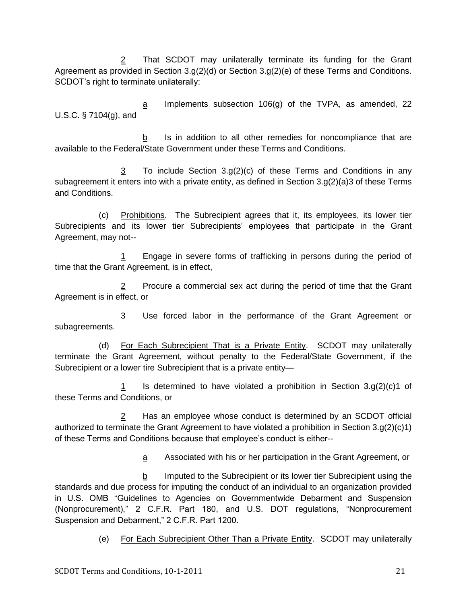2 That SCDOT may unilaterally terminate its funding for the Grant Agreement as provided in Section 3.g(2)(d) or Section 3.g(2)(e) of these Terms and Conditions. SCDOT's right to terminate unilaterally:

 $\alpha$  Implements subsection 106(g) of the TVPA, as amended, 22 U.S.C. § 7104(g), and

b Is in addition to all other remedies for noncompliance that are available to the Federal/State Government under these Terms and Conditions.

3 To include Section 3.g(2)(c) of these Terms and Conditions in any subagreement it enters into with a private entity, as defined in Section  $3.9(2)(a)3$  of these Terms and Conditions.

(c) Prohibitions. The Subrecipient agrees that it, its employees, its lower tier Subrecipients and its lower tier Subrecipients' employees that participate in the Grant Agreement, may not--

1 Engage in severe forms of trafficking in persons during the period of time that the Grant Agreement, is in effect,

2 Procure a commercial sex act during the period of time that the Grant Agreement is in effect, or

3 Use forced labor in the performance of the Grant Agreement or subagreements.

(d) For Each Subrecipient That is a Private Entity. SCDOT may unilaterally terminate the Grant Agreement, without penalty to the Federal/State Government, if the Subrecipient or a lower tire Subrecipient that is a private entity—

1 Is determined to have violated a prohibition in Section  $3.9(2)(c)1$  of these Terms and Conditions, or

2 Has an employee whose conduct is determined by an SCDOT official authorized to terminate the Grant Agreement to have violated a prohibition in Section 3.g(2)(c)1) of these Terms and Conditions because that employee's conduct is either--

a Associated with his or her participation in the Grant Agreement, or

b Imputed to the Subrecipient or its lower tier Subrecipient using the standards and due process for imputing the conduct of an individual to an organization provided in U.S. OMB "Guidelines to Agencies on Governmentwide Debarment and Suspension (Nonprocurement)," 2 C.F.R. Part 180, and U.S. DOT regulations, "Nonprocurement Suspension and Debarment," 2 C.F.R. Part 1200.

(e) For Each Subrecipient Other Than a Private Entity. SCDOT may unilaterally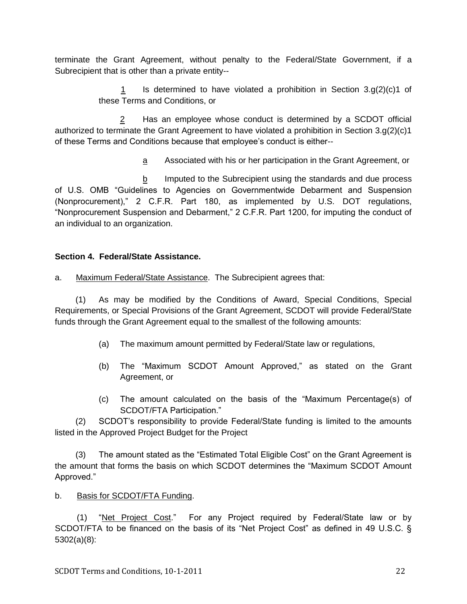terminate the Grant Agreement, without penalty to the Federal/State Government, if a Subrecipient that is other than a private entity--

> 1 Is determined to have violated a prohibition in Section  $3.q(2)(c)1$  of these Terms and Conditions, or

2 Has an employee whose conduct is determined by a SCDOT official authorized to terminate the Grant Agreement to have violated a prohibition in Section 3.g(2)(c)1 of these Terms and Conditions because that employee's conduct is either--

a Associated with his or her participation in the Grant Agreement, or

b Imputed to the Subrecipient using the standards and due process of U.S. OMB "Guidelines to Agencies on Governmentwide Debarment and Suspension (Nonprocurement)," 2 C.F.R. Part 180, as implemented by U.S. DOT regulations, ―Nonprocurement Suspension and Debarment,‖ 2 C.F.R. Part 1200, for imputing the conduct of an individual to an organization.

## <span id="page-32-0"></span>**Section 4. Federal/State Assistance.**

<span id="page-32-1"></span>a. Maximum Federal/State Assistance. The Subrecipient agrees that:

(1) As may be modified by the Conditions of Award, Special Conditions, Special Requirements, or Special Provisions of the Grant Agreement, SCDOT will provide Federal/State funds through the Grant Agreement equal to the smallest of the following amounts:

- (a) The maximum amount permitted by Federal/State law or regulations,
- (b) The "Maximum SCDOT Amount Approved," as stated on the Grant Agreement, or
- (c) The amount calculated on the basis of the "Maximum Percentage(s) of SCDOT/FTA Participation."

(2) SCDOT's responsibility to provide Federal/State funding is limited to the amounts listed in the Approved Project Budget for the Project

(3) The amount stated as the "Estimated Total Eligible Cost" on the Grant Agreement is the amount that forms the basis on which SCDOT determines the "Maximum SCDOT Amount Approved."

<span id="page-32-2"></span>b. Basis for SCDOT/FTA Funding.

(1) "Net Project Cost." For any Project required by Federal/State law or by SCDOT/FTA to be financed on the basis of its "Net Project Cost" as defined in 49 U.S.C. § 5302(a)(8):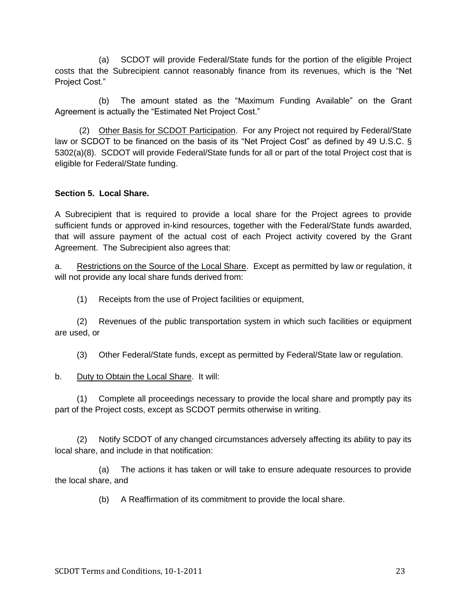(a) SCDOT will provide Federal/State funds for the portion of the eligible Project costs that the Subrecipient cannot reasonably finance from its revenues, which is the "Net Project Cost."

(b) The amount stated as the "Maximum Funding Available" on the Grant Agreement is actually the "Estimated Net Project Cost."

(2) Other Basis for SCDOT Participation. For any Project not required by Federal/State law or SCDOT to be financed on the basis of its "Net Project Cost" as defined by 49 U.S.C.  $\S$ 5302(a)(8). SCDOT will provide Federal/State funds for all or part of the total Project cost that is eligible for Federal/State funding.

#### <span id="page-33-0"></span>**Section 5. Local Share.**

A Subrecipient that is required to provide a local share for the Project agrees to provide sufficient funds or approved in-kind resources, together with the Federal/State funds awarded, that will assure payment of the actual cost of each Project activity covered by the Grant Agreement. The Subrecipient also agrees that:

<span id="page-33-1"></span>a. Restrictions on the Source of the Local Share. Except as permitted by law or regulation, it will not provide any local share funds derived from:

(1) Receipts from the use of Project facilities or equipment,

(2) Revenues of the public transportation system in which such facilities or equipment are used, or

(3) Other Federal/State funds, except as permitted by Federal/State law or regulation.

<span id="page-33-2"></span>b. Duty to Obtain the Local Share. It will:

(1) Complete all proceedings necessary to provide the local share and promptly pay its part of the Project costs, except as SCDOT permits otherwise in writing.

(2) Notify SCDOT of any changed circumstances adversely affecting its ability to pay its local share, and include in that notification:

(a) The actions it has taken or will take to ensure adequate resources to provide the local share, and

(b) A Reaffirmation of its commitment to provide the local share.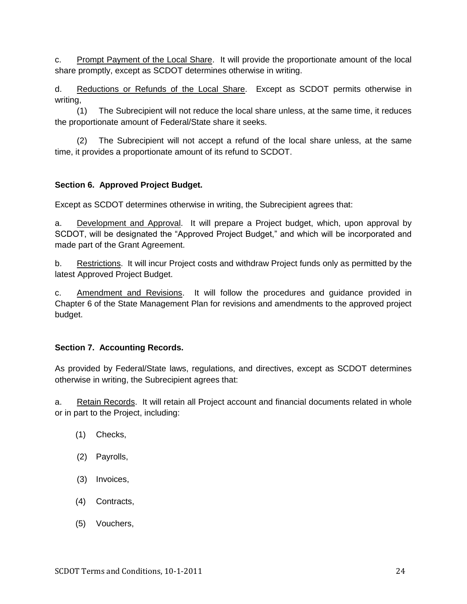<span id="page-34-0"></span>c. Prompt Payment of the Local Share. It will provide the proportionate amount of the local share promptly, except as SCDOT determines otherwise in writing.

<span id="page-34-1"></span>d. Reductions or Refunds of the Local Share. Except as SCDOT permits otherwise in writing,

(1) The Subrecipient will not reduce the local share unless, at the same time, it reduces the proportionate amount of Federal/State share it seeks.

(2) The Subrecipient will not accept a refund of the local share unless, at the same time, it provides a proportionate amount of its refund to SCDOT.

## <span id="page-34-2"></span>**Section 6. Approved Project Budget.**

Except as SCDOT determines otherwise in writing, the Subrecipient agrees that:

<span id="page-34-3"></span>a. Development and Approval. It will prepare a Project budget, which, upon approval by SCDOT, will be designated the "Approved Project Budget," and which will be incorporated and made part of the Grant Agreement.

<span id="page-34-4"></span>b. Restrictions. It will incur Project costs and withdraw Project funds only as permitted by the latest Approved Project Budget.

<span id="page-34-5"></span>c. Amendment and Revisions. It will follow the procedures and guidance provided in Chapter 6 of the State Management Plan for revisions and amendments to the approved project budget.

## <span id="page-34-6"></span>**Section 7. Accounting Records.**

As provided by Federal/State laws, regulations, and directives, except as SCDOT determines otherwise in writing, the Subrecipient agrees that:

<span id="page-34-7"></span>a. Retain Records. It will retain all Project account and financial documents related in whole or in part to the Project, including:

- (1) Checks,
- (2) Payrolls,
- (3) Invoices,
- (4) Contracts,
- (5) Vouchers,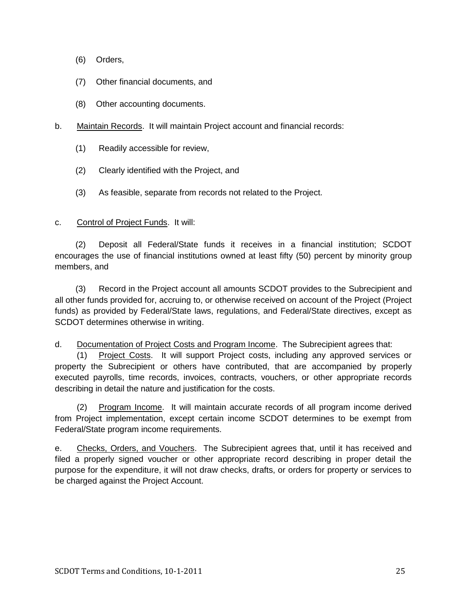- (6) Orders,
- (7) Other financial documents, and
- (8) Other accounting documents.
- <span id="page-35-0"></span>b. Maintain Records. It will maintain Project account and financial records:
	- (1) Readily accessible for review,
	- (2) Clearly identified with the Project, and
	- (3) As feasible, separate from records not related to the Project.

#### <span id="page-35-1"></span>c. Control of Project Funds. It will:

(2) Deposit all Federal/State funds it receives in a financial institution; SCDOT encourages the use of financial institutions owned at least fifty (50) percent by minority group members, and

(3) Record in the Project account all amounts SCDOT provides to the Subrecipient and all other funds provided for, accruing to, or otherwise received on account of the Project (Project funds) as provided by Federal/State laws, regulations, and Federal/State directives, except as SCDOT determines otherwise in writing.

#### <span id="page-35-2"></span>d. Documentation of Project Costs and Program Income. The Subrecipient agrees that:

(1) Project Costs. It will support Project costs, including any approved services or property the Subrecipient or others have contributed, that are accompanied by properly executed payrolls, time records, invoices, contracts, vouchers, or other appropriate records describing in detail the nature and justification for the costs.

(2) Program Income. It will maintain accurate records of all program income derived from Project implementation, except certain income SCDOT determines to be exempt from Federal/State program income requirements.

<span id="page-35-3"></span>e. Checks, Orders, and Vouchers. The Subrecipient agrees that, until it has received and filed a properly signed voucher or other appropriate record describing in proper detail the purpose for the expenditure, it will not draw checks, drafts, or orders for property or services to be charged against the Project Account.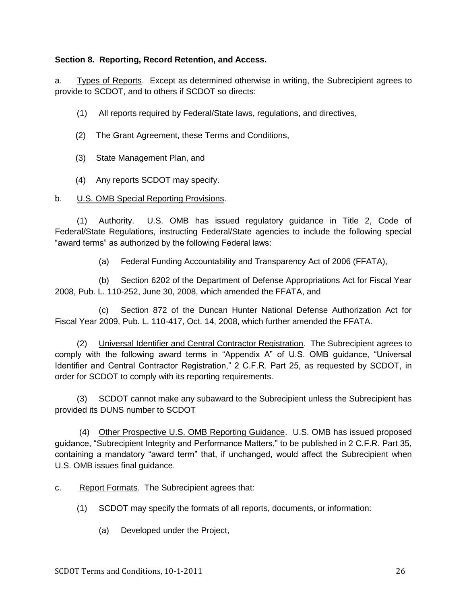# **Section 8. Reporting, Record Retention, and Access.**

a. Types of Reports. Except as determined otherwise in writing, the Subrecipient agrees to provide to SCDOT, and to others if SCDOT so directs:

(1) All reports required by Federal/State laws, regulations, and directives,

- (2) The Grant Agreement, these Terms and Conditions,
- (3) State Management Plan, and
- (4) Any reports SCDOT may specify.

## b. U.S. OMB Special Reporting Provisions.

(1) Authority. U.S. OMB has issued regulatory guidance in Title 2, Code of Federal/State Regulations, instructing Federal/State agencies to include the following special "award terms" as authorized by the following Federal laws:

(a) Federal Funding Accountability and Transparency Act of 2006 (FFATA),

(b) Section 6202 of the Department of Defense Appropriations Act for Fiscal Year 2008, Pub. L. 110-252, June 30, 2008, which amended the FFATA, and

(c) Section 872 of the Duncan Hunter National Defense Authorization Act for Fiscal Year 2009, Pub. L. 110-417, Oct. 14, 2008, which further amended the FFATA.

(2) Universal Identifier and Central Contractor Registration. The Subrecipient agrees to comply with the following award terms in "Appendix A" of U.S. OMB guidance, "Universal Identifier and Central Contractor Registration," 2 C.F.R. Part 25, as requested by SCDOT, in order for SCDOT to comply with its reporting requirements.

(3) SCDOT cannot make any subaward to the Subrecipient unless the Subrecipient has provided its DUNS number to SCDOT

(4) Other Prospective U.S. OMB Reporting Guidance. U.S. OMB has issued proposed guidance, "Subrecipient Integrity and Performance Matters," to be published in 2 C.F.R. Part 35, containing a mandatory "award term" that, if unchanged, would affect the Subrecipient when U.S. OMB issues final guidance.

c. Report Formats. The Subrecipient agrees that:

- (1) SCDOT may specify the formats of all reports, documents, or information:
	- (a) Developed under the Project,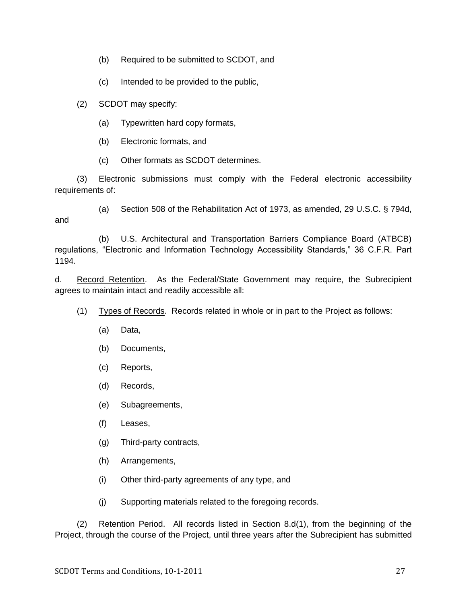- (b) Required to be submitted to SCDOT, and
- (c) Intended to be provided to the public,
- (2) SCDOT may specify:
	- (a) Typewritten hard copy formats,
	- (b) Electronic formats, and
	- (c) Other formats as SCDOT determines.

(3) Electronic submissions must comply with the Federal electronic accessibility requirements of:

(a) Section 508 of the Rehabilitation Act of 1973, as amended, 29 U.S.C. § 794d, and

(b) U.S. Architectural and Transportation Barriers Compliance Board (ATBCB) regulations, "Electronic and Information Technology Accessibility Standards," 36 C.F.R. Part 1194.

d. Record Retention. As the Federal/State Government may require, the Subrecipient agrees to maintain intact and readily accessible all:

- (1) Types of Records. Records related in whole or in part to the Project as follows:
	- (a) Data,
	- (b) Documents,
	- (c) Reports,
	- (d) Records,
	- (e) Subagreements,
	- (f) Leases,
	- (g) Third-party contracts,
	- (h) Arrangements,
	- (i) Other third-party agreements of any type, and
	- (j) Supporting materials related to the foregoing records.

(2) Retention Period. All records listed in Section 8.d(1), from the beginning of the Project, through the course of the Project, until three years after the Subrecipient has submitted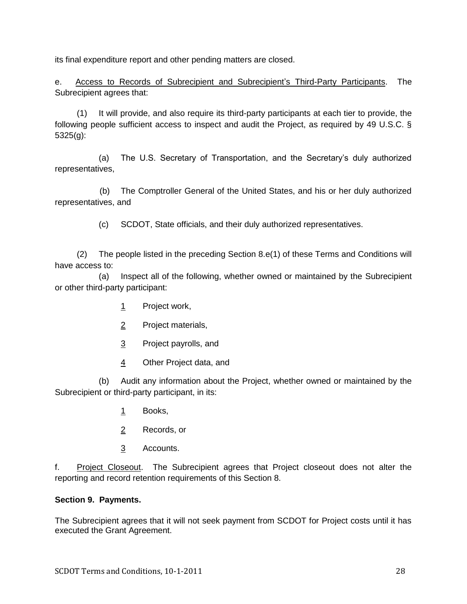its final expenditure report and other pending matters are closed.

e. Access to Records of Subrecipient and Subrecipient's Third-Party Participants. The Subrecipient agrees that:

(1) It will provide, and also require its third-party participants at each tier to provide, the following people sufficient access to inspect and audit the Project, as required by 49 U.S.C. § 5325(g):

(a) The U.S. Secretary of Transportation, and the Secretary's duly authorized representatives,

(b) The Comptroller General of the United States, and his or her duly authorized representatives, and

(c) SCDOT, State officials, and their duly authorized representatives.

(2) The people listed in the preceding Section 8.e(1) of these Terms and Conditions will have access to:

(a) Inspect all of the following, whether owned or maintained by the Subrecipient or other third-party participant:

- 1 Project work,
- 2 Project materials,
- 3 Project payrolls, and
- 4 Other Project data, and

(b) Audit any information about the Project, whether owned or maintained by the Subrecipient or third-party participant, in its:

- 1 Books,
- 2 Records, or
- 3 Accounts.

f. Project Closeout. The Subrecipient agrees that Project closeout does not alter the reporting and record retention requirements of this Section 8.

## **Section 9. Payments.**

The Subrecipient agrees that it will not seek payment from SCDOT for Project costs until it has executed the Grant Agreement.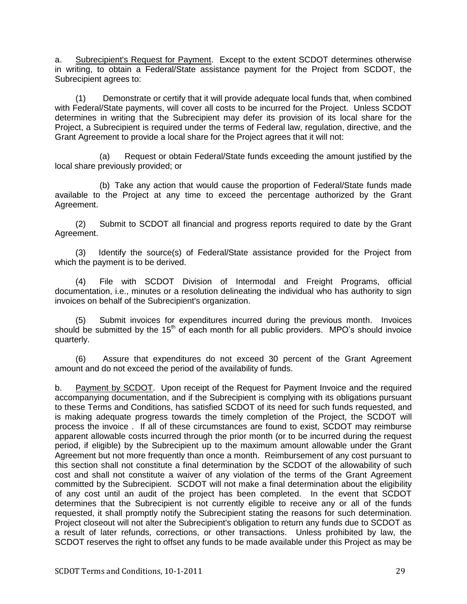a. Subrecipient's Request for Payment. Except to the extent SCDOT determines otherwise in writing, to obtain a Federal/State assistance payment for the Project from SCDOT, the Subrecipient agrees to:

(1) Demonstrate or certify that it will provide adequate local funds that, when combined with Federal/State payments, will cover all costs to be incurred for the Project. Unless SCDOT determines in writing that the Subrecipient may defer its provision of its local share for the Project, a Subrecipient is required under the terms of Federal law, regulation, directive, and the Grant Agreement to provide a local share for the Project agrees that it will not:

(a) Request or obtain Federal/State funds exceeding the amount justified by the local share previously provided; or

(b) Take any action that would cause the proportion of Federal/State funds made available to the Project at any time to exceed the percentage authorized by the Grant Agreement.

(2) Submit to SCDOT all financial and progress reports required to date by the Grant Agreement.

(3) Identify the source(s) of Federal/State assistance provided for the Project from which the payment is to be derived.

(4) File with SCDOT Division of Intermodal and Freight Programs, official documentation, i.e., minutes or a resolution delineating the individual who has authority to sign invoices on behalf of the Subrecipient's organization.

(5) Submit invoices for expenditures incurred during the previous month. Invoices should be submitted by the  $15<sup>th</sup>$  of each month for all public providers. MPO's should invoice quarterly.

(6) Assure that expenditures do not exceed 30 percent of the Grant Agreement amount and do not exceed the period of the availability of funds.

b. Payment by SCDOT. Upon receipt of the Request for Payment Invoice and the required accompanying documentation, and if the Subrecipient is complying with its obligations pursuant to these Terms and Conditions, has satisfied SCDOT of its need for such funds requested, and is making adequate progress towards the timely completion of the Project, the SCDOT will process the invoice . If all of these circumstances are found to exist, SCDOT may reimburse apparent allowable costs incurred through the prior month (or to be incurred during the request period, if eligible) by the Subrecipient up to the maximum amount allowable under the Grant Agreement but not more frequently than once a month. Reimbursement of any cost pursuant to this section shall not constitute a final determination by the SCDOT of the allowability of such cost and shall not constitute a waiver of any violation of the terms of the Grant Agreement committed by the Subrecipient. SCDOT will not make a final determination about the eligibility of any cost until an audit of the project has been completed. In the event that SCDOT determines that the Subrecipient is not currently eligible to receive any or all of the funds requested, it shall promptly notify the Subrecipient stating the reasons for such determination. Project closeout will not alter the Subrecipient's obligation to return any funds due to SCDOT as a result of later refunds, corrections, or other transactions. Unless prohibited by law, the SCDOT reserves the right to offset any funds to be made available under this Project as may be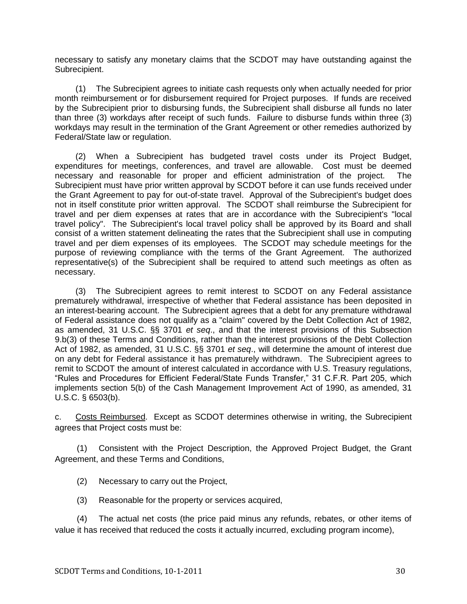necessary to satisfy any monetary claims that the SCDOT may have outstanding against the Subrecipient.

(1) The Subrecipient agrees to initiate cash requests only when actually needed for prior month reimbursement or for disbursement required for Project purposes. If funds are received by the Subrecipient prior to disbursing funds, the Subrecipient shall disburse all funds no later than three (3) workdays after receipt of such funds. Failure to disburse funds within three (3) workdays may result in the termination of the Grant Agreement or other remedies authorized by Federal/State law or regulation.

(2) When a Subrecipient has budgeted travel costs under its Project Budget, expenditures for meetings, conferences, and travel are allowable. Cost must be deemed necessary and reasonable for proper and efficient administration of the project. The Subrecipient must have prior written approval by SCDOT before it can use funds received under the Grant Agreement to pay for out-of-state travel. Approval of the Subrecipient's budget does not in itself constitute prior written approval. The SCDOT shall reimburse the Subrecipient for travel and per diem expenses at rates that are in accordance with the Subrecipient's "local travel policy". The Subrecipient's local travel policy shall be approved by its Board and shall consist of a written statement delineating the rates that the Subrecipient shall use in computing travel and per diem expenses of its employees. The SCDOT may schedule meetings for the purpose of reviewing compliance with the terms of the Grant Agreement. The authorized representative(s) of the Subrecipient shall be required to attend such meetings as often as necessary.

(3) The Subrecipient agrees to remit interest to SCDOT on any Federal assistance prematurely withdrawal, irrespective of whether that Federal assistance has been deposited in an interest-bearing account. The Subrecipient agrees that a debt for any premature withdrawal of Federal assistance does not qualify as a "claim" covered by the Debt Collection Act of 1982, as amended, 31 U.S.C. §§ 3701 *et seq*., and that the interest provisions of this Subsection 9.b(3) of these Terms and Conditions, rather than the interest provisions of the Debt Collection Act of 1982, as amended, 31 U.S.C. §§ 3701 *et seq*., will determine the amount of interest due on any debt for Federal assistance it has prematurely withdrawn. The Subrecipient agrees to remit to SCDOT the amount of interest calculated in accordance with U.S. Treasury regulations, "Rules and Procedures for Efficient Federal/State Funds Transfer," 31 C.F.R. Part 205, which implements section 5(b) of the Cash Management Improvement Act of 1990, as amended, 31 U.S.C. § 6503(b).

c. Costs Reimbursed. Except as SCDOT determines otherwise in writing, the Subrecipient agrees that Project costs must be:

(1) Consistent with the Project Description, the Approved Project Budget, the Grant Agreement, and these Terms and Conditions,

- (2) Necessary to carry out the Project,
- (3) Reasonable for the property or services acquired,

(4) The actual net costs (the price paid minus any refunds, rebates, or other items of value it has received that reduced the costs it actually incurred, excluding program income),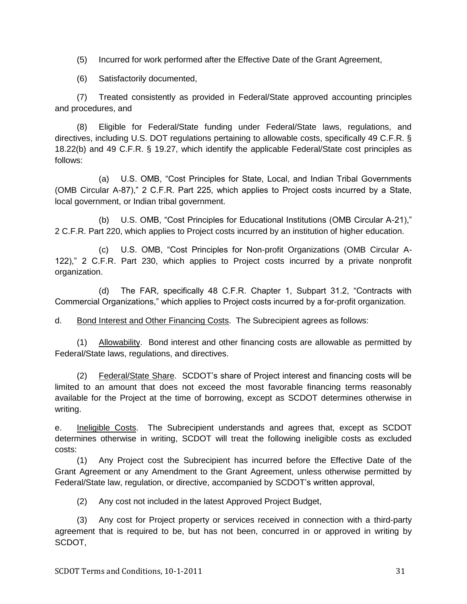(5) Incurred for work performed after the Effective Date of the Grant Agreement,

(6) Satisfactorily documented,

(7) Treated consistently as provided in Federal/State approved accounting principles and procedures, and

(8) Eligible for Federal/State funding under Federal/State laws, regulations, and directives, including U.S. DOT regulations pertaining to allowable costs, specifically 49 C.F.R. § 18.22(b) and 49 C.F.R. § 19.27, which identify the applicable Federal/State cost principles as follows:

(a) U.S. OMB, "Cost Principles for State, Local, and Indian Tribal Governments (OMB Circular A-87)," 2 C.F.R. Part 225, which applies to Project costs incurred by a State, local government, or Indian tribal government.

(b) U.S. OMB, "Cost Principles for Educational Institutions (OMB Circular A-21)," 2 C.F.R. Part 220, which applies to Project costs incurred by an institution of higher education.

(c) U.S. OMB, "Cost Principles for Non-profit Organizations (OMB Circular A-122)," 2 C.F.R. Part 230, which applies to Project costs incurred by a private nonprofit organization.

(d) The FAR, specifically 48 C.F.R. Chapter 1, Subpart 31.2, "Contracts with Commercial Organizations," which applies to Project costs incurred by a for-profit organization.

d. Bond Interest and Other Financing Costs. The Subrecipient agrees as follows:

(1) Allowability. Bond interest and other financing costs are allowable as permitted by Federal/State laws, regulations, and directives.

(2) Federal/State Share. SCDOT's share of Project interest and financing costs will be limited to an amount that does not exceed the most favorable financing terms reasonably available for the Project at the time of borrowing, except as SCDOT determines otherwise in writing.

e. Ineligible Costs. The Subrecipient understands and agrees that, except as SCDOT determines otherwise in writing, SCDOT will treat the following ineligible costs as excluded costs:

(1) Any Project cost the Subrecipient has incurred before the Effective Date of the Grant Agreement or any Amendment to the Grant Agreement, unless otherwise permitted by Federal/State law, regulation, or directive, accompanied by SCDOT's written approval,

(2) Any cost not included in the latest Approved Project Budget,

(3) Any cost for Project property or services received in connection with a third-party agreement that is required to be, but has not been, concurred in or approved in writing by SCDOT,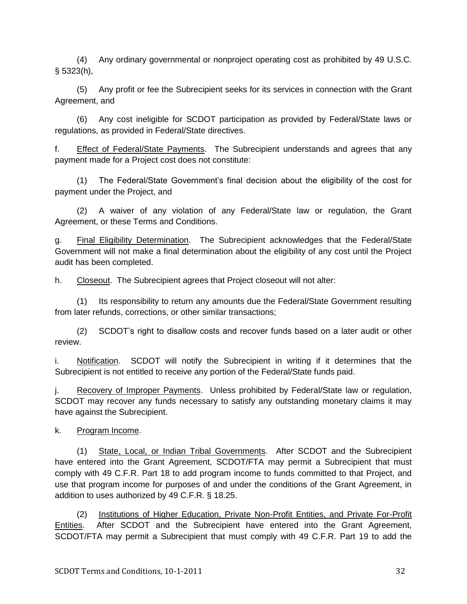(4) Any ordinary governmental or nonproject operating cost as prohibited by 49 U.S.C. § 5323(h),

(5) Any profit or fee the Subrecipient seeks for its services in connection with the Grant Agreement, and

(6) Any cost ineligible for SCDOT participation as provided by Federal/State laws or regulations, as provided in Federal/State directives.

f. Effect of Federal/State Payments. The Subrecipient understands and agrees that any payment made for a Project cost does not constitute:

(1) The Federal/State Government's final decision about the eligibility of the cost for payment under the Project, and

(2) A waiver of any violation of any Federal/State law or regulation, the Grant Agreement, or these Terms and Conditions.

g. Final Eligibility Determination. The Subrecipient acknowledges that the Federal/State Government will not make a final determination about the eligibility of any cost until the Project audit has been completed.

h. Closeout. The Subrecipient agrees that Project closeout will not alter:

(1) Its responsibility to return any amounts due the Federal/State Government resulting from later refunds, corrections, or other similar transactions;

(2) SCDOT's right to disallow costs and recover funds based on a later audit or other review.

i. Notification. SCDOT will notify the Subrecipient in writing if it determines that the Subrecipient is not entitled to receive any portion of the Federal/State funds paid.

j. Recovery of Improper Payments. Unless prohibited by Federal/State law or regulation, SCDOT may recover any funds necessary to satisfy any outstanding monetary claims it may have against the Subrecipient.

k. Program Income.

(1) State, Local, or Indian Tribal Governments. After SCDOT and the Subrecipient have entered into the Grant Agreement, SCDOT/FTA may permit a Subrecipient that must comply with 49 C.F.R. Part 18 to add program income to funds committed to that Project, and use that program income for purposes of and under the conditions of the Grant Agreement, in addition to uses authorized by 49 C.F.R. § 18.25.

(2) Institutions of Higher Education, Private Non-Profit Entities, and Private For-Profit Entities. After SCDOT and the Subrecipient have entered into the Grant Agreement, SCDOT/FTA may permit a Subrecipient that must comply with 49 C.F.R. Part 19 to add the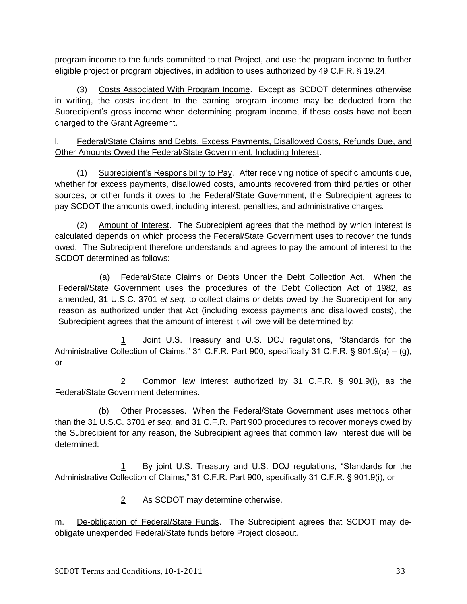program income to the funds committed to that Project, and use the program income to further eligible project or program objectives, in addition to uses authorized by 49 C.F.R. § 19.24.

(3) Costs Associated With Program Income. Except as SCDOT determines otherwise in writing, the costs incident to the earning program income may be deducted from the Subrecipient's gross income when determining program income, if these costs have not been charged to the Grant Agreement.

l. Federal/State Claims and Debts, Excess Payments, Disallowed Costs, Refunds Due, and Other Amounts Owed the Federal/State Government, Including Interest.

(1) Subrecipient's Responsibility to Pay. After receiving notice of specific amounts due, whether for excess payments, disallowed costs, amounts recovered from third parties or other sources, or other funds it owes to the Federal/State Government, the Subrecipient agrees to pay SCDOT the amounts owed, including interest, penalties, and administrative charges.

(2) Amount of Interest. The Subrecipient agrees that the method by which interest is calculated depends on which process the Federal/State Government uses to recover the funds owed. The Subrecipient therefore understands and agrees to pay the amount of interest to the SCDOT determined as follows:

(a) Federal/State Claims or Debts Under the Debt Collection Act. When the Federal/State Government uses the procedures of the Debt Collection Act of 1982, as amended, 31 U.S.C. 3701 *et seq.* to collect claims or debts owed by the Subrecipient for any reason as authorized under that Act (including excess payments and disallowed costs), the Subrecipient agrees that the amount of interest it will owe will be determined by:

1 Joint U.S. Treasury and U.S. DOJ regulations, "Standards for the Administrative Collection of Claims," 31 C.F.R. Part 900, specifically 31 C.F.R. § 901.9(a) – (g), or

2 Common law interest authorized by 31 C.F.R. § 901.9(i), as the Federal/State Government determines.

(b) Other Processes. When the Federal/State Government uses methods other than the 31 U.S.C. 3701 *et seq*. and 31 C.F.R. Part 900 procedures to recover moneys owed by the Subrecipient for any reason, the Subrecipient agrees that common law interest due will be determined:

1 By joint U.S. Treasury and U.S. DOJ regulations, "Standards for the Administrative Collection of Claims," 31 C.F.R. Part 900, specifically 31 C.F.R. § 901.9(i), or

2 As SCDOT may determine otherwise.

m. De-obligation of Federal/State Funds. The Subrecipient agrees that SCDOT may deobligate unexpended Federal/State funds before Project closeout.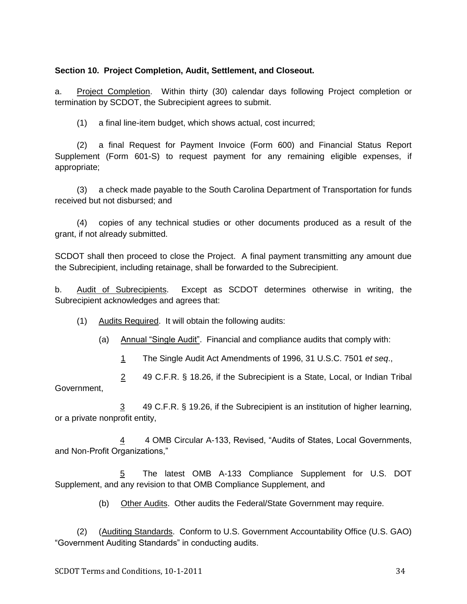# **Section 10. Project Completion, Audit, Settlement, and Closeout.**

a. Project Completion. Within thirty (30) calendar days following Project completion or termination by SCDOT, the Subrecipient agrees to submit.

(1) a final line-item budget, which shows actual, cost incurred;

(2) a final Request for Payment Invoice (Form 600) and Financial Status Report Supplement (Form 601-S) to request payment for any remaining eligible expenses, if appropriate;

(3) a check made payable to the South Carolina Department of Transportation for funds received but not disbursed; and

(4) copies of any technical studies or other documents produced as a result of the grant, if not already submitted.

SCDOT shall then proceed to close the Project. A final payment transmitting any amount due the Subrecipient, including retainage, shall be forwarded to the Subrecipient.

b. Audit of Subrecipients. Except as SCDOT determines otherwise in writing, the Subrecipient acknowledges and agrees that:

(1) Audits Required. It will obtain the following audits:

(a) Annual "Single Audit". Financial and compliance audits that comply with:

1 The Single Audit Act Amendments of 1996, 31 U.S.C. 7501 *et seq*.,

2 49 C.F.R. § 18.26, if the Subrecipient is a State, Local, or Indian Tribal Government,

3 49 C.F.R. § 19.26, if the Subrecipient is an institution of higher learning, or a private nonprofit entity,

4 4 OMB Circular A-133, Revised, "Audits of States, Local Governments, and Non-Profit Organizations,"

5 The latest OMB A-133 Compliance Supplement for U.S. DOT Supplement, and any revision to that OMB Compliance Supplement, and

(b) Other Audits. Other audits the Federal/State Government may require.

(2) (Auditing Standards. Conform to U.S. Government Accountability Office (U.S. GAO) ―Government Auditing Standards‖ in conducting audits.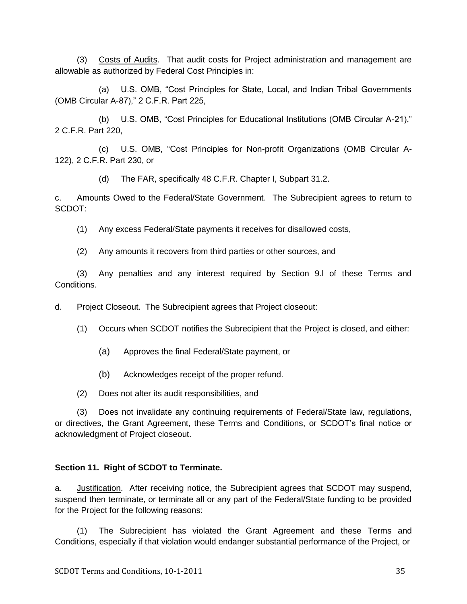(3) Costs of Audits. That audit costs for Project administration and management are allowable as authorized by Federal Cost Principles in:

(a) U.S. OMB, "Cost Principles for State, Local, and Indian Tribal Governments (OMB Circular A-87)," 2 C.F.R. Part 225,

(b) U.S. OMB, "Cost Principles for Educational Institutions (OMB Circular A-21)," 2 C.F.R. Part 220,

(c) U.S. OMB, "Cost Principles for Non-profit Organizations (OMB Circular A-122), 2 C.F.R. Part 230, or

(d) The FAR, specifically 48 C.F.R. Chapter I, Subpart 31.2.

c. Amounts Owed to the Federal/State Government. The Subrecipient agrees to return to SCDOT:

(1) Any excess Federal/State payments it receives for disallowed costs,

(2) Any amounts it recovers from third parties or other sources, and

(3) Any penalties and any interest required by Section 9.l of these Terms and Conditions.

d. Project Closeout. The Subrecipient agrees that Project closeout:

(1) Occurs when SCDOT notifies the Subrecipient that the Project is closed, and either:

- (a) Approves the final Federal/State payment, or
- (b) Acknowledges receipt of the proper refund.
- (2) Does not alter its audit responsibilities, and

(3) Does not invalidate any continuing requirements of Federal/State law, regulations, or directives, the Grant Agreement, these Terms and Conditions, or SCDOT's final notice or acknowledgment of Project closeout.

## **Section 11. Right of SCDOT to Terminate.**

a. Justification. After receiving notice, the Subrecipient agrees that SCDOT may suspend, suspend then terminate, or terminate all or any part of the Federal/State funding to be provided for the Project for the following reasons:

(1) The Subrecipient has violated the Grant Agreement and these Terms and Conditions, especially if that violation would endanger substantial performance of the Project, or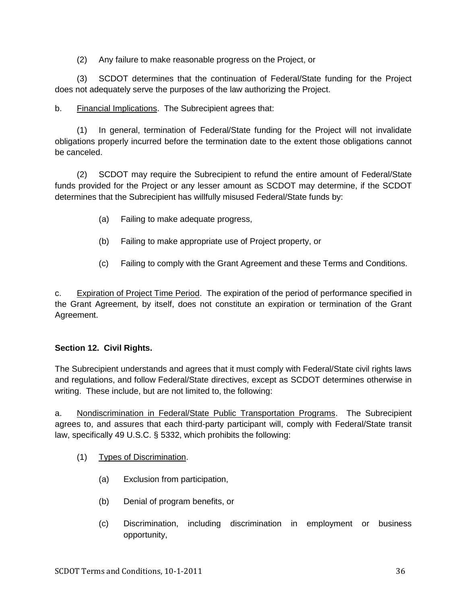(2) Any failure to make reasonable progress on the Project, or

(3) SCDOT determines that the continuation of Federal/State funding for the Project does not adequately serve the purposes of the law authorizing the Project.

b. Financial Implications. The Subrecipient agrees that:

(1) In general, termination of Federal/State funding for the Project will not invalidate obligations properly incurred before the termination date to the extent those obligations cannot be canceled.

(2) SCDOT may require the Subrecipient to refund the entire amount of Federal/State funds provided for the Project or any lesser amount as SCDOT may determine, if the SCDOT determines that the Subrecipient has willfully misused Federal/State funds by:

- (a) Failing to make adequate progress,
- (b) Failing to make appropriate use of Project property, or
- (c) Failing to comply with the Grant Agreement and these Terms and Conditions.

c. Expiration of Project Time Period. The expiration of the period of performance specified in the Grant Agreement, by itself, does not constitute an expiration or termination of the Grant Agreement.

# **Section 12. Civil Rights.**

The Subrecipient understands and agrees that it must comply with Federal/State civil rights laws and regulations, and follow Federal/State directives, except as SCDOT determines otherwise in writing. These include, but are not limited to, the following:

a. Nondiscrimination in Federal/State Public Transportation Programs. The Subrecipient agrees to, and assures that each third-party participant will, comply with Federal/State transit law, specifically 49 U.S.C. § 5332, which prohibits the following:

- (1) Types of Discrimination.
	- (a) Exclusion from participation,
	- (b) Denial of program benefits, or
	- (c) Discrimination, including discrimination in employment or business opportunity,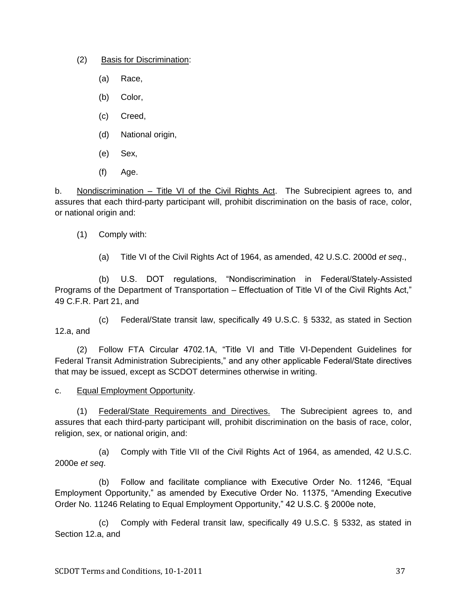(2) Basis for Discrimination:

- (a) Race,
- (b) Color,
- (c) Creed,
- (d) National origin,
- (e) Sex,
- (f) Age.

b. Nondiscrimination – Title VI of the Civil Rights Act. The Subrecipient agrees to, and assures that each third-party participant will, prohibit discrimination on the basis of race, color, or national origin and:

(1) Comply with:

(a) Title VI of the Civil Rights Act of 1964, as amended, 42 U.S.C. 2000d *et seq*.,

(b) U.S. DOT regulations, "Nondiscrimination in Federal/Stately-Assisted Programs of the Department of Transportation – Effectuation of Title VI of the Civil Rights Act," 49 C.F.R. Part 21, and

(c) Federal/State transit law, specifically 49 U.S.C. § 5332, as stated in Section 12.a, and

(2) Follow FTA Circular 4702.1A, "Title VI and Title VI-Dependent Guidelines for Federal Transit Administration Subrecipients," and any other applicable Federal/State directives that may be issued, except as SCDOT determines otherwise in writing.

c. Equal Employment Opportunity.

(1) Federal/State Requirements and Directives. The Subrecipient agrees to, and assures that each third-party participant will, prohibit discrimination on the basis of race, color, religion, sex, or national origin, and:

(a) Comply with Title VII of the Civil Rights Act of 1964, as amended, 42 U.S.C. 2000e *et seq*.

(b) Follow and facilitate compliance with Executive Order No. 11246, "Equal Employment Opportunity," as amended by Executive Order No. 11375, "Amending Executive Order No. 11246 Relating to Equal Employment Opportunity," 42 U.S.C. § 2000e note,

(c) Comply with Federal transit law, specifically 49 U.S.C. § 5332, as stated in Section 12.a, and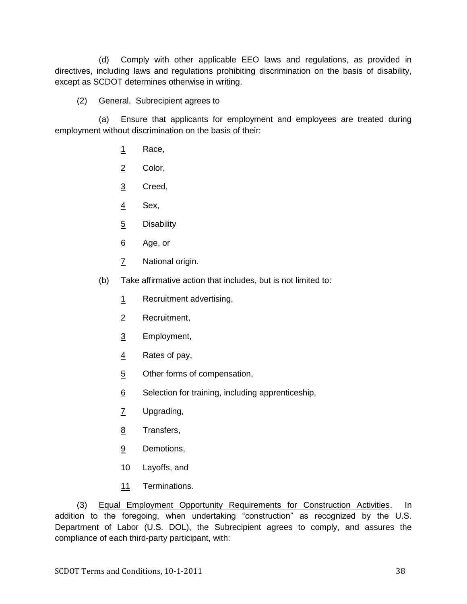(d) Comply with other applicable EEO laws and regulations, as provided in directives, including laws and regulations prohibiting discrimination on the basis of disability, except as SCDOT determines otherwise in writing.

# (2) General. Subrecipient agrees to

(a) Ensure that applicants for employment and employees are treated during employment without discrimination on the basis of their:

- 1 Race,
- 2 Color,
- 3 Creed,
- $\frac{4}{5}$  Sex,
- 5 Disability
- 6 Age, or
- 7 National origin.
- (b) Take affirmative action that includes, but is not limited to:
	- 1 Recruitment advertising,
	- 2 Recruitment,
	- 3 Employment,
	- 4 Rates of pay,
	- 5 Other forms of compensation,
	- 6 Selection for training, including apprenticeship,
	- 7 Upgrading,
	- 8 Transfers,
	- 9 Demotions,
	- 10 Layoffs, and
	- 11 Terminations.

(3) Equal Employment Opportunity Requirements for Construction Activities. In addition to the foregoing, when undertaking "construction" as recognized by the U.S. Department of Labor (U.S. DOL), the Subrecipient agrees to comply, and assures the compliance of each third-party participant, with: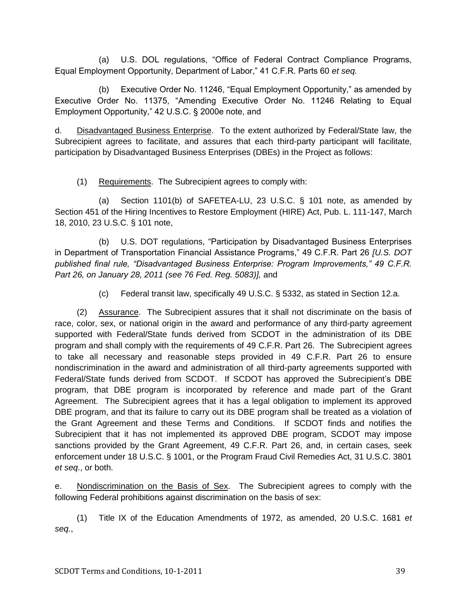(a) U.S. DOL regulations, "Office of Federal Contract Compliance Programs, Equal Employment Opportunity, Department of Labor," 41 C.F.R. Parts 60 *et seq.* 

(b) Executive Order No. 11246, "Equal Employment Opportunity," as amended by Executive Order No. 11375, "Amending Executive Order No. 11246 Relating to Equal Employment Opportunity," 42 U.S.C. § 2000e note, and

d. Disadvantaged Business Enterprise. To the extent authorized by Federal/State law, the Subrecipient agrees to facilitate, and assures that each third-party participant will facilitate, participation by Disadvantaged Business Enterprises (DBEs) in the Project as follows:

(1) Requirements. The Subrecipient agrees to comply with:

(a) Section 1101(b) of SAFETEA-LU, 23 U.S.C. § 101 note, as amended by Section 451 of the Hiring Incentives to Restore Employment (HIRE) Act, Pub. L. 111-147, March 18, 2010, 23 U.S.C. § 101 note,

(b) U.S. DOT regulations, "Participation by Disadvantaged Business Enterprises in Department of Transportation Financial Assistance Programs," 49 C.F.R. Part 26 *[U.S. DOT published final rule, "Disadvantaged Business Enterprise: Program Improvements," 49 C.F.R. Part 26, on January 28, 2011 (see 76 Fed. Reg. 5083)],* and

(c) Federal transit law, specifically 49 U.S.C. § 5332, as stated in Section 12.a.

(2) Assurance. The Subrecipient assures that it shall not discriminate on the basis of race, color, sex, or national origin in the award and performance of any third-party agreement supported with Federal/State funds derived from SCDOT in the administration of its DBE program and shall comply with the requirements of 49 C.F.R. Part 26. The Subrecipient agrees to take all necessary and reasonable steps provided in 49 C.F.R. Part 26 to ensure nondiscrimination in the award and administration of all third-party agreements supported with Federal/State funds derived from SCDOT. If SCDOT has approved the Subrecipient's DBE program, that DBE program is incorporated by reference and made part of the Grant Agreement. The Subrecipient agrees that it has a legal obligation to implement its approved DBE program, and that its failure to carry out its DBE program shall be treated as a violation of the Grant Agreement and these Terms and Conditions. If SCDOT finds and notifies the Subrecipient that it has not implemented its approved DBE program, SCDOT may impose sanctions provided by the Grant Agreement, 49 C.F.R. Part 26, and, in certain cases, seek enforcement under 18 U.S.C. § 1001, or the Program Fraud Civil Remedies Act, 31 U.S.C. 3801 *et seq*., or both.

e. Nondiscrimination on the Basis of Sex. The Subrecipient agrees to comply with the following Federal prohibitions against discrimination on the basis of sex:

(1) Title IX of the Education Amendments of 1972, as amended, 20 U.S.C. 1681 *et seq.*,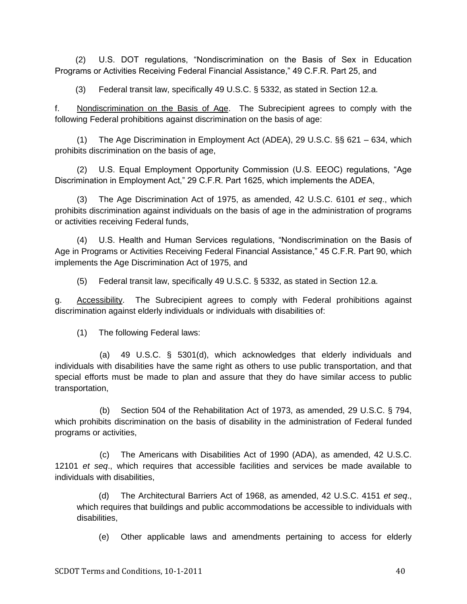(2) U.S. DOT regulations, "Nondiscrimination on the Basis of Sex in Education Programs or Activities Receiving Federal Financial Assistance," 49 C.F.R. Part 25, and

(3) Federal transit law, specifically 49 U.S.C. § 5332, as stated in Section 12.a.

f. Nondiscrimination on the Basis of Age. The Subrecipient agrees to comply with the following Federal prohibitions against discrimination on the basis of age:

(1) The Age Discrimination in Employment Act (ADEA), 29 U.S.C. §§ 621 – 634, which prohibits discrimination on the basis of age,

(2) U.S. Equal Employment Opportunity Commission (U.S. EEOC) regulations, "Age Discrimination in Employment Act," 29 C.F.R. Part 1625, which implements the ADEA,

(3) The Age Discrimination Act of 1975, as amended, 42 U.S.C. 6101 *et seq*., which prohibits discrimination against individuals on the basis of age in the administration of programs or activities receiving Federal funds,

(4) U.S. Health and Human Services regulations, "Nondiscrimination on the Basis of Age in Programs or Activities Receiving Federal Financial Assistance," 45 C.F.R. Part 90, which implements the Age Discrimination Act of 1975, and

(5) Federal transit law, specifically 49 U.S.C. § 5332, as stated in Section 12.a.

g. Accessibility. The Subrecipient agrees to comply with Federal prohibitions against discrimination against elderly individuals or individuals with disabilities of:

(1) The following Federal laws:

(a) 49 U.S.C. § 5301(d), which acknowledges that elderly individuals and individuals with disabilities have the same right as others to use public transportation, and that special efforts must be made to plan and assure that they do have similar access to public transportation,

(b) Section 504 of the Rehabilitation Act of 1973, as amended, 29 U.S.C. § 794, which prohibits discrimination on the basis of disability in the administration of Federal funded programs or activities,

(c) The Americans with Disabilities Act of 1990 (ADA), as amended, 42 U.S.C. 12101 *et seq*., which requires that accessible facilities and services be made available to individuals with disabilities,

(d) The Architectural Barriers Act of 1968, as amended, 42 U.S.C. 4151 *et seq*., which requires that buildings and public accommodations be accessible to individuals with disabilities,

(e) Other applicable laws and amendments pertaining to access for elderly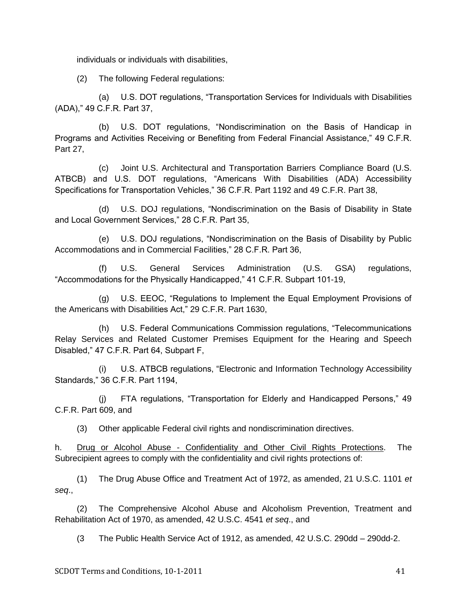individuals or individuals with disabilities,

(2) The following Federal regulations:

(a) U.S. DOT regulations, "Transportation Services for Individuals with Disabilities (ADA),‖ 49 C.F.R. Part 37,

(b) U.S. DOT regulations, "Nondiscrimination on the Basis of Handicap in Programs and Activities Receiving or Benefiting from Federal Financial Assistance," 49 C.F.R. Part 27,

(c) Joint U.S. Architectural and Transportation Barriers Compliance Board (U.S. ATBCB) and U.S. DOT regulations, "Americans With Disabilities (ADA) Accessibility Specifications for Transportation Vehicles," 36 C.F.R. Part 1192 and 49 C.F.R. Part 38,

(d) U.S. DOJ regulations, "Nondiscrimination on the Basis of Disability in State and Local Government Services," 28 C.F.R. Part 35,

(e) U.S. DOJ regulations, "Nondiscrimination on the Basis of Disability by Public Accommodations and in Commercial Facilities," 28 C.F.R. Part 36,

(f) U.S. General Services Administration (U.S. GSA) regulations, "Accommodations for the Physically Handicapped," 41 C.F.R. Subpart 101-19,

(g) U.S. EEOC, "Regulations to Implement the Equal Employment Provisions of the Americans with Disabilities Act," 29 C.F.R. Part 1630,

(h) U.S. Federal Communications Commission regulations, "Telecommunications Relay Services and Related Customer Premises Equipment for the Hearing and Speech Disabled," 47 C.F.R. Part 64, Subpart F,

(i) U.S. ATBCB regulations, "Electronic and Information Technology Accessibility Standards,‖ 36 C.F.R. Part 1194,

(i) FTA regulations, "Transportation for Elderly and Handicapped Persons," 49 C.F.R. Part 609, and

(3) Other applicable Federal civil rights and nondiscrimination directives.

h. Drug or Alcohol Abuse - Confidentiality and Other Civil Rights Protections. The Subrecipient agrees to comply with the confidentiality and civil rights protections of:

(1) The Drug Abuse Office and Treatment Act of 1972, as amended, 21 U.S.C. 1101 *et seq*.,

(2) The Comprehensive Alcohol Abuse and Alcoholism Prevention, Treatment and Rehabilitation Act of 1970, as amended, 42 U.S.C. 4541 *et seq*., and

(3 The Public Health Service Act of 1912, as amended, 42 U.S.C. 290dd – 290dd-2.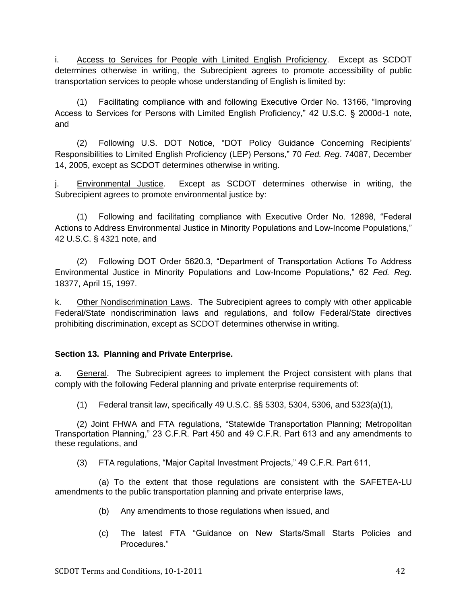i. Access to Services for People with Limited English Proficiency. Except as SCDOT determines otherwise in writing, the Subrecipient agrees to promote accessibility of public transportation services to people whose understanding of English is limited by:

(1) Facilitating compliance with and following Executive Order No. 13166, "Improving Access to Services for Persons with Limited English Proficiency," 42 U.S.C. § 2000d-1 note, and

(2) Following U.S. DOT Notice, "DOT Policy Guidance Concerning Recipients' Responsibilities to Limited English Proficiency (LEP) Persons," 70 *Fed. Reg.* 74087, December 14, 2005, except as SCDOT determines otherwise in writing.

j. Environmental Justice. Except as SCDOT determines otherwise in writing, the Subrecipient agrees to promote environmental justice by:

(1) Following and facilitating compliance with Executive Order No. 12898, "Federal Actions to Address Environmental Justice in Minority Populations and Low-Income Populations," 42 U.S.C. § 4321 note, and

(2) Following DOT Order 5620.3, "Department of Transportation Actions To Address Environmental Justice in Minority Populations and Low-Income Populations,‖ 62 *Fed. Reg*. 18377, April 15, 1997.

k. Other Nondiscrimination Laws. The Subrecipient agrees to comply with other applicable Federal/State nondiscrimination laws and regulations, and follow Federal/State directives prohibiting discrimination, except as SCDOT determines otherwise in writing.

## **Section 13. Planning and Private Enterprise.**

a. General. The Subrecipient agrees to implement the Project consistent with plans that comply with the following Federal planning and private enterprise requirements of:

(1) Federal transit law, specifically 49 U.S.C. §§ 5303, 5304, 5306, and 5323(a)(1),

(2) Joint FHWA and FTA regulations, "Statewide Transportation Planning; Metropolitan Transportation Planning," 23 C.F.R. Part 450 and 49 C.F.R. Part 613 and any amendments to these regulations, and

(3) FTA regulations, "Major Capital Investment Projects," 49 C.F.R. Part 611,

(a) To the extent that those regulations are consistent with the SAFETEA-LU amendments to the public transportation planning and private enterprise laws,

- (b) Any amendments to those regulations when issued, and
- (c) The latest FTA "Guidance on New Starts/Small Starts Policies and Procedures."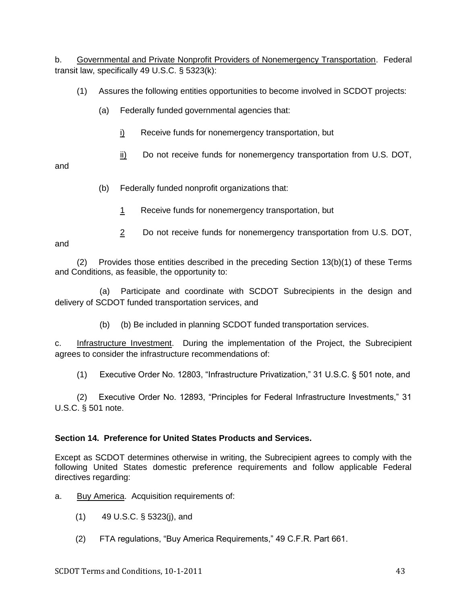b. Governmental and Private Nonprofit Providers of Nonemergency Transportation. Federal transit law, specifically 49 U.S.C. § 5323(k):

- (1) Assures the following entities opportunities to become involved in SCDOT projects:
	- (a) Federally funded governmental agencies that:
		- i) Receive funds for nonemergency transportation, but
		- $ii)$  Do not receive funds for nonemergency transportation from U.S. DOT,

and

- (b) Federally funded nonprofit organizations that:
	- 1 Receive funds for nonemergency transportation, but
	- 2 Do not receive funds for nonemergency transportation from U.S. DOT,

and

(2) Provides those entities described in the preceding Section 13(b)(1) of these Terms and Conditions, as feasible, the opportunity to:

(a) Participate and coordinate with SCDOT Subrecipients in the design and delivery of SCDOT funded transportation services, and

(b) (b) Be included in planning SCDOT funded transportation services.

c. Infrastructure Investment. During the implementation of the Project, the Subrecipient agrees to consider the infrastructure recommendations of:

(1) Executive Order No. 12803, "Infrastructure Privatization," 31 U.S.C. § 501 note, and

(2) Executive Order No. 12893, "Principles for Federal Infrastructure Investments," 31 U.S.C. § 501 note.

# **Section 14. Preference for United States Products and Services.**

Except as SCDOT determines otherwise in writing, the Subrecipient agrees to comply with the following United States domestic preference requirements and follow applicable Federal directives regarding:

a. Buy America. Acquisition requirements of:

- (1) 49 U.S.C. § 5323(j), and
- (2) FTA regulations, "Buy America Reguirements," 49 C.F.R. Part 661.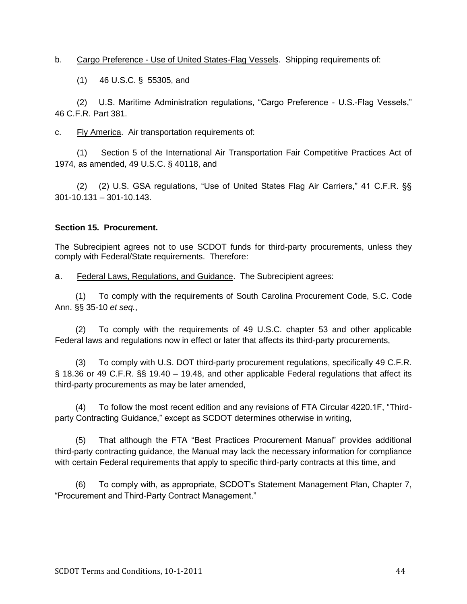b. Cargo Preference - Use of United States-Flag Vessels. Shipping requirements of:

(1) 46 U.S.C. § 55305, and

(2) U.S. Maritime Administration regulations, "Cargo Preference - U.S.-Flag Vessels," 46 C.F.R. Part 381.

c. Fly America. Air transportation requirements of:

(1) Section 5 of the International Air Transportation Fair Competitive Practices Act of 1974, as amended, 49 U.S.C. § 40118, and

(2) (2) U.S. GSA regulations, "Use of United States Flag Air Carriers," 41 C.F.R. §§ 301-10.131 – 301-10.143.

## **Section 15. Procurement.**

The Subrecipient agrees not to use SCDOT funds for third-party procurements, unless they comply with Federal/State requirements. Therefore:

a. Federal Laws, Regulations, and Guidance. The Subrecipient agrees:

(1) To comply with the requirements of South Carolina Procurement Code, S.C. Code Ann. §§ 35-10 *et seq.*,

(2) To comply with the requirements of 49 U.S.C. chapter 53 and other applicable Federal laws and regulations now in effect or later that affects its third-party procurements,

(3) To comply with U.S. DOT third-party procurement regulations, specifically 49 C.F.R. § 18.36 or 49 C.F.R. §§ 19.40 – 19.48, and other applicable Federal regulations that affect its third-party procurements as may be later amended,

(4) To follow the most recent edition and any revisions of FTA Circular 4220.1F, "Thirdparty Contracting Guidance," except as SCDOT determines otherwise in writing,

(5) That although the FTA "Best Practices Procurement Manual" provides additional third-party contracting guidance, the Manual may lack the necessary information for compliance with certain Federal requirements that apply to specific third-party contracts at this time, and

(6) To comply with, as appropriate, SCDOT's Statement Management Plan, Chapter 7, "Procurement and Third-Party Contract Management."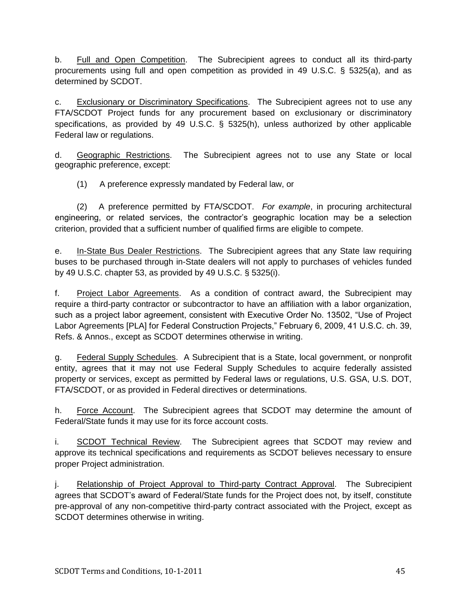b. Full and Open Competition. The Subrecipient agrees to conduct all its third-party procurements using full and open competition as provided in 49 U.S.C. § 5325(a), and as determined by SCDOT.

c. Exclusionary or Discriminatory Specifications. The Subrecipient agrees not to use any FTA/SCDOT Project funds for any procurement based on exclusionary or discriminatory specifications, as provided by 49 U.S.C. § 5325(h), unless authorized by other applicable Federal law or regulations.

d. Geographic Restrictions. The Subrecipient agrees not to use any State or local geographic preference, except:

(1) A preference expressly mandated by Federal law, or

(2) A preference permitted by FTA/SCDOT. *For example*, in procuring architectural engineering, or related services, the contractor's geographic location may be a selection criterion, provided that a sufficient number of qualified firms are eligible to compete.

e. In-State Bus Dealer Restrictions. The Subrecipient agrees that any State law requiring buses to be purchased through in-State dealers will not apply to purchases of vehicles funded by 49 U.S.C. chapter 53, as provided by 49 U.S.C. § 5325(i).

f. Project Labor Agreements. As a condition of contract award, the Subrecipient may require a third-party contractor or subcontractor to have an affiliation with a labor organization, such as a project labor agreement, consistent with Executive Order No. 13502, "Use of Project Labor Agreements [PLA] for Federal Construction Projects," February 6, 2009, 41 U.S.C. ch. 39, Refs. & Annos., except as SCDOT determines otherwise in writing.

g. Federal Supply Schedules. A Subrecipient that is a State, local government, or nonprofit entity, agrees that it may not use Federal Supply Schedules to acquire federally assisted property or services, except as permitted by Federal laws or regulations, U.S. GSA, U.S. DOT, FTA/SCDOT, or as provided in Federal directives or determinations.

h. Force Account. The Subrecipient agrees that SCDOT may determine the amount of Federal/State funds it may use for its force account costs.

i. SCDOT Technical Review. The Subrecipient agrees that SCDOT may review and approve its technical specifications and requirements as SCDOT believes necessary to ensure proper Project administration.

j. Relationship of Project Approval to Third-party Contract Approval. The Subrecipient agrees that SCDOT's award of Federal/State funds for the Project does not, by itself, constitute pre-approval of any non-competitive third-party contract associated with the Project, except as SCDOT determines otherwise in writing.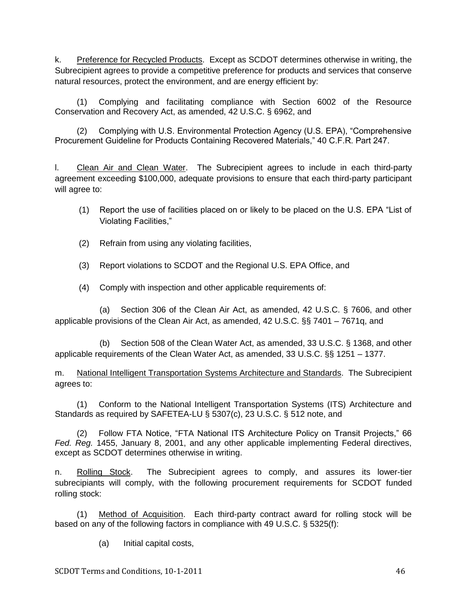k. Preference for Recycled Products. Except as SCDOT determines otherwise in writing, the Subrecipient agrees to provide a competitive preference for products and services that conserve natural resources, protect the environment, and are energy efficient by:

(1) Complying and facilitating compliance with Section 6002 of the Resource Conservation and Recovery Act, as amended, 42 U.S.C. § 6962, and

(2) Complying with U.S. Environmental Protection Agency (U.S. EPA), "Comprehensive Procurement Guideline for Products Containing Recovered Materials," 40 C.F.R. Part 247.

l. Clean Air and Clean Water. The Subrecipient agrees to include in each third-party agreement exceeding \$100,000, adequate provisions to ensure that each third-party participant will agree to:

- (1) Report the use of facilities placed on or likely to be placed on the U.S. EPA "List of Violating Facilities,"
- (2) Refrain from using any violating facilities,
- (3) Report violations to SCDOT and the Regional U.S. EPA Office, and

(4) Comply with inspection and other applicable requirements of:

(a) Section 306 of the Clean Air Act, as amended, 42 U.S.C. § 7606, and other applicable provisions of the Clean Air Act, as amended, 42 U.S.C. §§ 7401 – 7671q, and

(b) Section 508 of the Clean Water Act, as amended, 33 U.S.C. § 1368, and other applicable requirements of the Clean Water Act, as amended, 33 U.S.C. §§ 1251 – 1377.

m. National Intelligent Transportation Systems Architecture and Standards. The Subrecipient agrees to:

(1) Conform to the National Intelligent Transportation Systems (ITS) Architecture and Standards as required by SAFETEA-LU § 5307(c), 23 U.S.C. § 512 note, and

(2) Follow FTA Notice, "FTA National ITS Architecture Policy on Transit Projects," 66 *Fed. Reg.* 1455, January 8, 2001, and any other applicable implementing Federal directives, except as SCDOT determines otherwise in writing.

n. Rolling Stock. The Subrecipient agrees to comply, and assures its lower-tier subrecipiants will comply, with the following procurement requirements for SCDOT funded rolling stock:

(1) Method of Acquisition. Each third-party contract award for rolling stock will be based on any of the following factors in compliance with 49 U.S.C. § 5325(f):

(a) Initial capital costs,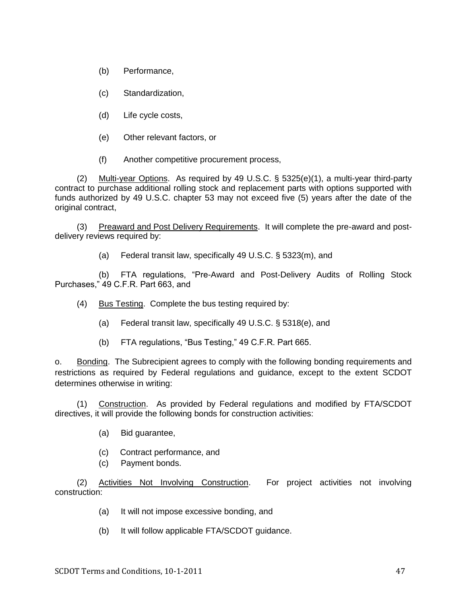(b) Performance,

(c) Standardization,

(d) Life cycle costs,

(e) Other relevant factors, or

(f) Another competitive procurement process,

(2) Multi-year Options. As required by 49 U.S.C. § 5325(e)(1), a multi-year third-party contract to purchase additional rolling stock and replacement parts with options supported with funds authorized by 49 U.S.C. chapter 53 may not exceed five (5) years after the date of the original contract,

(3) Preaward and Post Delivery Requirements. It will complete the pre-award and postdelivery reviews required by:

(a) Federal transit law, specifically 49 U.S.C. § 5323(m), and

(b) FTA regulations, "Pre-Award and Post-Delivery Audits of Rolling Stock Purchases," 49 C.F.R. Part 663, and

(4) Bus Testing. Complete the bus testing required by:

(a) Federal transit law, specifically 49 U.S.C. § 5318(e), and

(b) FTA regulations, "Bus Testing," 49 C.F.R. Part 665.

o. Bonding. The Subrecipient agrees to comply with the following bonding requirements and restrictions as required by Federal regulations and guidance, except to the extent SCDOT determines otherwise in writing:

(1) Construction. As provided by Federal regulations and modified by FTA/SCDOT directives, it will provide the following bonds for construction activities:

- (a) Bid guarantee,
- (c) Contract performance, and
- (c) Payment bonds.

(2) Activities Not Involving Construction. For project activities not involving construction:

- (a) It will not impose excessive bonding, and
- (b) It will follow applicable FTA/SCDOT guidance.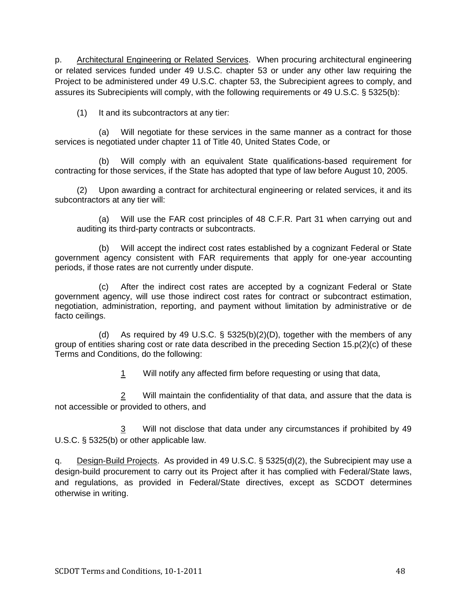p. Architectural Engineering or Related Services. When procuring architectural engineering or related services funded under 49 U.S.C. chapter 53 or under any other law requiring the Project to be administered under 49 U.S.C. chapter 53, the Subrecipient agrees to comply, and assures its Subrecipients will comply, with the following requirements or 49 U.S.C. § 5325(b):

(1) It and its subcontractors at any tier:

(a) Will negotiate for these services in the same manner as a contract for those services is negotiated under chapter 11 of Title 40, United States Code, or

(b) Will comply with an equivalent State qualifications-based requirement for contracting for those services, if the State has adopted that type of law before August 10, 2005.

(2) Upon awarding a contract for architectural engineering or related services, it and its subcontractors at any tier will:

(a) Will use the FAR cost principles of 48 C.F.R. Part 31 when carrying out and auditing its third-party contracts or subcontracts.

(b) Will accept the indirect cost rates established by a cognizant Federal or State government agency consistent with FAR requirements that apply for one-year accounting periods, if those rates are not currently under dispute.

(c) After the indirect cost rates are accepted by a cognizant Federal or State government agency, will use those indirect cost rates for contract or subcontract estimation, negotiation, administration, reporting, and payment without limitation by administrative or de facto ceilings.

(d) As required by 49 U.S.C. § 5325(b)(2)(D), together with the members of any group of entities sharing cost or rate data described in the preceding Section 15.p(2)(c) of these Terms and Conditions, do the following:

1 Will notify any affected firm before requesting or using that data,

2 Will maintain the confidentiality of that data, and assure that the data is not accessible or provided to others, and

3 Will not disclose that data under any circumstances if prohibited by 49 U.S.C. § 5325(b) or other applicable law.

q. Design-Build Projects. As provided in 49 U.S.C. § 5325(d)(2), the Subrecipient may use a design-build procurement to carry out its Project after it has complied with Federal/State laws, and regulations, as provided in Federal/State directives, except as SCDOT determines otherwise in writing.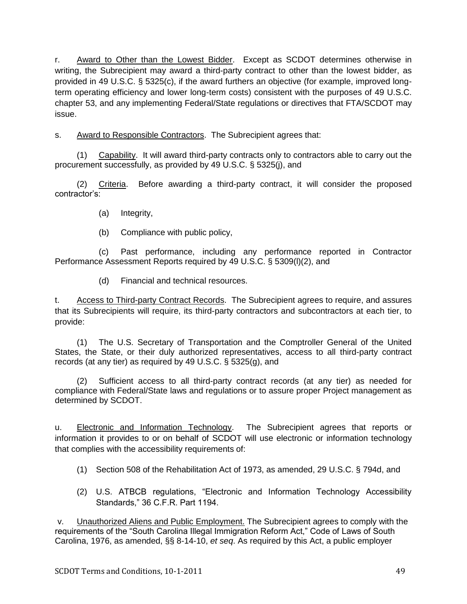r. Award to Other than the Lowest Bidder. Except as SCDOT determines otherwise in writing, the Subrecipient may award a third-party contract to other than the lowest bidder, as provided in 49 U.S.C. § 5325(c), if the award furthers an objective (for example, improved longterm operating efficiency and lower long-term costs) consistent with the purposes of 49 U.S.C. chapter 53, and any implementing Federal/State regulations or directives that FTA/SCDOT may issue.

s. Award to Responsible Contractors. The Subrecipient agrees that:

(1) Capability. It will award third-party contracts only to contractors able to carry out the procurement successfully, as provided by 49 U.S.C. § 5325(j), and

(2) Criteria. Before awarding a third-party contract, it will consider the proposed contractor's:

- (a) Integrity,
- (b) Compliance with public policy,

(c) Past performance, including any performance reported in Contractor Performance Assessment Reports required by 49 U.S.C. § 5309(l)(2), and

(d) Financial and technical resources.

t. Access to Third-party Contract Records. The Subrecipient agrees to require, and assures that its Subrecipients will require, its third-party contractors and subcontractors at each tier, to provide:

(1) The U.S. Secretary of Transportation and the Comptroller General of the United States, the State, or their duly authorized representatives, access to all third-party contract records (at any tier) as required by 49 U.S.C. § 5325(g), and

(2) Sufficient access to all third-party contract records (at any tier) as needed for compliance with Federal/State laws and regulations or to assure proper Project management as determined by SCDOT.

u. Electronic and Information Technology. The Subrecipient agrees that reports or information it provides to or on behalf of SCDOT will use electronic or information technology that complies with the accessibility requirements of:

- (1) Section 508 of the Rehabilitation Act of 1973, as amended, 29 U.S.C. § 794d, and
- (2) U.S. ATBCB regulations, "Electronic and Information Technology Accessibility Standards,‖ 36 C.F.R. Part 1194.

v. Unauthorized Aliens and Public Employment. The Subrecipient agrees to comply with the requirements of the "South Carolina Illegal Immigration Reform Act," Code of Laws of South Carolina, 1976, as amended, §§ 8-14-10, *et seq*. As required by this Act, a public employer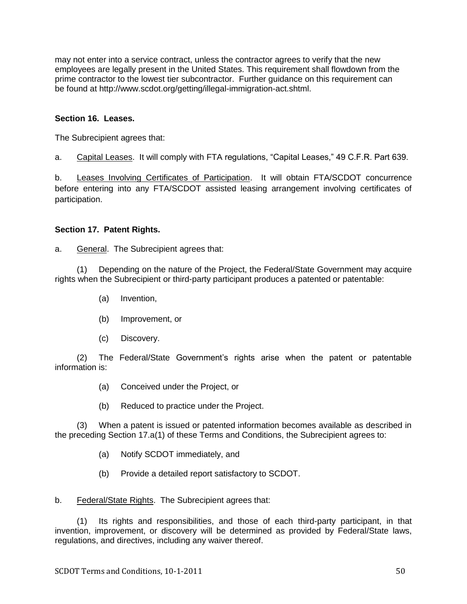may not enter into a service contract, unless the contractor agrees to verify that the new employees are legally present in the United States. This requirement shall flowdown from the prime contractor to the lowest tier subcontractor. Further guidance on this requirement can be found at http://www.scdot.org/getting/illegal-immigration-act.shtml.

# **Section 16. Leases.**

The Subrecipient agrees that:

a. Capital Leases. It will comply with FTA regulations, "Capital Leases," 49 C.F.R. Part 639.

b. Leases Involving Certificates of Participation. It will obtain FTA/SCDOT concurrence before entering into any FTA/SCDOT assisted leasing arrangement involving certificates of participation.

## **Section 17. Patent Rights.**

a. General. The Subrecipient agrees that:

(1) Depending on the nature of the Project, the Federal/State Government may acquire rights when the Subrecipient or third-party participant produces a patented or patentable:

- (a) Invention,
- (b) Improvement, or
- (c) Discovery.

(2) The Federal/State Government's rights arise when the patent or patentable information is:

- (a) Conceived under the Project, or
- (b) Reduced to practice under the Project.

(3) When a patent is issued or patented information becomes available as described in the preceding Section 17.a(1) of these Terms and Conditions, the Subrecipient agrees to:

- (a) Notify SCDOT immediately, and
- (b) Provide a detailed report satisfactory to SCDOT.
- b. Federal/State Rights. The Subrecipient agrees that:

(1) Its rights and responsibilities, and those of each third-party participant, in that invention, improvement, or discovery will be determined as provided by Federal/State laws, regulations, and directives, including any waiver thereof.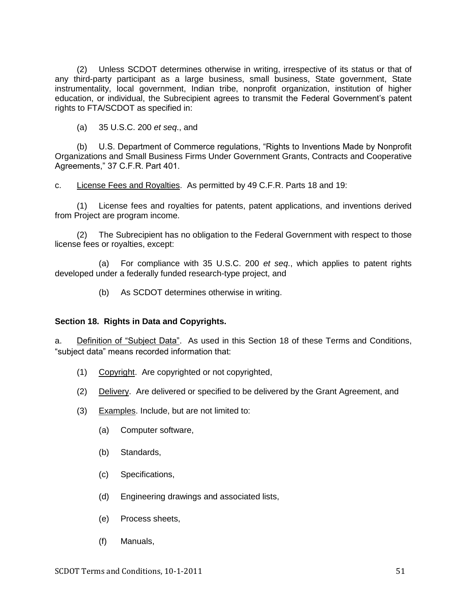(2) Unless SCDOT determines otherwise in writing, irrespective of its status or that of any third-party participant as a large business, small business, State government, State instrumentality, local government, Indian tribe, nonprofit organization, institution of higher education, or individual, the Subrecipient agrees to transmit the Federal Government's patent rights to FTA/SCDOT as specified in:

(a) 35 U.S.C. 200 *et seq*., and

(b) U.S. Department of Commerce regulations, "Rights to Inventions Made by Nonprofit Organizations and Small Business Firms Under Government Grants, Contracts and Cooperative Agreements," 37 C.F.R. Part 401.

c. License Fees and Royalties. As permitted by 49 C.F.R. Parts 18 and 19:

(1) License fees and royalties for patents, patent applications, and inventions derived from Project are program income.

(2) The Subrecipient has no obligation to the Federal Government with respect to those license fees or royalties, except:

(a) For compliance with 35 U.S.C. 200 *et seq*., which applies to patent rights developed under a federally funded research-type project, and

(b) As SCDOT determines otherwise in writing.

#### **Section 18. Rights in Data and Copyrights.**

a. Definition of "Subject Data". As used in this Section 18 of these Terms and Conditions, "subject data" means recorded information that:

- (1) Copyright. Are copyrighted or not copyrighted,
- (2) Delivery. Are delivered or specified to be delivered by the Grant Agreement, and
- (3) Examples. Include, but are not limited to:
	- (a) Computer software,
	- (b) Standards,
	- (c) Specifications,
	- (d) Engineering drawings and associated lists,
	- (e) Process sheets,
	- (f) Manuals,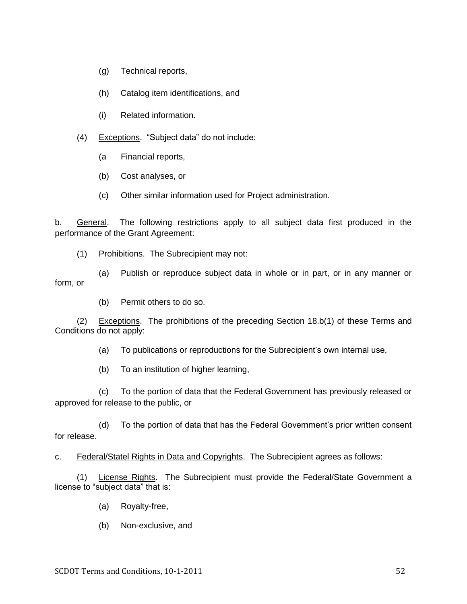- (g) Technical reports,
- (h) Catalog item identifications, and
- (i) Related information.
- (4) Exceptions. "Subject data" do not include:
	- (a Financial reports,
	- (b) Cost analyses, or
	- (c) Other similar information used for Project administration.

b. General. The following restrictions apply to all subject data first produced in the performance of the Grant Agreement:

(1) Prohibitions. The Subrecipient may not:

(a) Publish or reproduce subject data in whole or in part, or in any manner or form, or

(b) Permit others to do so.

(2) Exceptions. The prohibitions of the preceding Section 18.b(1) of these Terms and Conditions do not apply:

(a) To publications or reproductions for the Subrecipient's own internal use,

(b) To an institution of higher learning,

(c) To the portion of data that the Federal Government has previously released or approved for release to the public, or

(d) To the portion of data that has the Federal Government's prior written consent for release.

c. Federal/Statel Rights in Data and Copyrights. The Subrecipient agrees as follows:

(1) License Rights. The Subrecipient must provide the Federal/State Government a license to "subject data" that is:

- (a) Royalty-free,
- (b) Non-exclusive, and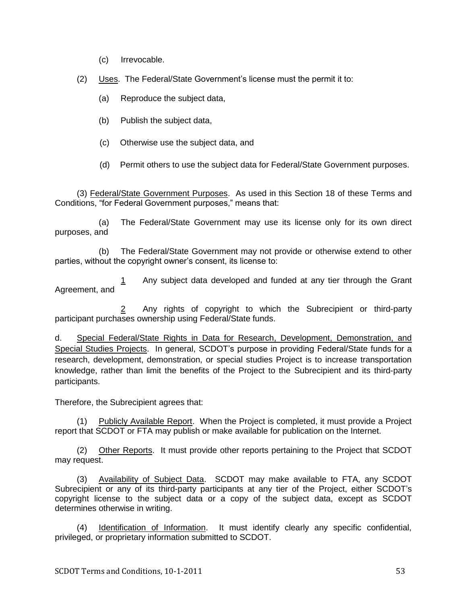- (c) Irrevocable.
- (2) Uses. The Federal/State Government's license must the permit it to:
	- (a) Reproduce the subject data,
	- (b) Publish the subject data,
	- (c) Otherwise use the subject data, and
	- (d) Permit others to use the subject data for Federal/State Government purposes.

(3) Federal/State Government Purposes. As used in this Section 18 of these Terms and Conditions, "for Federal Government purposes," means that:

(a) The Federal/State Government may use its license only for its own direct purposes, and

(b) The Federal/State Government may not provide or otherwise extend to other parties, without the copyright owner's consent, its license to:

1 Any subject data developed and funded at any tier through the Grant Agreement, and

Any rights of copyright to which the Subrecipient or third-party participant purchases ownership using Federal/State funds.

d. Special Federal/State Rights in Data for Research, Development, Demonstration, and Special Studies Projects. In general, SCDOT's purpose in providing Federal/State funds for a research, development, demonstration, or special studies Project is to increase transportation knowledge, rather than limit the benefits of the Project to the Subrecipient and its third-party participants.

Therefore, the Subrecipient agrees that:

(1) Publicly Available Report. When the Project is completed, it must provide a Project report that SCDOT or FTA may publish or make available for publication on the Internet.

(2) Other Reports. It must provide other reports pertaining to the Project that SCDOT may request.

(3) Availability of Subject Data. SCDOT may make available to FTA, any SCDOT Subrecipient or any of its third-party participants at any tier of the Project, either SCDOT's copyright license to the subject data or a copy of the subject data, except as SCDOT determines otherwise in writing.

(4) Identification of Information. It must identify clearly any specific confidential, privileged, or proprietary information submitted to SCDOT.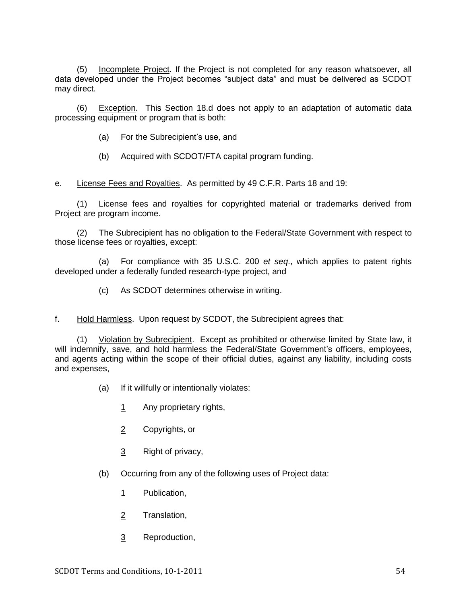(5) Incomplete Project. If the Project is not completed for any reason whatsoever, all data developed under the Project becomes "subject data" and must be delivered as SCDOT may direct.

(6) Exception. This Section 18.d does not apply to an adaptation of automatic data processing equipment or program that is both:

- (a) For the Subrecipient's use, and
- (b) Acquired with SCDOT/FTA capital program funding.

e. License Fees and Royalties. As permitted by 49 C.F.R. Parts 18 and 19:

(1) License fees and royalties for copyrighted material or trademarks derived from Project are program income.

(2) The Subrecipient has no obligation to the Federal/State Government with respect to those license fees or royalties, except:

(a) For compliance with 35 U.S.C. 200 *et seq*., which applies to patent rights developed under a federally funded research-type project, and

(c) As SCDOT determines otherwise in writing.

f. Hold Harmless. Upon request by SCDOT, the Subrecipient agrees that:

(1) Violation by Subrecipient. Except as prohibited or otherwise limited by State law, it will indemnify, save, and hold harmless the Federal/State Government's officers, employees, and agents acting within the scope of their official duties, against any liability, including costs and expenses,

- (a) If it willfully or intentionally violates:
	- 1 Any proprietary rights,
	- 2 Copyrights, or
	- 3 Right of privacy,
- (b) Occurring from any of the following uses of Project data:
	- 1 Publication,
	- 2 Translation,
	- 3 Reproduction,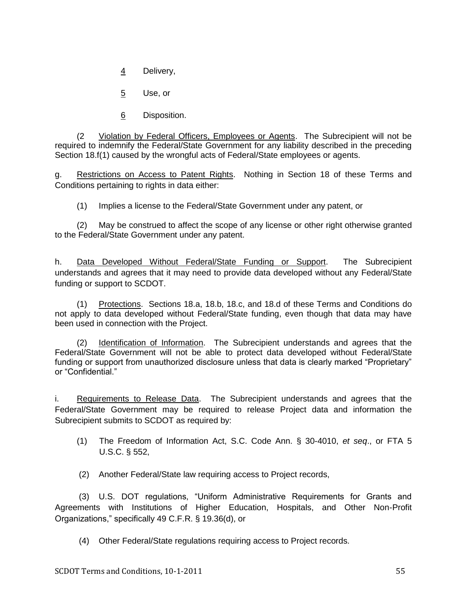4 Delivery,

5 Use, or

6 Disposition.

(2 Violation by Federal Officers, Employees or Agents. The Subrecipient will not be required to indemnify the Federal/State Government for any liability described in the preceding Section 18.f(1) caused by the wrongful acts of Federal/State employees or agents.

g. Restrictions on Access to Patent Rights. Nothing in Section 18 of these Terms and Conditions pertaining to rights in data either:

(1) Implies a license to the Federal/State Government under any patent, or

(2) May be construed to affect the scope of any license or other right otherwise granted to the Federal/State Government under any patent.

h. Data Developed Without Federal/State Funding or Support. The Subrecipient understands and agrees that it may need to provide data developed without any Federal/State funding or support to SCDOT.

(1) Protections. Sections 18.a, 18.b, 18.c, and 18.d of these Terms and Conditions do not apply to data developed without Federal/State funding, even though that data may have been used in connection with the Project.

(2) Identification of Information. The Subrecipient understands and agrees that the Federal/State Government will not be able to protect data developed without Federal/State funding or support from unauthorized disclosure unless that data is clearly marked "Proprietary" or "Confidential."

i. Requirements to Release Data. The Subrecipient understands and agrees that the Federal/State Government may be required to release Project data and information the Subrecipient submits to SCDOT as required by:

(1) The Freedom of Information Act, S.C. Code Ann. § 30-4010, *et seq*., or FTA 5 U.S.C. § 552,

(2) Another Federal/State law requiring access to Project records,

(3) U.S. DOT regulations, "Uniform Administrative Requirements for Grants and Agreements with Institutions of Higher Education, Hospitals, and Other Non-Profit Organizations,‖ specifically 49 C.F.R. § 19.36(d), or

(4) Other Federal/State regulations requiring access to Project records.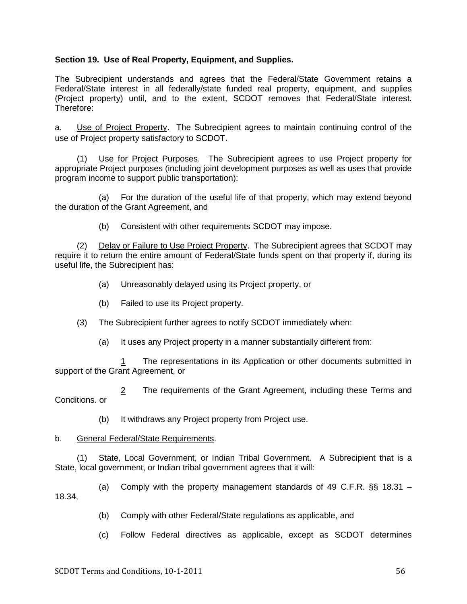## **Section 19. Use of Real Property, Equipment, and Supplies.**

The Subrecipient understands and agrees that the Federal/State Government retains a Federal/State interest in all federally/state funded real property, equipment, and supplies (Project property) until, and to the extent, SCDOT removes that Federal/State interest. Therefore:

a. Use of Project Property. The Subrecipient agrees to maintain continuing control of the use of Project property satisfactory to SCDOT.

(1) Use for Project Purposes. The Subrecipient agrees to use Project property for appropriate Project purposes (including joint development purposes as well as uses that provide program income to support public transportation):

(a) For the duration of the useful life of that property, which may extend beyond the duration of the Grant Agreement, and

(b) Consistent with other requirements SCDOT may impose.

(2) Delay or Failure to Use Project Property. The Subrecipient agrees that SCDOT may require it to return the entire amount of Federal/State funds spent on that property if, during its useful life, the Subrecipient has:

- (a) Unreasonably delayed using its Project property, or
- (b) Failed to use its Project property.
- (3) The Subrecipient further agrees to notify SCDOT immediately when:
	- (a) It uses any Project property in a manner substantially different from:

1 The representations in its Application or other documents submitted in support of the Grant Agreement, or

2 The requirements of the Grant Agreement, including these Terms and Conditions. or

(b) It withdraws any Project property from Project use.

#### b. General Federal/State Requirements.

(1) State, Local Government, or Indian Tribal Government. A Subrecipient that is a State, local government, or Indian tribal government agrees that it will:

(a) Comply with the property management standards of 49 C.F.R. §§ 18.31 – 18.34,

- (b) Comply with other Federal/State regulations as applicable, and
- (c) Follow Federal directives as applicable, except as SCDOT determines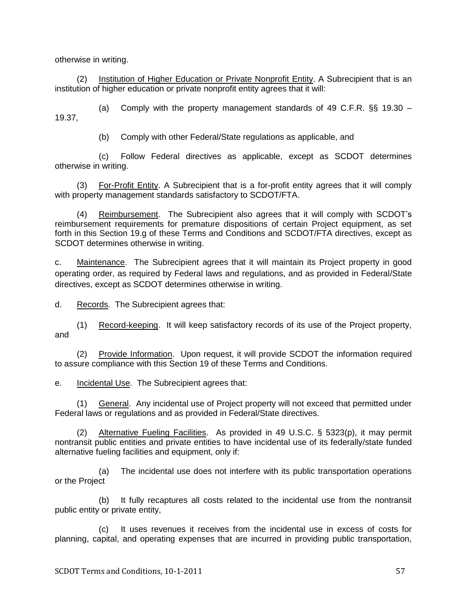otherwise in writing.

(2) Institution of Higher Education or Private Nonprofit Entity. A Subrecipient that is an institution of higher education or private nonprofit entity agrees that it will:

(a) Comply with the property management standards of 49 C.F.R. §§ 19.30 – 19.37,

(b) Comply with other Federal/State regulations as applicable, and

(c) Follow Federal directives as applicable, except as SCDOT determines otherwise in writing.

(3) For-Profit Entity. A Subrecipient that is a for-profit entity agrees that it will comply with property management standards satisfactory to SCDOT/FTA.

(4) Reimbursement. The Subrecipient also agrees that it will comply with SCDOT's reimbursement requirements for premature dispositions of certain Project equipment, as set forth in this Section 19.g of these Terms and Conditions and SCDOT/FTA directives, except as SCDOT determines otherwise in writing.

c. Maintenance. The Subrecipient agrees that it will maintain its Project property in good operating order, as required by Federal laws and regulations, and as provided in Federal/State directives, except as SCDOT determines otherwise in writing.

d. Records. The Subrecipient agrees that:

(1) Record-keeping. It will keep satisfactory records of its use of the Project property, and

(2) Provide Information. Upon request, it will provide SCDOT the information required to assure compliance with this Section 19 of these Terms and Conditions.

e. Incidental Use. The Subrecipient agrees that:

(1) General. Any incidental use of Project property will not exceed that permitted under Federal laws or regulations and as provided in Federal/State directives.

(2) Alternative Fueling Facilities. As provided in 49 U.S.C. § 5323(p), it may permit nontransit public entities and private entities to have incidental use of its federally/state funded alternative fueling facilities and equipment, only if:

(a) The incidental use does not interfere with its public transportation operations or the Project

(b) It fully recaptures all costs related to the incidental use from the nontransit public entity or private entity,

(c) It uses revenues it receives from the incidental use in excess of costs for planning, capital, and operating expenses that are incurred in providing public transportation,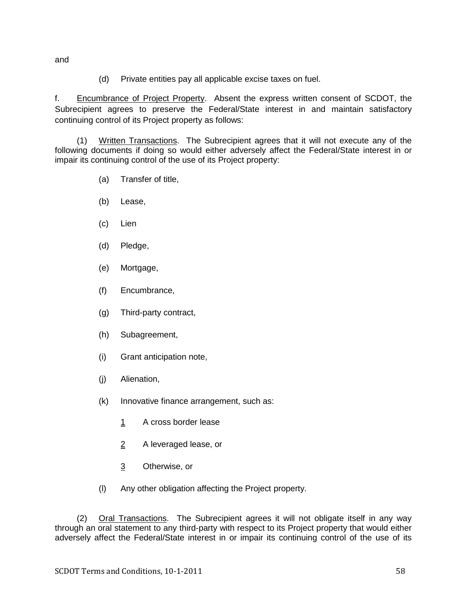and

(d) Private entities pay all applicable excise taxes on fuel.

f. Encumbrance of Project Property. Absent the express written consent of SCDOT, the Subrecipient agrees to preserve the Federal/State interest in and maintain satisfactory continuing control of its Project property as follows:

(1) Written Transactions. The Subrecipient agrees that it will not execute any of the following documents if doing so would either adversely affect the Federal/State interest in or impair its continuing control of the use of its Project property:

- (a) Transfer of title,
- (b) Lease,
- (c) Lien
- (d) Pledge,
- (e) Mortgage,
- (f) Encumbrance,
- (g) Third-party contract,
- (h) Subagreement,
- (i) Grant anticipation note,
- (j) Alienation,
- (k) Innovative finance arrangement, such as:
	- 1 A cross border lease
	- 2 A leveraged lease, or
	- 3 Otherwise, or
- (l) Any other obligation affecting the Project property.

(2) Oral Transactions. The Subrecipient agrees it will not obligate itself in any way through an oral statement to any third-party with respect to its Project property that would either adversely affect the Federal/State interest in or impair its continuing control of the use of its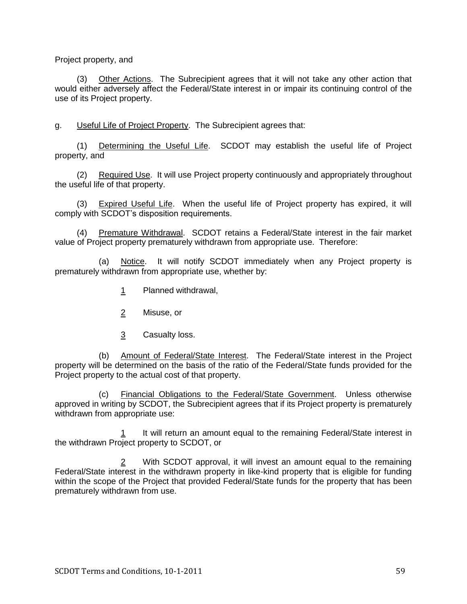Project property, and

(3) Other Actions. The Subrecipient agrees that it will not take any other action that would either adversely affect the Federal/State interest in or impair its continuing control of the use of its Project property.

g. Useful Life of Project Property. The Subrecipient agrees that:

(1) Determining the Useful Life. SCDOT may establish the useful life of Project property, and

(2) Required Use. It will use Project property continuously and appropriately throughout the useful life of that property.

(3) Expired Useful Life. When the useful life of Project property has expired, it will comply with SCDOT's disposition requirements.

(4) Premature Withdrawal. SCDOT retains a Federal/State interest in the fair market value of Project property prematurely withdrawn from appropriate use. Therefore:

(a) Notice. It will notify SCDOT immediately when any Project property is prematurely withdrawn from appropriate use, whether by:

- 1 Planned withdrawal,
- 2 Misuse, or
- 3 Casualty loss.

(b) Amount of Federal/State Interest. The Federal/State interest in the Project property will be determined on the basis of the ratio of the Federal/State funds provided for the Project property to the actual cost of that property.

(c) Financial Obligations to the Federal/State Government. Unless otherwise approved in writing by SCDOT, the Subrecipient agrees that if its Project property is prematurely withdrawn from appropriate use:

1 It will return an amount equal to the remaining Federal/State interest in the withdrawn Project property to SCDOT, or

2 With SCDOT approval, it will invest an amount equal to the remaining Federal/State interest in the withdrawn property in like-kind property that is eligible for funding within the scope of the Project that provided Federal/State funds for the property that has been prematurely withdrawn from use.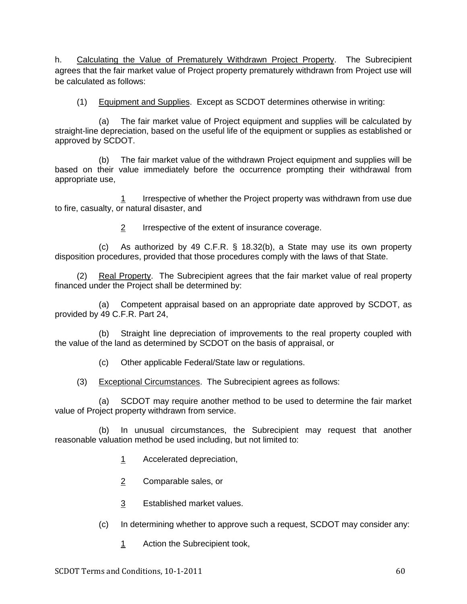h. Calculating the Value of Prematurely Withdrawn Project Property. The Subrecipient agrees that the fair market value of Project property prematurely withdrawn from Project use will be calculated as follows:

(1) Equipment and Supplies. Except as SCDOT determines otherwise in writing:

(a) The fair market value of Project equipment and supplies will be calculated by straight-line depreciation, based on the useful life of the equipment or supplies as established or approved by SCDOT.

(b) The fair market value of the withdrawn Project equipment and supplies will be based on their value immediately before the occurrence prompting their withdrawal from appropriate use,

1 Irrespective of whether the Project property was withdrawn from use due to fire, casualty, or natural disaster, and

2 Irrespective of the extent of insurance coverage.

(c) As authorized by 49 C.F.R. § 18.32(b), a State may use its own property disposition procedures, provided that those procedures comply with the laws of that State.

(2) Real Property. The Subrecipient agrees that the fair market value of real property financed under the Project shall be determined by:

(a) Competent appraisal based on an appropriate date approved by SCDOT, as provided by 49 C.F.R. Part 24,

(b) Straight line depreciation of improvements to the real property coupled with the value of the land as determined by SCDOT on the basis of appraisal, or

(c) Other applicable Federal/State law or regulations.

(3) Exceptional Circumstances. The Subrecipient agrees as follows:

(a) SCDOT may require another method to be used to determine the fair market value of Project property withdrawn from service.

(b) In unusual circumstances, the Subrecipient may request that another reasonable valuation method be used including, but not limited to:

- 1 Accelerated depreciation,
- 2 Comparable sales, or
- 3 Established market values.
- (c) In determining whether to approve such a request, SCDOT may consider any:
	- 1 Action the Subrecipient took,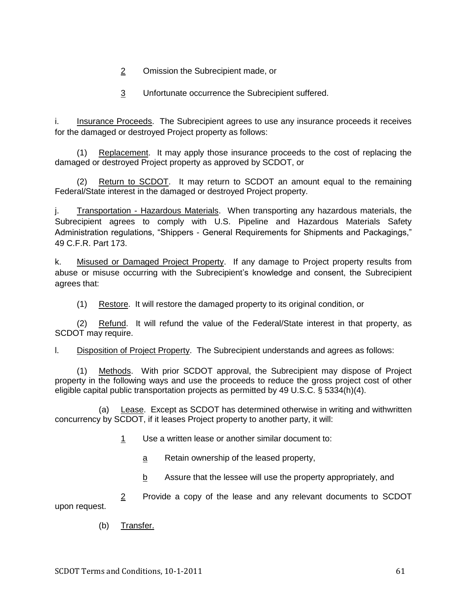- 2 Omission the Subrecipient made, or
- 3 Unfortunate occurrence the Subrecipient suffered.

i. Insurance Proceeds. The Subrecipient agrees to use any insurance proceeds it receives for the damaged or destroyed Project property as follows:

(1) Replacement. It may apply those insurance proceeds to the cost of replacing the damaged or destroyed Project property as approved by SCDOT, or

(2) Return to SCDOT. It may return to SCDOT an amount equal to the remaining Federal/State interest in the damaged or destroyed Project property.

j. Transportation - Hazardous Materials. When transporting any hazardous materials, the Subrecipient agrees to comply with U.S. Pipeline and Hazardous Materials Safety Administration regulations, "Shippers - General Requirements for Shipments and Packagings," 49 C.F.R. Part 173.

k. Misused or Damaged Project Property. If any damage to Project property results from abuse or misuse occurring with the Subrecipient's knowledge and consent, the Subrecipient agrees that:

(1) Restore. It will restore the damaged property to its original condition, or

(2) Refund. It will refund the value of the Federal/State interest in that property, as SCDOT may require.

l. Disposition of Project Property. The Subrecipient understands and agrees as follows:

(1) Methods. With prior SCDOT approval, the Subrecipient may dispose of Project property in the following ways and use the proceeds to reduce the gross project cost of other eligible capital public transportation projects as permitted by 49 U.S.C. § 5334(h)(4).

(a) Lease. Except as SCDOT has determined otherwise in writing and withwritten concurrency by SCDOT, if it leases Project property to another party, it will:

- 1 Use a written lease or another similar document to:
	- a Retain ownership of the leased property,
	- b Assure that the lessee will use the property appropriately, and

2 Provide a copy of the lease and any relevant documents to SCDOT upon request.

(b) Transfer.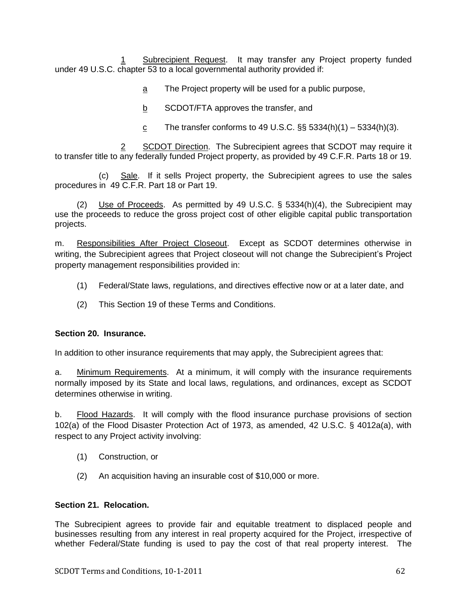Subrecipient Request. It may transfer any Project property funded under 49 U.S.C. chapter 53 to a local governmental authority provided if:

a The Project property will be used for a public purpose,

b SCDOT/FTA approves the transfer, and

<u>c</u> The transfer conforms to 49 U.S.C.  $\S$ § 5334(h)(1) – 5334(h)(3).

SCDOT Direction. The Subrecipient agrees that SCDOT may require it to transfer title to any federally funded Project property, as provided by 49 C.F.R. Parts 18 or 19.

(c) Sale. If it sells Project property, the Subrecipient agrees to use the sales procedures in 49 C.F.R. Part 18 or Part 19.

(2) Use of Proceeds. As permitted by 49 U.S.C. § 5334(h)(4), the Subrecipient may use the proceeds to reduce the gross project cost of other eligible capital public transportation projects.

m. Responsibilities After Project Closeout. Except as SCDOT determines otherwise in writing, the Subrecipient agrees that Project closeout will not change the Subrecipient's Project property management responsibilities provided in:

- (1) Federal/State laws, regulations, and directives effective now or at a later date, and
- (2) This Section 19 of these Terms and Conditions.

### **Section 20. Insurance.**

In addition to other insurance requirements that may apply, the Subrecipient agrees that:

a. Minimum Requirements. At a minimum, it will comply with the insurance requirements normally imposed by its State and local laws, regulations, and ordinances, except as SCDOT determines otherwise in writing.

b. Flood Hazards. It will comply with the flood insurance purchase provisions of section 102(a) of the Flood Disaster Protection Act of 1973, as amended, 42 U.S.C. § 4012a(a), with respect to any Project activity involving:

- (1) Construction, or
- (2) An acquisition having an insurable cost of \$10,000 or more.

# **Section 21. Relocation.**

The Subrecipient agrees to provide fair and equitable treatment to displaced people and businesses resulting from any interest in real property acquired for the Project, irrespective of whether Federal/State funding is used to pay the cost of that real property interest. The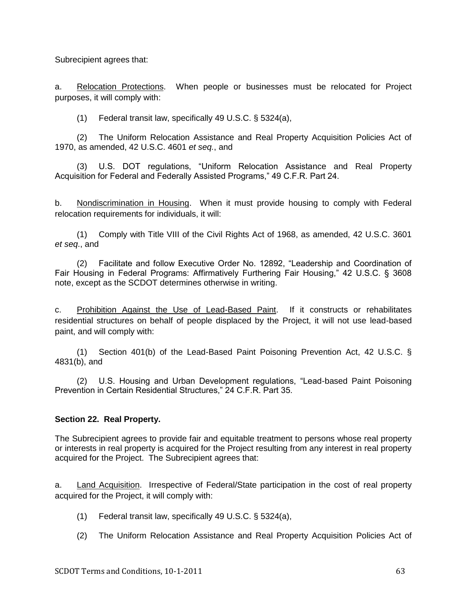Subrecipient agrees that:

a. Relocation Protections. When people or businesses must be relocated for Project purposes, it will comply with:

(1) Federal transit law, specifically 49 U.S.C. § 5324(a),

(2) The Uniform Relocation Assistance and Real Property Acquisition Policies Act of 1970, as amended, 42 U.S.C. 4601 *et seq.*, and

(3) U.S. DOT regulations, "Uniform Relocation Assistance and Real Property Acquisition for Federal and Federally Assisted Programs," 49 C.F.R. Part 24.

b. Nondiscrimination in Housing. When it must provide housing to comply with Federal relocation requirements for individuals, it will:

(1) Comply with Title VIII of the Civil Rights Act of 1968, as amended, 42 U.S.C. 3601 *et seq*., and

(2) Facilitate and follow Executive Order No. 12892, "Leadership and Coordination of Fair Housing in Federal Programs: Affirmatively Furthering Fair Housing," 42 U.S.C. § 3608 note, except as the SCDOT determines otherwise in writing.

c. Prohibition Against the Use of Lead-Based Paint. If it constructs or rehabilitates residential structures on behalf of people displaced by the Project, it will not use lead-based paint, and will comply with:

(1) Section 401(b) of the Lead-Based Paint Poisoning Prevention Act, 42 U.S.C. § 4831(b), and

(2) U.S. Housing and Urban Development regulations, "Lead-based Paint Poisoning Prevention in Certain Residential Structures," 24 C.F.R. Part 35.

### **Section 22. Real Property.**

The Subrecipient agrees to provide fair and equitable treatment to persons whose real property or interests in real property is acquired for the Project resulting from any interest in real property acquired for the Project. The Subrecipient agrees that:

a. Land Acquisition. Irrespective of Federal/State participation in the cost of real property acquired for the Project, it will comply with:

- (1) Federal transit law, specifically 49 U.S.C. § 5324(a),
- (2) The Uniform Relocation Assistance and Real Property Acquisition Policies Act of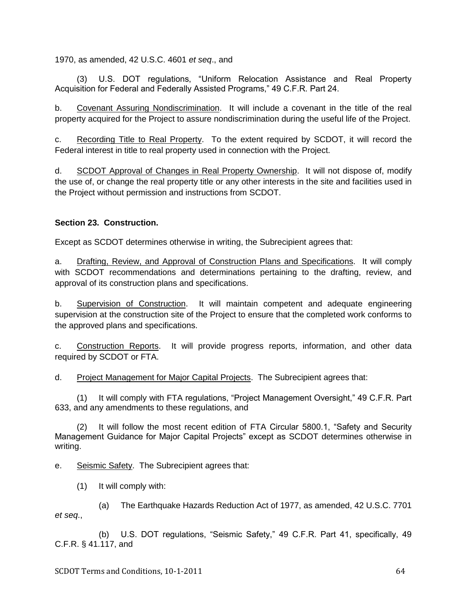1970, as amended, 42 U.S.C. 4601 *et seq*., and

(3) U.S. DOT regulations, "Uniform Relocation Assistance and Real Property Acquisition for Federal and Federally Assisted Programs," 49 C.F.R. Part 24.

b. Covenant Assuring Nondiscrimination. It will include a covenant in the title of the real property acquired for the Project to assure nondiscrimination during the useful life of the Project.

c. Recording Title to Real Property. To the extent required by SCDOT, it will record the Federal interest in title to real property used in connection with the Project.

d. SCDOT Approval of Changes in Real Property Ownership. It will not dispose of, modify the use of, or change the real property title or any other interests in the site and facilities used in the Project without permission and instructions from SCDOT.

# **Section 23. Construction.**

Except as SCDOT determines otherwise in writing, the Subrecipient agrees that:

a. Drafting, Review, and Approval of Construction Plans and Specifications. It will comply with SCDOT recommendations and determinations pertaining to the drafting, review, and approval of its construction plans and specifications.

b. Supervision of Construction. It will maintain competent and adequate engineering supervision at the construction site of the Project to ensure that the completed work conforms to the approved plans and specifications.

c. Construction Reports. It will provide progress reports, information, and other data required by SCDOT or FTA.

d. Project Management for Major Capital Projects. The Subrecipient agrees that:

(1) It will comply with FTA regulations, "Project Management Oversight," 49 C.F.R. Part 633, and any amendments to these regulations, and

(2) It will follow the most recent edition of FTA Circular 5800.1, "Safety and Security Management Guidance for Major Capital Projects" except as SCDOT determines otherwise in writing.

e. Seismic Safety. The Subrecipient agrees that:

(1) It will comply with:

(a) The Earthquake Hazards Reduction Act of 1977, as amended, 42 U.S.C. 7701 *et seq*.,

(b) U.S. DOT regulations, "Seismic Safety," 49 C.F.R. Part 41, specifically, 49 C.F.R. § 41.117, and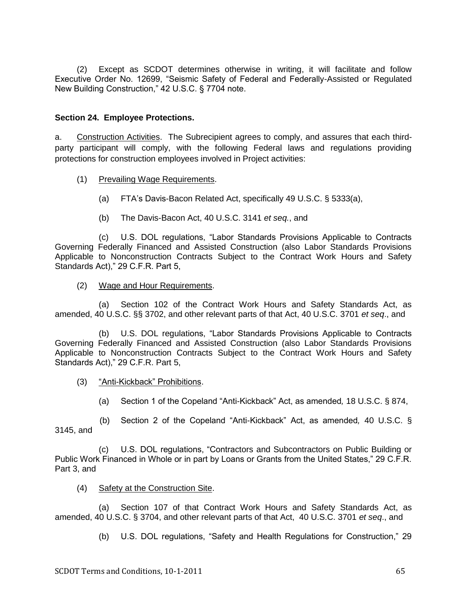(2) Except as SCDOT determines otherwise in writing, it will facilitate and follow Executive Order No. 12699, "Seismic Safety of Federal and Federally-Assisted or Regulated New Building Construction," 42 U.S.C. § 7704 note.

### **Section 24. Employee Protections.**

a. Construction Activities. The Subrecipient agrees to comply, and assures that each thirdparty participant will comply, with the following Federal laws and regulations providing protections for construction employees involved in Project activities:

- (1) Prevailing Wage Requirements.
	- (a) FTA's Davis-Bacon Related Act, specifically 49 U.S.C. § 5333(a),
	- (b) The Davis-Bacon Act, 40 U.S.C. 3141 *et seq.*, and

(c) U.S. DOL regulations, ―Labor Standards Provisions Applicable to Contracts Governing Federally Financed and Assisted Construction (also Labor Standards Provisions Applicable to Nonconstruction Contracts Subject to the Contract Work Hours and Safety Standards Act)," 29 C.F.R. Part 5,

(2) Wage and Hour Requirements.

(a) Section 102 of the Contract Work Hours and Safety Standards Act, as amended, 40 U.S.C. §§ 3702, and other relevant parts of that Act, 40 U.S.C. 3701 *et seq*., and

(b) U.S. DOL regulations, "Labor Standards Provisions Applicable to Contracts Governing Federally Financed and Assisted Construction (also Labor Standards Provisions Applicable to Nonconstruction Contracts Subject to the Contract Work Hours and Safety Standards Act)," 29 C.F.R. Part 5,

- (3) "Anti-Kickback" Prohibitions.
	- (a) Section 1 of the Copeland ―Anti-Kickback‖ Act, as amended*,* 18 U.S.C. § 874,

(b) Section 2 of the Copeland ―Anti-Kickback‖ Act, as amended*,* 40 U.S.C. § 3145, and

(c) U.S. DOL regulations, "Contractors and Subcontractors on Public Building or Public Work Financed in Whole or in part by Loans or Grants from the United States," 29 C.F.R. Part 3, and

(4) Safety at the Construction Site.

(a) Section 107 of that Contract Work Hours and Safety Standards Act, as amended, 40 U.S.C. § 3704, and other relevant parts of that Act, 40 U.S.C. 3701 *et seq*., and

(b) U.S. DOL regulations, "Safety and Health Regulations for Construction," 29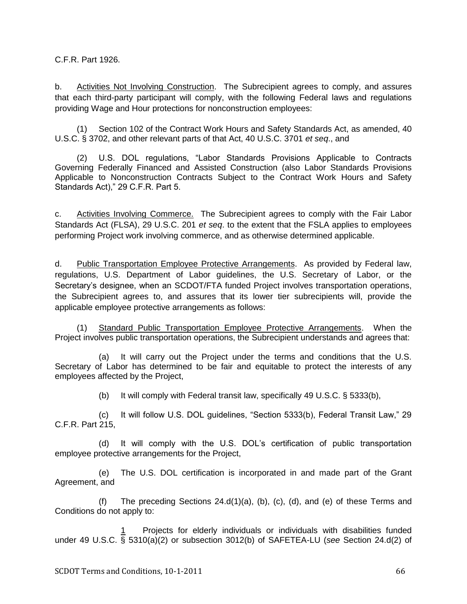C.F.R. Part 1926.

b. Activities Not Involving Construction. The Subrecipient agrees to comply, and assures that each third-party participant will comply, with the following Federal laws and regulations providing Wage and Hour protections for nonconstruction employees:

(1) Section 102 of the Contract Work Hours and Safety Standards Act, as amended, 40 U.S.C. § 3702, and other relevant parts of that Act, 40 U.S.C. 3701 *et seq*., and

U.S. DOL regulations, "Labor Standards Provisions Applicable to Contracts Governing Federally Financed and Assisted Construction (also Labor Standards Provisions Applicable to Nonconstruction Contracts Subject to the Contract Work Hours and Safety Standards Act)," 29 C.F.R. Part 5.

c. Activities Involving Commerce. The Subrecipient agrees to comply with the Fair Labor Standards Act (FLSA), 29 U.S.C. 201 *et seq*. to the extent that the FSLA applies to employees performing Project work involving commerce, and as otherwise determined applicable.

d. Public Transportation Employee Protective Arrangements. As provided by Federal law, regulations, U.S. Department of Labor guidelines, the U.S. Secretary of Labor, or the Secretary's designee, when an SCDOT/FTA funded Project involves transportation operations, the Subrecipient agrees to, and assures that its lower tier subrecipients will, provide the applicable employee protective arrangements as follows:

(1) Standard Public Transportation Employee Protective Arrangements. When the Project involves public transportation operations, the Subrecipient understands and agrees that:

(a) It will carry out the Project under the terms and conditions that the U.S. Secretary of Labor has determined to be fair and equitable to protect the interests of any employees affected by the Project,

(b) It will comply with Federal transit law, specifically 49 U.S.C. § 5333(b),

(c) It will follow U.S. DOL guidelines, "Section 5333(b), Federal Transit Law," 29 C.F.R. Part 215,

(d) It will comply with the U.S. DOL's certification of public transportation employee protective arrangements for the Project,

(e) The U.S. DOL certification is incorporated in and made part of the Grant Agreement, and

(f) The preceding Sections  $24.d(1)(a)$ , (b), (c), (d), and (e) of these Terms and Conditions do not apply to:

Projects for elderly individuals or individuals with disabilities funded under 49 U.S.C. § 5310(a)(2) or subsection 3012(b) of SAFETEA-LU (*see* Section 24.d(2) of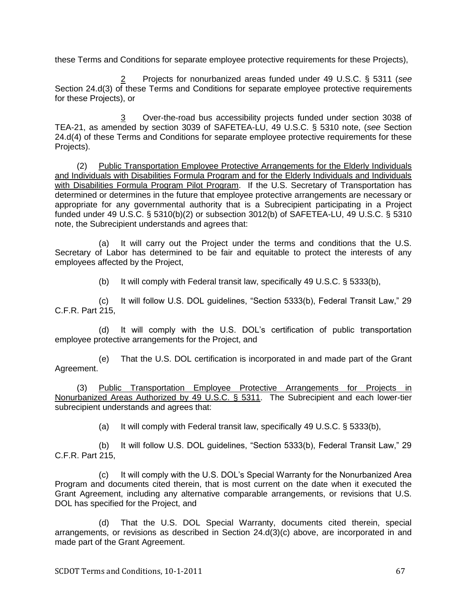these Terms and Conditions for separate employee protective requirements for these Projects),

2 Projects for nonurbanized areas funded under 49 U.S.C. § 5311 (*see*  Section 24.d(3) of these Terms and Conditions for separate employee protective requirements for these Projects), or

3 Over-the-road bus accessibility projects funded under section 3038 of TEA-21, as amended by section 3039 of SAFETEA-LU, 49 U.S.C. § 5310 note, (*see* Section 24.d(4) of these Terms and Conditions for separate employee protective requirements for these Projects).

(2) Public Transportation Employee Protective Arrangements for the Elderly Individuals and Individuals with Disabilities Formula Program and for the Elderly Individuals and Individuals with Disabilities Formula Program Pilot Program. If the U.S. Secretary of Transportation has determined or determines in the future that employee protective arrangements are necessary or appropriate for any governmental authority that is a Subrecipient participating in a Project funded under 49 U.S.C. § 5310(b)(2) or subsection 3012(b) of SAFETEA-LU, 49 U.S.C. § 5310 note, the Subrecipient understands and agrees that:

(a) It will carry out the Project under the terms and conditions that the U.S. Secretary of Labor has determined to be fair and equitable to protect the interests of any employees affected by the Project,

(b) It will comply with Federal transit law, specifically 49 U.S.C. § 5333(b),

(c) It will follow U.S. DOL guidelines, "Section 5333(b), Federal Transit Law," 29 C.F.R. Part 215,

(d) It will comply with the U.S. DOL's certification of public transportation employee protective arrangements for the Project, and

(e) That the U.S. DOL certification is incorporated in and made part of the Grant Agreement.

(3) Public Transportation Employee Protective Arrangements for Projects in Nonurbanized Areas Authorized by 49 U.S.C. § 5311. The Subrecipient and each lower-tier subrecipient understands and agrees that:

(a) It will comply with Federal transit law, specifically 49 U.S.C. § 5333(b),

(b) It will follow U.S. DOL guidelines, "Section 5333(b), Federal Transit Law," 29 C.F.R. Part 215,

(c) It will comply with the U.S. DOL's Special Warranty for the Nonurbanized Area Program and documents cited therein, that is most current on the date when it executed the Grant Agreement, including any alternative comparable arrangements, or revisions that U.S. DOL has specified for the Project, and

(d) That the U.S. DOL Special Warranty, documents cited therein, special arrangements, or revisions as described in Section 24.d(3)(c) above, are incorporated in and made part of the Grant Agreement.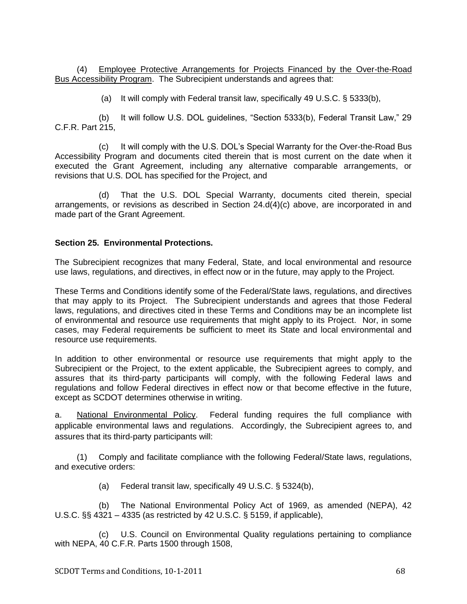(4) Employee Protective Arrangements for Projects Financed by the Over-the-Road Bus Accessibility Program. The Subrecipient understands and agrees that:

(a) It will comply with Federal transit law, specifically 49 U.S.C. § 5333(b),

(b) It will follow U.S. DOL guidelines, "Section 5333(b), Federal Transit Law," 29 C.F.R. Part 215,

(c) It will comply with the U.S. DOL's Special Warranty for the Over-the-Road Bus Accessibility Program and documents cited therein that is most current on the date when it executed the Grant Agreement, including any alternative comparable arrangements, or revisions that U.S. DOL has specified for the Project, and

(d) That the U.S. DOL Special Warranty, documents cited therein, special arrangements, or revisions as described in Section 24.d(4)(c) above, are incorporated in and made part of the Grant Agreement.

#### **Section 25. Environmental Protections.**

The Subrecipient recognizes that many Federal, State, and local environmental and resource use laws, regulations, and directives, in effect now or in the future, may apply to the Project.

These Terms and Conditions identify some of the Federal/State laws, regulations, and directives that may apply to its Project. The Subrecipient understands and agrees that those Federal laws, regulations, and directives cited in these Terms and Conditions may be an incomplete list of environmental and resource use requirements that might apply to its Project. Nor, in some cases, may Federal requirements be sufficient to meet its State and local environmental and resource use requirements.

In addition to other environmental or resource use requirements that might apply to the Subrecipient or the Project, to the extent applicable, the Subrecipient agrees to comply, and assures that its third-party participants will comply, with the following Federal laws and regulations and follow Federal directives in effect now or that become effective in the future, except as SCDOT determines otherwise in writing.

a. National Environmental Policy. Federal funding requires the full compliance with applicable environmental laws and regulations. Accordingly, the Subrecipient agrees to, and assures that its third-party participants will:

(1) Comply and facilitate compliance with the following Federal/State laws, regulations, and executive orders:

(a) Federal transit law, specifically 49 U.S.C. § 5324(b),

(b) The National Environmental Policy Act of 1969, as amended (NEPA), 42 U.S.C. §§ 4321 – 4335 (as restricted by 42 U.S.C. § 5159, if applicable),

(c) U.S. Council on Environmental Quality regulations pertaining to compliance with NEPA, 40 C.F.R. Parts 1500 through 1508,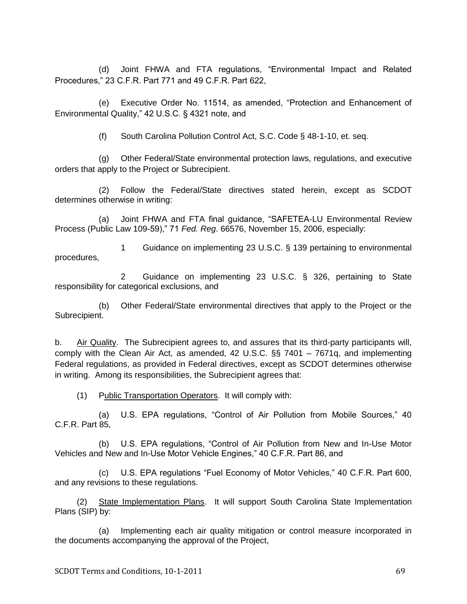(d) Joint FHWA and FTA regulations, "Environmental Impact and Related Procedures,‖ 23 C.F.R. Part 771 and 49 C.F.R. Part 622,

(e) Executive Order No. 11514, as amended, "Protection and Enhancement of Environmental Quality," 42 U.S.C. § 4321 note, and

(f) South Carolina Pollution Control Act, S.C. Code § 48-1-10, et. seq.

(g) Other Federal/State environmental protection laws, regulations, and executive orders that apply to the Project or Subrecipient.

(2) Follow the Federal/State directives stated herein, except as SCDOT determines otherwise in writing:

(a) Joint FHWA and FTA final quidance. "SAFETEA-LU Environmental Review Process (Public Law 109-59)," 71 *Fed. Reg.* 66576, November 15, 2006, especially:

1 Guidance on implementing 23 U.S.C. § 139 pertaining to environmental procedures,

2 Guidance on implementing 23 U.S.C. § 326, pertaining to State responsibility for categorical exclusions, and

(b) Other Federal/State environmental directives that apply to the Project or the Subrecipient.

b. Air Quality. The Subrecipient agrees to, and assures that its third-party participants will, comply with the Clean Air Act, as amended, 42 U.S.C. §§ 7401 – 7671q, and implementing Federal regulations, as provided in Federal directives, except as SCDOT determines otherwise in writing. Among its responsibilities, the Subrecipient agrees that:

(1) Public Transportation Operators. It will comply with:

(a) U.S. EPA regulations, "Control of Air Pollution from Mobile Sources," 40 C.F.R. Part 85,

(b) U.S. EPA regulations, "Control of Air Pollution from New and In-Use Motor Vehicles and New and In-Use Motor Vehicle Engines," 40 C.F.R. Part 86, and

(c) U.S. EPA regulations "Fuel Economy of Motor Vehicles," 40 C.F.R. Part 600, and any revisions to these regulations.

(2) State Implementation Plans. It will support South Carolina State Implementation Plans (SIP) by:

(a) Implementing each air quality mitigation or control measure incorporated in the documents accompanying the approval of the Project,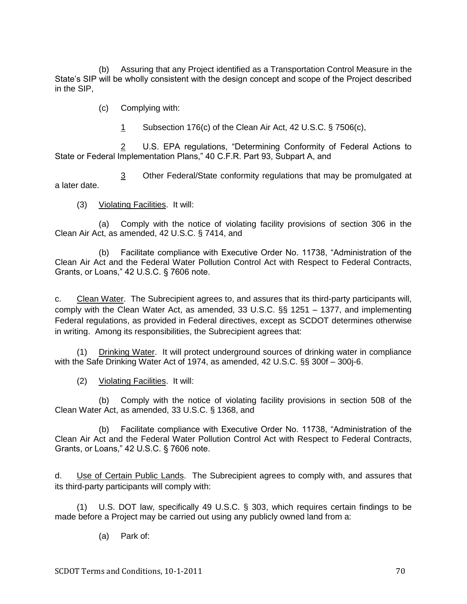(b) Assuring that any Project identified as a Transportation Control Measure in the State's SIP will be wholly consistent with the design concept and scope of the Project described in the SIP,

(c) Complying with:

1 Subsection 176(c) of the Clean Air Act, 42 U.S.C. § 7506(c),

2 U.S. EPA regulations, "Determining Conformity of Federal Actions to State or Federal Implementation Plans," 40 C.F.R. Part 93, Subpart A, and

3 Other Federal/State conformity regulations that may be promulgated at a later date.

(3) Violating Facilities. It will:

(a) Comply with the notice of violating facility provisions of section 306 in the Clean Air Act, as amended, 42 U.S.C. § 7414, and

(b) Facilitate compliance with Executive Order No. 11738, "Administration of the Clean Air Act and the Federal Water Pollution Control Act with Respect to Federal Contracts, Grants, or Loans,"  $42$  U.S.C. § 7606 note.

c. Clean Water. The Subrecipient agrees to, and assures that its third-party participants will, comply with the Clean Water Act, as amended, 33 U.S.C. §§ 1251 – 1377, and implementing Federal regulations, as provided in Federal directives, except as SCDOT determines otherwise in writing. Among its responsibilities, the Subrecipient agrees that:

(1) Drinking Water. It will protect underground sources of drinking water in compliance with the Safe Drinking Water Act of 1974, as amended, 42 U.S.C. §§ 300f – 300j-6.

(2) Violating Facilities. It will:

(b) Comply with the notice of violating facility provisions in section 508 of the Clean Water Act, as amended, 33 U.S.C. § 1368, and

(b) Facilitate compliance with Executive Order No. 11738, "Administration of the Clean Air Act and the Federal Water Pollution Control Act with Respect to Federal Contracts, Grants, or Loans," 42 U.S.C. § 7606 note.

d. Use of Certain Public Lands. The Subrecipient agrees to comply with, and assures that its third-party participants will comply with:

(1) U.S. DOT law, specifically 49 U.S.C. § 303, which requires certain findings to be made before a Project may be carried out using any publicly owned land from a:

(a) Park of: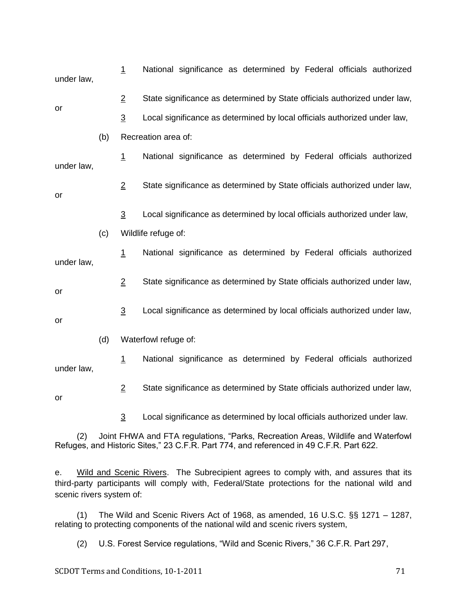| under law,                                                                                                                                                                         |     | $\overline{1}$ | National significance as determined by Federal officials authorized       |
|------------------------------------------------------------------------------------------------------------------------------------------------------------------------------------|-----|----------------|---------------------------------------------------------------------------|
| or                                                                                                                                                                                 |     | $\overline{2}$ | State significance as determined by State officials authorized under law, |
|                                                                                                                                                                                    |     | $\overline{3}$ | Local significance as determined by local officials authorized under law, |
|                                                                                                                                                                                    | (b) |                | Recreation area of:                                                       |
| under law,                                                                                                                                                                         |     | 1              | National significance as determined by Federal officials authorized       |
| or                                                                                                                                                                                 |     | $\overline{2}$ | State significance as determined by State officials authorized under law, |
|                                                                                                                                                                                    |     | $\overline{3}$ | Local significance as determined by local officials authorized under law, |
|                                                                                                                                                                                    | (c) |                | Wildlife refuge of:                                                       |
| under law,                                                                                                                                                                         |     | $\overline{1}$ | National significance as determined by Federal officials authorized       |
| or                                                                                                                                                                                 |     | $\overline{2}$ | State significance as determined by State officials authorized under law, |
| or                                                                                                                                                                                 |     | $\overline{3}$ | Local significance as determined by local officials authorized under law, |
|                                                                                                                                                                                    | (d) |                | Waterfowl refuge of:                                                      |
| under law,                                                                                                                                                                         |     | $\overline{1}$ | National significance as determined by Federal officials authorized       |
| or                                                                                                                                                                                 |     | $\overline{2}$ | State significance as determined by State officials authorized under law, |
|                                                                                                                                                                                    |     | $\overline{3}$ | Local significance as determined by local officials authorized under law. |
| Joint FHWA and FTA regulations, "Parks, Recreation Areas, Wildlife and Waterfowl<br>(2)<br>Refuges, and Historic Sites," 23 C.F.R. Part 774, and referenced in 49 C.F.R. Part 622. |     |                |                                                                           |

e. Wild and Scenic Rivers. The Subrecipient agrees to comply with, and assures that its third-party participants will comply with, Federal/State protections for the national wild and scenic rivers system of:

(1) The Wild and Scenic Rivers Act of 1968, as amended, 16 U.S.C. §§ 1271 – 1287, relating to protecting components of the national wild and scenic rivers system,

(2) U.S. Forest Service regulations, "Wild and Scenic Rivers," 36 C.F.R. Part 297,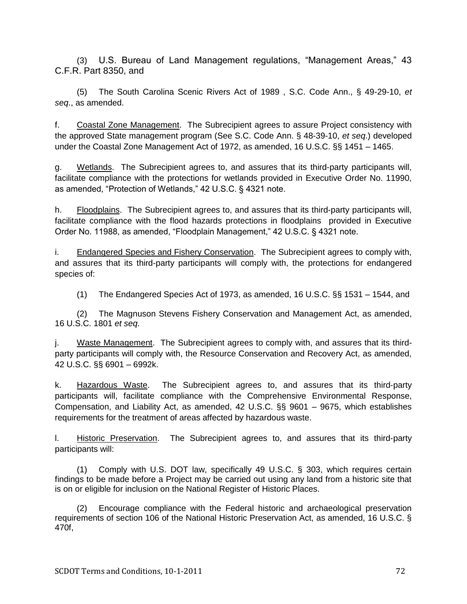(3) U.S. Bureau of Land Management regulations, "Management Areas," 43 C.F.R. Part 8350, and

(5) The South Carolina Scenic Rivers Act of 1989 , S.C. Code Ann., § 49-29-10, *et seq*., as amended.

f. Coastal Zone Management. The Subrecipient agrees to assure Project consistency with the approved State management program (See S.C. Code Ann. § 48-39-10, *et seq*.) developed under the Coastal Zone Management Act of 1972, as amended, 16 U.S.C. §§ 1451 – 1465.

g. Wetlands. The Subrecipient agrees to, and assures that its third-party participants will, facilitate compliance with the protections for wetlands provided in Executive Order No. 11990, as amended, "Protection of Wetlands," 42 U.S.C. § 4321 note.

h. Floodplains. The Subrecipient agrees to, and assures that its third-party participants will, facilitate compliance with the flood hazards protections in floodplains provided in Executive Order No. 11988, as amended, "Floodplain Management," 42 U.S.C. § 4321 note.

i. Endangered Species and Fishery Conservation. The Subrecipient agrees to comply with, and assures that its third-party participants will comply with, the protections for endangered species of:

(1) The Endangered Species Act of 1973, as amended, 16 U.S.C. §§ 1531 – 1544, and

(2) The Magnuson Stevens Fishery Conservation and Management Act, as amended, 16 U.S.C. 1801 *et seq*.

j. Waste Management. The Subrecipient agrees to comply with, and assures that its thirdparty participants will comply with, the Resource Conservation and Recovery Act, as amended, 42 U.S.C. §§ 6901 – 6992k.

k. Hazardous Waste. The Subrecipient agrees to, and assures that its third-party participants will, facilitate compliance with the Comprehensive Environmental Response, Compensation, and Liability Act, as amended, 42 U.S.C. §§ 9601 – 9675, which establishes requirements for the treatment of areas affected by hazardous waste.

l. Historic Preservation. The Subrecipient agrees to, and assures that its third-party participants will:

(1) Comply with U.S. DOT law, specifically 49 U.S.C. § 303, which requires certain findings to be made before a Project may be carried out using any land from a historic site that is on or eligible for inclusion on the National Register of Historic Places.

(2) Encourage compliance with the Federal historic and archaeological preservation requirements of section 106 of the National Historic Preservation Act, as amended, 16 U.S.C. § 470f,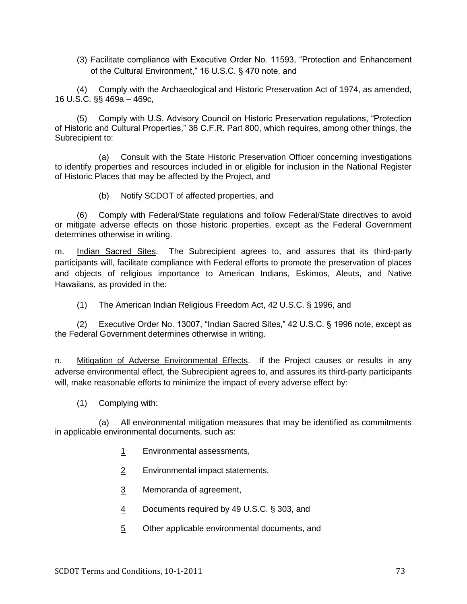(3) Facilitate compliance with Executive Order No. 11593, "Protection and Enhancement of the Cultural Environment," 16 U.S.C. § 470 note, and

(4) Comply with the Archaeological and Historic Preservation Act of 1974, as amended, 16 U.S.C. §§ 469a – 469c,

(5) Comply with U.S. Advisory Council on Historic Preservation regulations, "Protection of Historic and Cultural Properties," 36 C.F.R. Part 800, which requires, among other things, the Subrecipient to:

(a) Consult with the State Historic Preservation Officer concerning investigations to identify properties and resources included in or eligible for inclusion in the National Register of Historic Places that may be affected by the Project, and

(b) Notify SCDOT of affected properties, and

(6) Comply with Federal/State regulations and follow Federal/State directives to avoid or mitigate adverse effects on those historic properties, except as the Federal Government determines otherwise in writing.

m. Indian Sacred Sites. The Subrecipient agrees to, and assures that its third-party participants will, facilitate compliance with Federal efforts to promote the preservation of places and objects of religious importance to American Indians, Eskimos, Aleuts, and Native Hawaiians, as provided in the:

(1) The American Indian Religious Freedom Act, 42 U.S.C. § 1996, and

(2) Executive Order No. 13007, "Indian Sacred Sites," 42 U.S.C. § 1996 note, except as the Federal Government determines otherwise in writing.

n. Mitigation of Adverse Environmental Effects. If the Project causes or results in any adverse environmental effect, the Subrecipient agrees to, and assures its third-party participants will, make reasonable efforts to minimize the impact of every adverse effect by:

(1) Complying with:

(a) All environmental mitigation measures that may be identified as commitments in applicable environmental documents, such as:

- 1 Environmental assessments,
- 2 Environmental impact statements,
- 3 Memoranda of agreement,
- 4 Documents required by 49 U.S.C. § 303, and
- 5 Other applicable environmental documents, and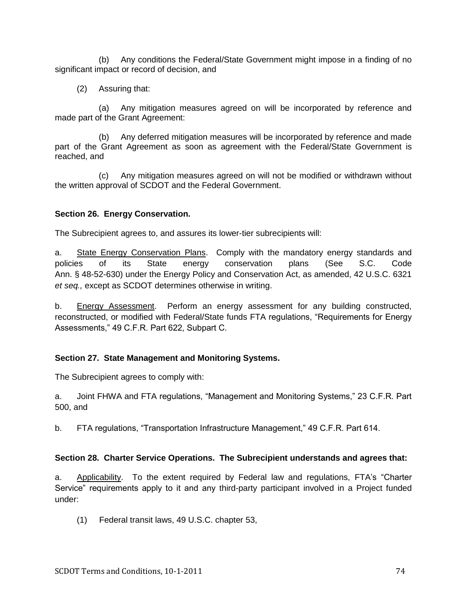(b) Any conditions the Federal/State Government might impose in a finding of no significant impact or record of decision, and

(2) Assuring that:

(a) Any mitigation measures agreed on will be incorporated by reference and made part of the Grant Agreement:

(b) Any deferred mitigation measures will be incorporated by reference and made part of the Grant Agreement as soon as agreement with the Federal/State Government is reached, and

(c) Any mitigation measures agreed on will not be modified or withdrawn without the written approval of SCDOT and the Federal Government.

# **Section 26. Energy Conservation.**

The Subrecipient agrees to, and assures its lower-tier subrecipients will:

a. State Energy Conservation Plans. Comply with the mandatory energy standards and policies of its State energy conservation plans (See S.C. Code Ann. § 48-52-630) under the Energy Policy and Conservation Act, as amended, 42 U.S.C. 6321 *et seq.,* except as SCDOT determines otherwise in writing.

b. Energy Assessment. Perform an energy assessment for any building constructed, reconstructed, or modified with Federal/State funds FTA regulations, "Requirements for Energy Assessments," 49 C.F.R. Part 622, Subpart C.

### **Section 27. State Management and Monitoring Systems.**

The Subrecipient agrees to comply with:

a. Joint FHWA and FTA regulations, "Management and Monitoring Systems," 23 C.F.R. Part 500, and

b. FTA regulations, "Transportation Infrastructure Management," 49 C.F.R. Part 614.

### **Section 28. Charter Service Operations. The Subrecipient understands and agrees that:**

a. Applicability. To the extent required by Federal law and regulations, FTA's "Charter Service" requirements apply to it and any third-party participant involved in a Project funded under:

(1) Federal transit laws, 49 U.S.C. chapter 53,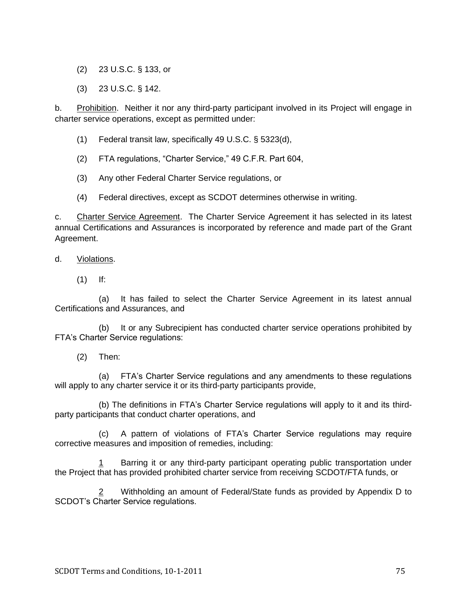- (2) 23 U.S.C. § 133, or
- (3) 23 U.S.C. § 142.

b. Prohibition. Neither it nor any third-party participant involved in its Project will engage in charter service operations, except as permitted under:

- (1) Federal transit law, specifically 49 U.S.C. § 5323(d),
- (2) FTA regulations, "Charter Service," 49 C.F.R. Part 604,
- (3) Any other Federal Charter Service regulations, or
- (4) Federal directives, except as SCDOT determines otherwise in writing.

c. Charter Service Agreement. The Charter Service Agreement it has selected in its latest annual Certifications and Assurances is incorporated by reference and made part of the Grant Agreement.

- d. Violations.
	- $(1)$  If:

(a) It has failed to select the Charter Service Agreement in its latest annual Certifications and Assurances, and

(b) It or any Subrecipient has conducted charter service operations prohibited by FTA's Charter Service regulations:

(2) Then:

(a) FTA's Charter Service regulations and any amendments to these regulations will apply to any charter service it or its third-party participants provide,

(b) The definitions in FTA's Charter Service regulations will apply to it and its thirdparty participants that conduct charter operations, and

(c) A pattern of violations of FTA's Charter Service regulations may require corrective measures and imposition of remedies, including:

Barring it or any third-party participant operating public transportation under the Project that has provided prohibited charter service from receiving SCDOT/FTA funds, or

2 Withholding an amount of Federal/State funds as provided by Appendix D to SCDOT's Charter Service regulations.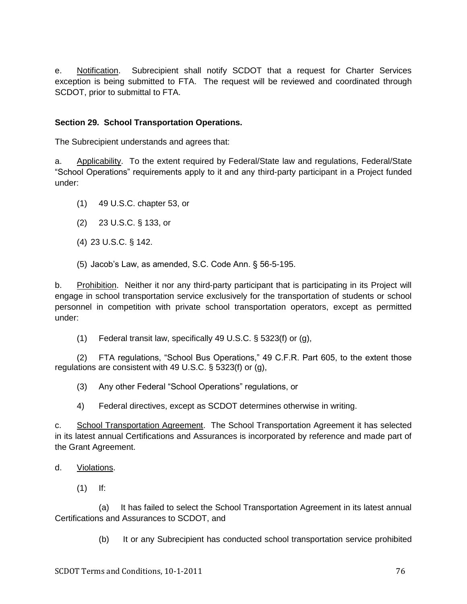e. Notification. Subrecipient shall notify SCDOT that a request for Charter Services exception is being submitted to FTA. The request will be reviewed and coordinated through SCDOT, prior to submittal to FTA.

# **Section 29. School Transportation Operations.**

The Subrecipient understands and agrees that:

a. Applicability. To the extent required by Federal/State law and regulations, Federal/State ―School Operations‖ requirements apply to it and any third-party participant in a Project funded under:

- (1) 49 U.S.C. chapter 53, or
- (2) 23 U.S.C. § 133, or
- (4) 23 U.S.C. § 142.
- (5) Jacob's Law, as amended, S.C. Code Ann. § 56-5-195.

b. Prohibition. Neither it nor any third-party participant that is participating in its Project will engage in school transportation service exclusively for the transportation of students or school personnel in competition with private school transportation operators, except as permitted under:

(1) Federal transit law, specifically 49 U.S.C. § 5323(f) or (g),

(2) FTA regulations, "School Bus Operations," 49 C.F.R. Part 605, to the extent those regulations are consistent with 49 U.S.C. § 5323(f) or (g),

(3) Any other Federal "School Operations" regulations, or

4) Federal directives, except as SCDOT determines otherwise in writing.

c. School Transportation Agreement. The School Transportation Agreement it has selected in its latest annual Certifications and Assurances is incorporated by reference and made part of the Grant Agreement.

### d. Violations.

(1) If:

(a) It has failed to select the School Transportation Agreement in its latest annual Certifications and Assurances to SCDOT, and

(b) It or any Subrecipient has conducted school transportation service prohibited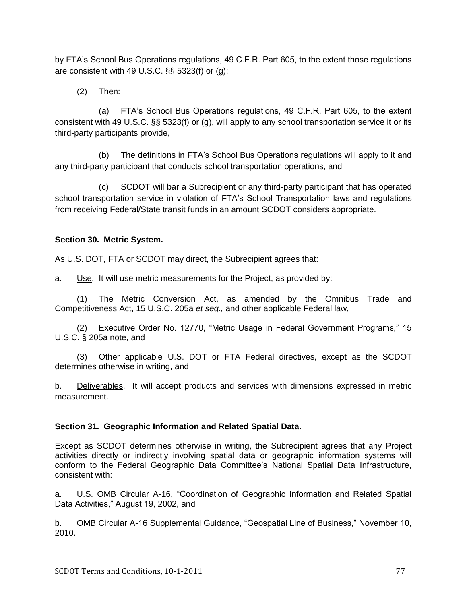by FTA's School Bus Operations regulations, 49 C.F.R. Part 605, to the extent those regulations are consistent with 49 U.S.C. §§ 5323(f) or (g):

(2) Then:

(a) FTA's School Bus Operations regulations, 49 C.F.R. Part 605, to the extent consistent with 49 U.S.C. §§ 5323(f) or (g), will apply to any school transportation service it or its third-party participants provide,

(b) The definitions in FTA's School Bus Operations regulations will apply to it and any third-party participant that conducts school transportation operations, and

(c) SCDOT will bar a Subrecipient or any third-party participant that has operated school transportation service in violation of FTA's School Transportation laws and regulations from receiving Federal/State transit funds in an amount SCDOT considers appropriate.

# **Section 30. Metric System.**

As U.S. DOT, FTA or SCDOT may direct, the Subrecipient agrees that:

a. Use. It will use metric measurements for the Project, as provided by:

(1) The Metric Conversion Act, as amended by the Omnibus Trade and Competitiveness Act, 15 U.S.C. 205a *et seq.,* and other applicable Federal law,

(2) Executive Order No. 12770, "Metric Usage in Federal Government Programs," 15 U.S.C. § 205a note, and

(3) Other applicable U.S. DOT or FTA Federal directives, except as the SCDOT determines otherwise in writing, and

b. Deliverables. It will accept products and services with dimensions expressed in metric measurement.

# **Section 31. Geographic Information and Related Spatial Data.**

Except as SCDOT determines otherwise in writing, the Subrecipient agrees that any Project activities directly or indirectly involving spatial data or geographic information systems will conform to the Federal Geographic Data Committee's National Spatial Data Infrastructure, consistent with:

a. U.S. OMB Circular A-16, "Coordination of Geographic Information and Related Spatial Data Activities," August 19, 2002, and

b. OMB Circular A-16 Supplemental Guidance, "Geospatial Line of Business," November 10, 2010.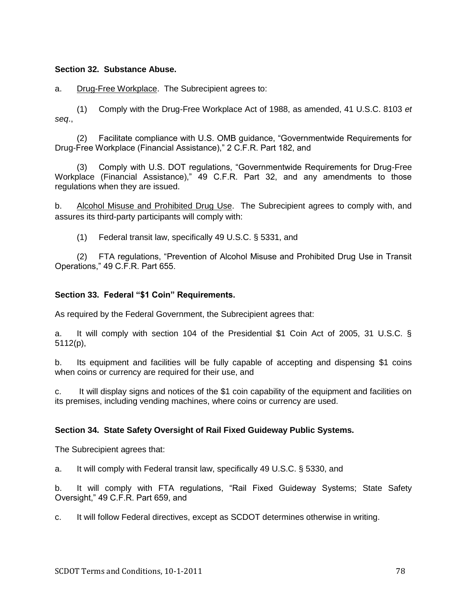#### **Section 32. Substance Abuse.**

a. Drug-Free Workplace. The Subrecipient agrees to:

(1) Comply with the Drug-Free Workplace Act of 1988, as amended, 41 U.S.C. 8103 *et seq*.,

(2) Facilitate compliance with U.S. OMB guidance, "Governmentwide Requirements for Drug-Free Workplace (Financial Assistance)," 2 C.F.R. Part 182, and

(3) Comply with U.S. DOT regulations, "Governmentwide Requirements for Drug-Free Workplace (Financial Assistance), 49 C.F.R. Part 32, and any amendments to those regulations when they are issued.

b. Alcohol Misuse and Prohibited Drug Use. The Subrecipient agrees to comply with, and assures its third-party participants will comply with:

(1) Federal transit law, specifically 49 U.S.C. § 5331, and

(2) FTA regulations, "Prevention of Alcohol Misuse and Prohibited Drug Use in Transit Operations,‖ 49 C.F.R. Part 655.

#### **Section 33. Federal "\$1 Coin" Requirements.**

As required by the Federal Government, the Subrecipient agrees that:

a. It will comply with section 104 of the Presidential \$1 Coin Act of 2005, 31 U.S.C. § 5112(p),

b. Its equipment and facilities will be fully capable of accepting and dispensing \$1 coins when coins or currency are required for their use, and

c. It will display signs and notices of the \$1 coin capability of the equipment and facilities on its premises, including vending machines, where coins or currency are used.

### **Section 34. State Safety Oversight of Rail Fixed Guideway Public Systems.**

The Subrecipient agrees that:

a. It will comply with Federal transit law, specifically 49 U.S.C. § 5330, and

b. It will comply with FTA regulations, "Rail Fixed Guideway Systems; State Safety Oversight,‖ 49 C.F.R. Part 659, and

c. It will follow Federal directives, except as SCDOT determines otherwise in writing.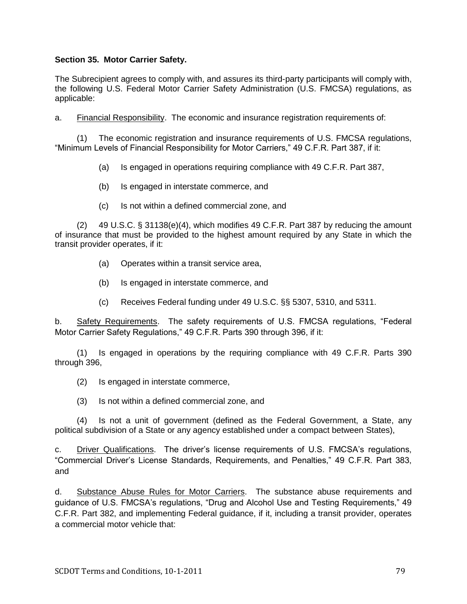### **Section 35. Motor Carrier Safety.**

The Subrecipient agrees to comply with, and assures its third-party participants will comply with, the following U.S. Federal Motor Carrier Safety Administration (U.S. FMCSA) regulations, as applicable:

a. Financial Responsibility. The economic and insurance registration requirements of:

(1) The economic registration and insurance requirements of U.S. FMCSA regulations, "Minimum Levels of Financial Responsibility for Motor Carriers," 49 C.F.R. Part 387, if it:

(a) Is engaged in operations requiring compliance with 49 C.F.R. Part 387,

- (b) Is engaged in interstate commerce, and
- (c) Is not within a defined commercial zone, and

(2) 49 U.S.C. § 31138(e)(4), which modifies 49 C.F.R. Part 387 by reducing the amount of insurance that must be provided to the highest amount required by any State in which the transit provider operates, if it:

- (a) Operates within a transit service area,
- (b) Is engaged in interstate commerce, and
- (c) Receives Federal funding under 49 U.S.C. §§ 5307, 5310, and 5311.

b. Safety Requirements. The safety requirements of U.S. FMCSA requiations, "Federal Motor Carrier Safety Regulations." 49 C.F.R. Parts 390 through 396, if it:

(1) Is engaged in operations by the requiring compliance with 49 C.F.R. Parts 390 through 396,

- (2) Is engaged in interstate commerce,
- (3) Is not within a defined commercial zone, and

(4) Is not a unit of government (defined as the Federal Government, a State, any political subdivision of a State or any agency established under a compact between States),

c. Driver Qualifications. The driver's license requirements of U.S. FMCSA's regulations, ―Commercial Driver's License Standards, Requirements, and Penalties,‖ 49 C.F.R. Part 383, and

d. Substance Abuse Rules for Motor Carriers. The substance abuse requirements and guidance of U.S. FMCSA's regulations, "Drug and Alcohol Use and Testing Requirements," 49 C.F.R. Part 382, and implementing Federal guidance, if it, including a transit provider, operates a commercial motor vehicle that: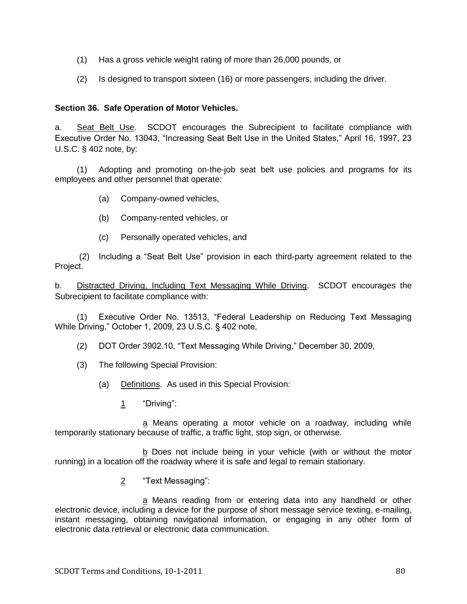- (1) Has a gross vehicle weight rating of more than 26,000 pounds, or
- (2) Is designed to transport sixteen (16) or more passengers, including the driver.

### **Section 36. Safe Operation of Motor Vehicles.**

a. Seat Belt Use. SCDOT encourages the Subrecipient to facilitate compliance with Executive Order No. 13043, "Increasing Seat Belt Use in the United States," April 16, 1997, 23 U.S.C. § 402 note, by:

(1) Adopting and promoting on-the-job seat belt use policies and programs for its employees and other personnel that operate:

- (a) Company-owned vehicles,
- (b) Company-rented vehicles, or
- (c) Personally operated vehicles, and

(2) Including a "Seat Belt Use" provision in each third-party agreement related to the Project.

b. Distracted Driving, Including Text Messaging While Driving. SCDOT encourages the Subrecipient to facilitate compliance with:

(1) Executive Order No. 13513, "Federal Leadership on Reducing Text Messaging While Driving," October 1, 2009, 23 U.S.C. § 402 note,

(2) DOT Order 3902.10, "Text Messaging While Driving," December 30, 2009,

- (3) The following Special Provision:
	- (a) Definitions. As used in this Special Provision:
		- 1 
		"Driving":

a Means operating a motor vehicle on a roadway, including while temporarily stationary because of traffic, a traffic light, stop sign, or otherwise.

 $b$  Does not include being in your vehicle (with or without the motor running) in a location off the roadway where it is safe and legal to remain stationary.

2 "Text Messaging":

a Means reading from or entering data into any handheld or other electronic device, including a device for the purpose of short message service texting, e-mailing, instant messaging, obtaining navigational information, or engaging in any other form of electronic data retrieval or electronic data communication.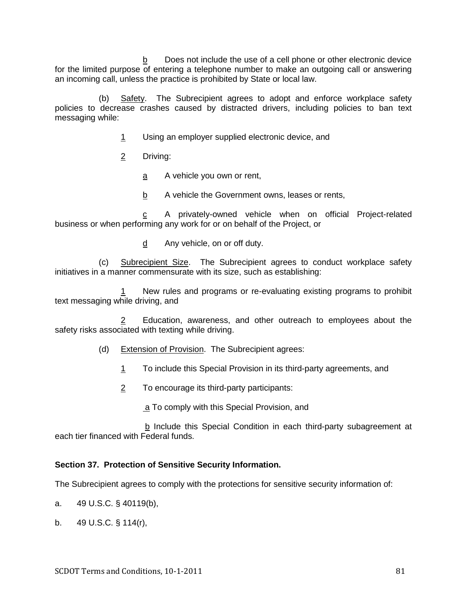b Does not include the use of a cell phone or other electronic device for the limited purpose of entering a telephone number to make an outgoing call or answering an incoming call, unless the practice is prohibited by State or local law.

(b) Safety. The Subrecipient agrees to adopt and enforce workplace safety policies to decrease crashes caused by distracted drivers, including policies to ban text messaging while:

- 1 Using an employer supplied electronic device, and
- 2 Driving:
	- a A vehicle you own or rent,
	- b A vehicle the Government owns, leases or rents,

c A privately-owned vehicle when on official Project-related business or when performing any work for or on behalf of the Project, or

d Any vehicle, on or off duty.

 (c) Subrecipient Size. The Subrecipient agrees to conduct workplace safety initiatives in a manner commensurate with its size, such as establishing:

1 New rules and programs or re-evaluating existing programs to prohibit text messaging while driving, and

Education, awareness, and other outreach to employees about the safety risks associated with texting while driving.

- (d) Extension of Provision. The Subrecipient agrees:
	- 1 To include this Special Provision in its third-party agreements, and
	- 2 To encourage its third-party participants:
		- a To comply with this Special Provision, and

b Include this Special Condition in each third-party subagreement at each tier financed with Federal funds.

### **Section 37. Protection of Sensitive Security Information.**

The Subrecipient agrees to comply with the protections for sensitive security information of:

- a. 49 U.S.C. § 40119(b),
- b. 49 U.S.C. § 114(r),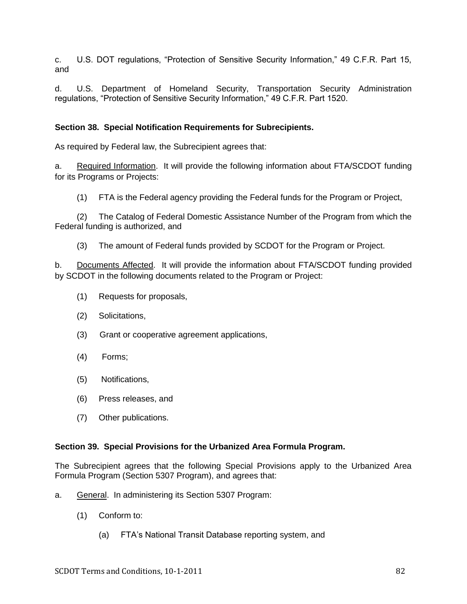c. U.S. DOT regulations, "Protection of Sensitive Security Information," 49 C.F.R. Part 15, and

d. U.S. Department of Homeland Security, Transportation Security Administration regulations, "Protection of Sensitive Security Information," 49 C.F.R. Part 1520.

### **Section 38. Special Notification Requirements for Subrecipients.**

As required by Federal law, the Subrecipient agrees that:

a. Required Information. It will provide the following information about FTA/SCDOT funding for its Programs or Projects:

(1) FTA is the Federal agency providing the Federal funds for the Program or Project,

(2) The Catalog of Federal Domestic Assistance Number of the Program from which the Federal funding is authorized, and

(3) The amount of Federal funds provided by SCDOT for the Program or Project.

b. Documents Affected. It will provide the information about FTA/SCDOT funding provided by SCDOT in the following documents related to the Program or Project:

- (1) Requests for proposals,
- (2) Solicitations,
- (3) Grant or cooperative agreement applications,
- (4) Forms;
- (5) Notifications,
- (6) Press releases, and
- (7) Other publications.

#### **Section 39. Special Provisions for the Urbanized Area Formula Program.**

The Subrecipient agrees that the following Special Provisions apply to the Urbanized Area Formula Program (Section 5307 Program), and agrees that:

- a. General. In administering its Section 5307 Program:
	- (1) Conform to:
		- (a) FTA's National Transit Database reporting system, and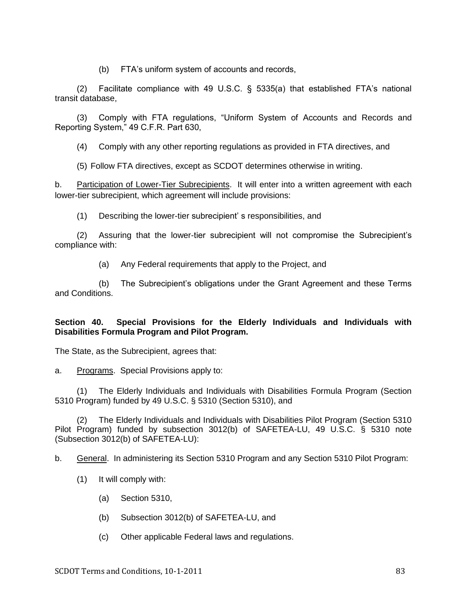(b) FTA's uniform system of accounts and records,

(2) Facilitate compliance with 49 U.S.C. § 5335(a) that established FTA's national transit database,

(3) Comply with FTA regulations, "Uniform System of Accounts and Records and Reporting System," 49 C.F.R. Part 630,

(4) Comply with any other reporting regulations as provided in FTA directives, and

(5) Follow FTA directives, except as SCDOT determines otherwise in writing.

b. Participation of Lower-Tier Subrecipients. It will enter into a written agreement with each lower-tier subrecipient, which agreement will include provisions:

(1) Describing the lower-tier subrecipient' s responsibilities, and

(2) Assuring that the lower-tier subrecipient will not compromise the Subrecipient's compliance with:

(a) Any Federal requirements that apply to the Project, and

 (b) The Subrecipient's obligations under the Grant Agreement and these Terms and Conditions.

### **Section 40. Special Provisions for the Elderly Individuals and Individuals with Disabilities Formula Program and Pilot Program.**

The State, as the Subrecipient, agrees that:

a. Programs. Special Provisions apply to:

(1) The Elderly Individuals and Individuals with Disabilities Formula Program (Section 5310 Program) funded by 49 U.S.C. § 5310 (Section 5310), and

(2) The Elderly Individuals and Individuals with Disabilities Pilot Program (Section 5310 Pilot Program) funded by subsection 3012(b) of SAFETEA-LU, 49 U.S.C. § 5310 note (Subsection 3012(b) of SAFETEA-LU):

b. General. In administering its Section 5310 Program and any Section 5310 Pilot Program:

- (1) It will comply with:
	- (a) Section 5310,
	- (b) Subsection 3012(b) of SAFETEA-LU, and
	- (c) Other applicable Federal laws and regulations.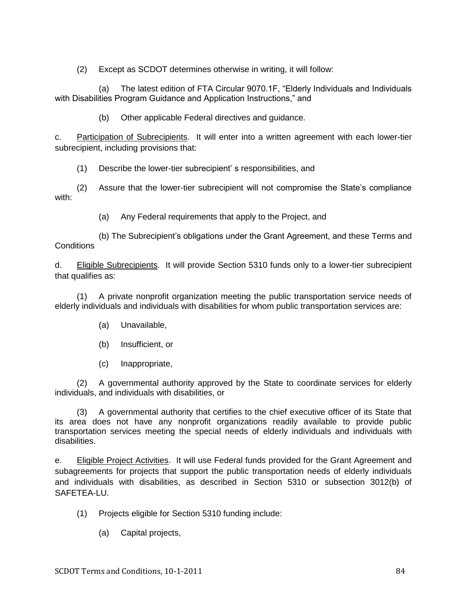(2) Except as SCDOT determines otherwise in writing, it will follow:

(a) The latest edition of FTA Circular 9070.1F, "Elderly Individuals and Individuals with Disabilities Program Guidance and Application Instructions," and

(b) Other applicable Federal directives and guidance.

c. Participation of Subrecipients. It will enter into a written agreement with each lower-tier subrecipient, including provisions that:

(1) Describe the lower-tier subrecipient' s responsibilities, and

(2) Assure that the lower-tier subrecipient will not compromise the State's compliance with:

(a) Any Federal requirements that apply to the Project, and

 (b) The Subrecipient's obligations under the Grant Agreement, and these Terms and **Conditions** 

d. Eligible Subrecipients. It will provide Section 5310 funds only to a lower-tier subrecipient that qualifies as:

(1) A private nonprofit organization meeting the public transportation service needs of elderly individuals and individuals with disabilities for whom public transportation services are:

- (a) Unavailable,
- (b) Insufficient, or
- (c) Inappropriate,

(2) A governmental authority approved by the State to coordinate services for elderly individuals, and individuals with disabilities, or

(3) A governmental authority that certifies to the chief executive officer of its State that its area does not have any nonprofit organizations readily available to provide public transportation services meeting the special needs of elderly individuals and individuals with disabilities.

e. Eligible Project Activities. It will use Federal funds provided for the Grant Agreement and subagreements for projects that support the public transportation needs of elderly individuals and individuals with disabilities, as described in Section 5310 or subsection 3012(b) of SAFETEA-LU.

- (1) Projects eligible for Section 5310 funding include:
	- (a) Capital projects,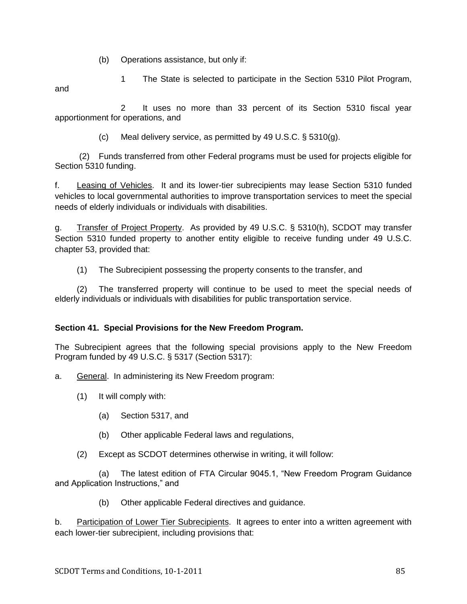(b) Operations assistance, but only if:

1 The State is selected to participate in the Section 5310 Pilot Program,

and

 2 It uses no more than 33 percent of its Section 5310 fiscal year apportionment for operations, and

(c) Meal delivery service, as permitted by 49 U.S.C. § 5310(g).

(2) Funds transferred from other Federal programs must be used for projects eligible for Section 5310 funding.

f. Leasing of Vehicles. It and its lower-tier subrecipients may lease Section 5310 funded vehicles to local governmental authorities to improve transportation services to meet the special needs of elderly individuals or individuals with disabilities.

g. Transfer of Project Property. As provided by 49 U.S.C. § 5310(h), SCDOT may transfer Section 5310 funded property to another entity eligible to receive funding under 49 U.S.C. chapter 53, provided that:

(1) The Subrecipient possessing the property consents to the transfer, and

(2) The transferred property will continue to be used to meet the special needs of elderly individuals or individuals with disabilities for public transportation service.

# **Section 41. Special Provisions for the New Freedom Program.**

The Subrecipient agrees that the following special provisions apply to the New Freedom Program funded by 49 U.S.C. § 5317 (Section 5317):

a. General. In administering its New Freedom program:

- (1) It will comply with:
	- (a) Section 5317, and
	- (b) Other applicable Federal laws and regulations,
- (2) Except as SCDOT determines otherwise in writing, it will follow:

(a) The latest edition of FTA Circular 9045.1, "New Freedom Program Guidance and Application Instructions," and

(b) Other applicable Federal directives and guidance.

b. Participation of Lower Tier Subrecipients. It agrees to enter into a written agreement with each lower-tier subrecipient, including provisions that: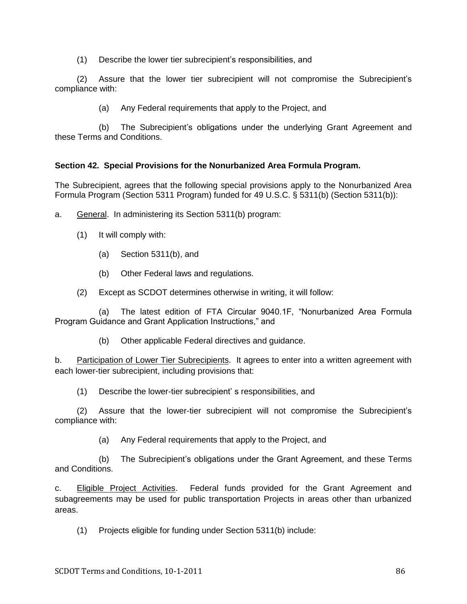(1) Describe the lower tier subrecipient's responsibilities, and

(2) Assure that the lower tier subrecipient will not compromise the Subrecipient's compliance with:

(a) Any Federal requirements that apply to the Project, and

 (b) The Subrecipient's obligations under the underlying Grant Agreement and these Terms and Conditions.

# **Section 42. Special Provisions for the Nonurbanized Area Formula Program.**

The Subrecipient, agrees that the following special provisions apply to the Nonurbanized Area Formula Program (Section 5311 Program) funded for 49 U.S.C. § 5311(b) (Section 5311(b)):

- a. General. In administering its Section 5311(b) program:
	- (1) It will comply with:
		- (a) Section 5311(b), and
		- (b) Other Federal laws and regulations.
	- (2) Except as SCDOT determines otherwise in writing, it will follow:

(a) The latest edition of FTA Circular 9040.1F, "Nonurbanized Area Formula Program Guidance and Grant Application Instructions," and

(b) Other applicable Federal directives and guidance.

b. Participation of Lower Tier Subrecipients. It agrees to enter into a written agreement with each lower-tier subrecipient, including provisions that:

(1) Describe the lower-tier subrecipient' s responsibilities, and

(2) Assure that the lower-tier subrecipient will not compromise the Subrecipient's compliance with:

(a) Any Federal requirements that apply to the Project, and

 (b) The Subrecipient's obligations under the Grant Agreement, and these Terms and Conditions.

c. Eligible Project Activities. Federal funds provided for the Grant Agreement and subagreements may be used for public transportation Projects in areas other than urbanized areas.

(1) Projects eligible for funding under Section 5311(b) include: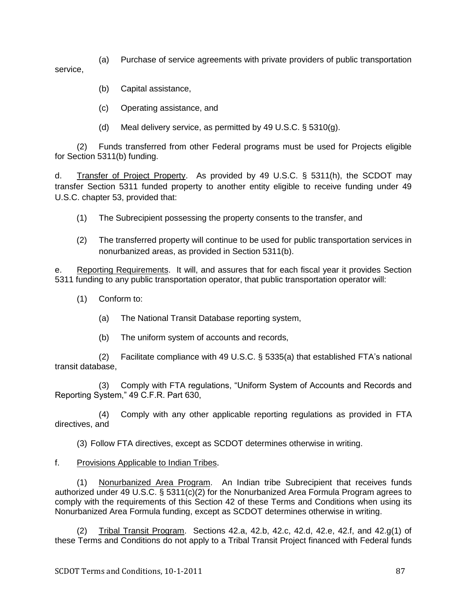(a) Purchase of service agreements with private providers of public transportation service,

- (b) Capital assistance,
- (c) Operating assistance, and
- (d) Meal delivery service, as permitted by 49 U.S.C. § 5310(g).

(2) Funds transferred from other Federal programs must be used for Projects eligible for Section 5311(b) funding.

d. Transfer of Project Property. As provided by 49 U.S.C. § 5311(h), the SCDOT may transfer Section 5311 funded property to another entity eligible to receive funding under 49 U.S.C. chapter 53, provided that:

- (1) The Subrecipient possessing the property consents to the transfer, and
- (2) The transferred property will continue to be used for public transportation services in nonurbanized areas, as provided in Section 5311(b).

e. Reporting Requirements. It will, and assures that for each fiscal year it provides Section 5311 funding to any public transportation operator, that public transportation operator will:

- (1) Conform to:
	- (a) The National Transit Database reporting system,
	- (b) The uniform system of accounts and records,

(2) Facilitate compliance with 49 U.S.C. § 5335(a) that established FTA's national transit database,

(3) Comply with FTA regulations, "Uniform System of Accounts and Records and Reporting System," 49 C.F.R. Part 630,

(4) Comply with any other applicable reporting regulations as provided in FTA directives, and

(3) Follow FTA directives, except as SCDOT determines otherwise in writing.

### f. Provisions Applicable to Indian Tribes.

(1) Nonurbanized Area Program. An Indian tribe Subrecipient that receives funds authorized under 49 U.S.C. § 5311(c)(2) for the Nonurbanized Area Formula Program agrees to comply with the requirements of this Section 42 of these Terms and Conditions when using its Nonurbanized Area Formula funding, except as SCDOT determines otherwise in writing.

(2) Tribal Transit Program. Sections 42.a, 42.b, 42.c, 42.d, 42.e, 42.f, and 42.g(1) of these Terms and Conditions do not apply to a Tribal Transit Project financed with Federal funds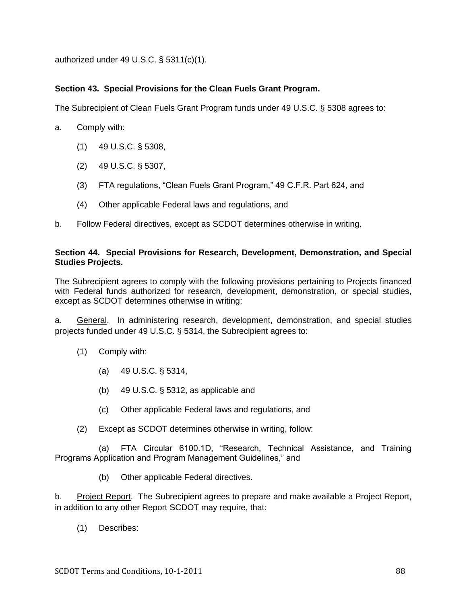authorized under 49 U.S.C. § 5311(c)(1).

# **Section 43. Special Provisions for the Clean Fuels Grant Program.**

The Subrecipient of Clean Fuels Grant Program funds under 49 U.S.C. § 5308 agrees to:

- a. Comply with:
	- (1) 49 U.S.C. § 5308,
	- (2) 49 U.S.C. § 5307,
	- (3) FTA regulations, "Clean Fuels Grant Program," 49 C.F.R. Part 624, and
	- (4) Other applicable Federal laws and regulations, and
- b. Follow Federal directives, except as SCDOT determines otherwise in writing.

### **Section 44. Special Provisions for Research, Development, Demonstration, and Special Studies Projects.**

The Subrecipient agrees to comply with the following provisions pertaining to Projects financed with Federal funds authorized for research, development, demonstration, or special studies, except as SCDOT determines otherwise in writing:

a. General. In administering research, development, demonstration, and special studies projects funded under 49 U.S.C. § 5314, the Subrecipient agrees to:

- (1) Comply with:
	- (a) 49 U.S.C. § 5314,
	- (b) 49 U.S.C. § 5312, as applicable and
	- (c) Other applicable Federal laws and regulations, and
- (2) Except as SCDOT determines otherwise in writing, follow:

(a) FTA Circular 6100.1D, "Research, Technical Assistance, and Training Programs Application and Program Management Guidelines," and

(b) Other applicable Federal directives.

b. Project Report. The Subrecipient agrees to prepare and make available a Project Report, in addition to any other Report SCDOT may require, that:

(1) Describes: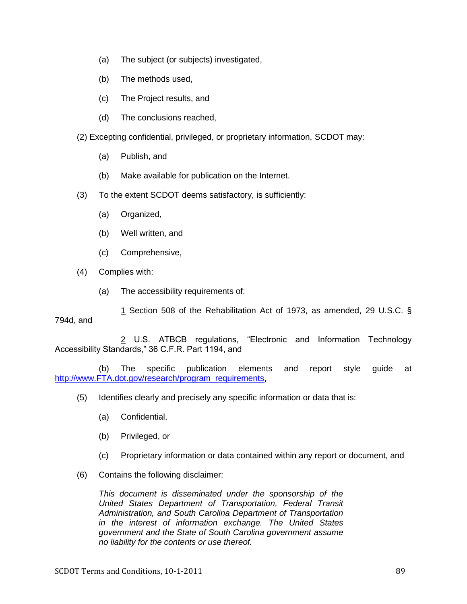- (a) The subject (or subjects) investigated,
- (b) The methods used,
- (c) The Project results, and
- (d) The conclusions reached,
- (2) Excepting confidential, privileged, or proprietary information, SCDOT may:
	- (a) Publish, and
	- (b) Make available for publication on the Internet.
- (3) To the extent SCDOT deems satisfactory, is sufficiently:
	- (a) Organized,
	- (b) Well written, and
	- (c) Comprehensive,
- (4) Complies with:
	- (a) The accessibility requirements of:
- 1 Section 508 of the Rehabilitation Act of 1973, as amended, 29 U.S.C. § 794d, and

2 U.S. ATBCB regulations, "Electronic and Information Technology Accessibility Standards," 36 C.F.R. Part 1194, and

 (b) The specific publication elements and report style guide at [http://www.FTA.dot.gov/research/program\\_requirements,](http://www.fta.dot.gov/research/program_requirements)

- (5) Identifies clearly and precisely any specific information or data that is:
	- (a) Confidential,
	- (b) Privileged, or
	- (c) Proprietary information or data contained within any report or document, and
- (6) Contains the following disclaimer:

*This document is disseminated under the sponsorship of the United States Department of Transportation, Federal Transit Administration, and South Carolina Department of Transportation in the interest of information exchange. The United States government and the State of South Carolina government assume no liability for the contents or use thereof.*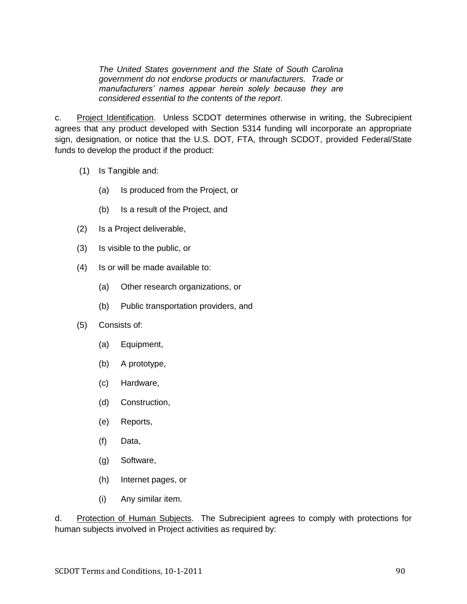*The United States government and the State of South Carolina government do not endorse products or manufacturers. Trade or manufacturers' names appear herein solely because they are considered essential to the contents of the report*.

c. Project Identification. Unless SCDOT determines otherwise in writing, the Subrecipient agrees that any product developed with Section 5314 funding will incorporate an appropriate sign, designation, or notice that the U.S. DOT, FTA, through SCDOT, provided Federal/State funds to develop the product if the product:

- (1) Is Tangible and:
	- (a) Is produced from the Project, or
	- (b) Is a result of the Project, and
- (2) Is a Project deliverable,
- (3) Is visible to the public, or
- (4) Is or will be made available to:
	- (a) Other research organizations, or
	- (b) Public transportation providers, and
- (5) Consists of:
	- (a) Equipment,
	- (b) A prototype,
	- (c) Hardware,
	- (d) Construction,
	- (e) Reports,
	- (f) Data,
	- (g) Software,
	- (h) Internet pages, or
	- (i) Any similar item.

d. Protection of Human Subjects. The Subrecipient agrees to comply with protections for human subjects involved in Project activities as required by: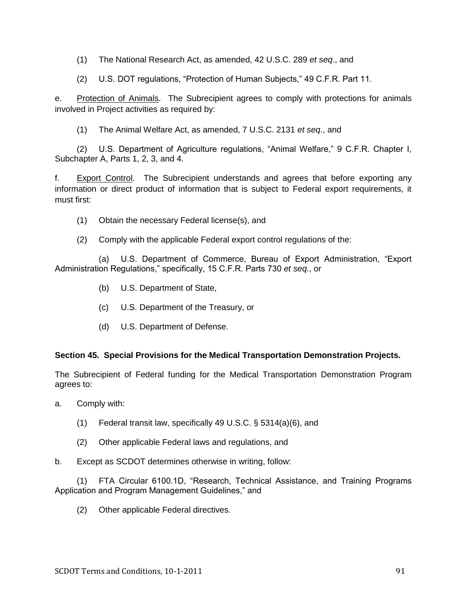(1) The National Research Act, as amended, 42 U.S.C. 289 *et seq*., and

(2) U.S. DOT regulations, "Protection of Human Subjects," 49 C.F.R. Part 11.

e. Protection of Animals. The Subrecipient agrees to comply with protections for animals involved in Project activities as required by:

(1) The Animal Welfare Act, as amended, 7 U.S.C. 2131 *et seq*., and

(2) U.S. Department of Agriculture regulations, "Animal Welfare," 9 C.F.R. Chapter I, Subchapter A, Parts 1, 2, 3, and 4.

f. Export Control. The Subrecipient understands and agrees that before exporting any information or direct product of information that is subject to Federal export requirements, it must first:

- (1) Obtain the necessary Federal license(s), and
- (2) Comply with the applicable Federal export control regulations of the:

(a) U.S. Department of Commerce, Bureau of Export Administration, "Export Administration Regulations,‖ specifically, 15 C.F.R. Parts 730 *et seq*., or

- (b) U.S. Department of State,
- (c) U.S. Department of the Treasury, or
- (d) U.S. Department of Defense.

### **Section 45. Special Provisions for the Medical Transportation Demonstration Projects.**

The Subrecipient of Federal funding for the Medical Transportation Demonstration Program agrees to:

- a. Comply with:
	- (1) Federal transit law, specifically 49 U.S.C. § 5314(a)(6), and
	- (2) Other applicable Federal laws and regulations, and
- b. Except as SCDOT determines otherwise in writing, follow:

(1) FTA Circular 6100.1D, "Research, Technical Assistance, and Training Programs Application and Program Management Guidelines," and

(2) Other applicable Federal directives.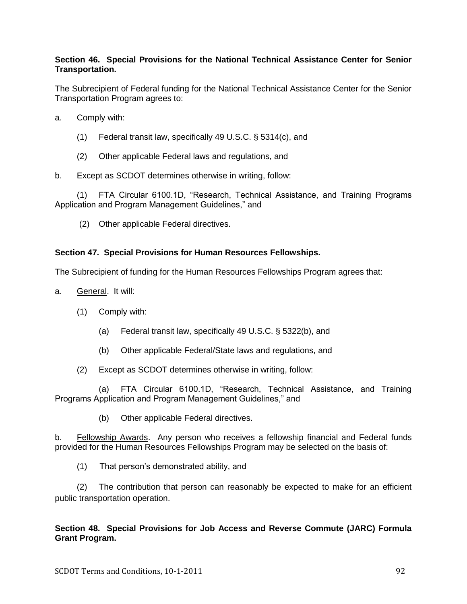### **Section 46. Special Provisions for the National Technical Assistance Center for Senior Transportation.**

The Subrecipient of Federal funding for the National Technical Assistance Center for the Senior Transportation Program agrees to:

- a. Comply with:
	- (1) Federal transit law, specifically 49 U.S.C. § 5314(c), and
	- (2) Other applicable Federal laws and regulations, and
- b. Except as SCDOT determines otherwise in writing, follow:

(1) FTA Circular 6100.1D, "Research, Technical Assistance, and Training Programs Application and Program Management Guidelines," and

(2) Other applicable Federal directives.

#### **Section 47. Special Provisions for Human Resources Fellowships.**

The Subrecipient of funding for the Human Resources Fellowships Program agrees that:

- a. General. It will:
	- (1) Comply with:
		- (a) Federal transit law, specifically 49 U.S.C. § 5322(b), and
		- (b) Other applicable Federal/State laws and regulations, and
	- (2) Except as SCDOT determines otherwise in writing, follow:

(a) FTA Circular 6100.1D, "Research, Technical Assistance, and Training Programs Application and Program Management Guidelines," and

(b) Other applicable Federal directives.

b. Fellowship Awards. Any person who receives a fellowship financial and Federal funds provided for the Human Resources Fellowships Program may be selected on the basis of:

(1) That person's demonstrated ability, and

(2) The contribution that person can reasonably be expected to make for an efficient public transportation operation.

### **Section 48. Special Provisions for Job Access and Reverse Commute (JARC) Formula Grant Program.**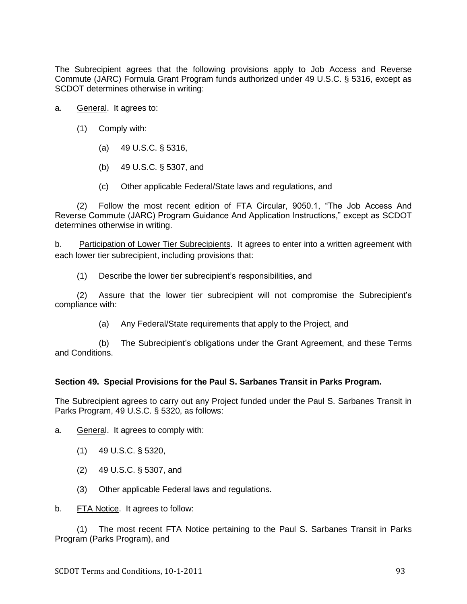The Subrecipient agrees that the following provisions apply to Job Access and Reverse Commute (JARC) Formula Grant Program funds authorized under 49 U.S.C. § 5316, except as SCDOT determines otherwise in writing:

- a. General. It agrees to:
	- (1) Comply with:
		- (a) 49 U.S.C. § 5316,
		- (b) 49 U.S.C. § 5307, and
		- (c) Other applicable Federal/State laws and regulations, and

(2) Follow the most recent edition of FTA Circular, 9050.1, "The Job Access And Reverse Commute (JARC) Program Guidance And Application Instructions," except as SCDOT determines otherwise in writing.

b. Participation of Lower Tier Subrecipients. It agrees to enter into a written agreement with each lower tier subrecipient, including provisions that:

(1) Describe the lower tier subrecipient's responsibilities, and

(2) Assure that the lower tier subrecipient will not compromise the Subrecipient's compliance with:

(a) Any Federal/State requirements that apply to the Project, and

 (b) The Subrecipient's obligations under the Grant Agreement, and these Terms and Conditions.

### **Section 49. Special Provisions for the Paul S. Sarbanes Transit in Parks Program.**

The Subrecipient agrees to carry out any Project funded under the Paul S. Sarbanes Transit in Parks Program, 49 U.S.C. § 5320, as follows:

a. General. It agrees to comply with:

- (1) 49 U.S.C. § 5320,
- (2) 49 U.S.C. § 5307, and
- (3) Other applicable Federal laws and regulations.

b. FTA Notice. It agrees to follow:

(1) The most recent FTA Notice pertaining to the Paul S. Sarbanes Transit in Parks Program (Parks Program), and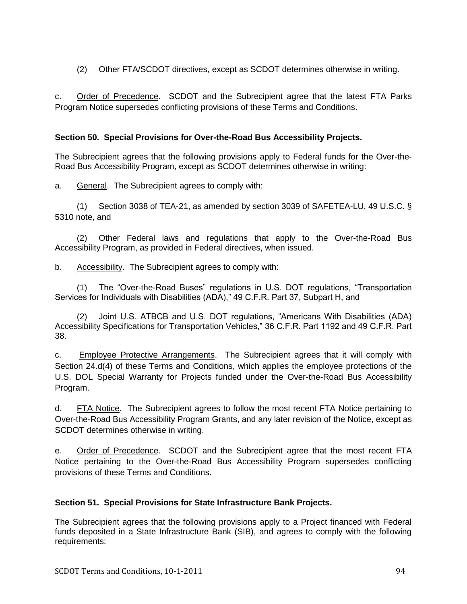(2) Other FTA/SCDOT directives, except as SCDOT determines otherwise in writing.

c. Order of Precedence. SCDOT and the Subrecipient agree that the latest FTA Parks Program Notice supersedes conflicting provisions of these Terms and Conditions.

# **Section 50. Special Provisions for Over-the-Road Bus Accessibility Projects.**

The Subrecipient agrees that the following provisions apply to Federal funds for the Over-the-Road Bus Accessibility Program, except as SCDOT determines otherwise in writing:

a. General. The Subrecipient agrees to comply with:

(1) Section 3038 of TEA-21, as amended by section 3039 of SAFETEA-LU, 49 U.S.C. § 5310 note, and

(2) Other Federal laws and regulations that apply to the Over-the-Road Bus Accessibility Program, as provided in Federal directives, when issued.

b. Accessibility. The Subrecipient agrees to comply with:

(1) The "Over-the-Road Buses" regulations in U.S. DOT regulations, "Transportation Services for Individuals with Disabilities (ADA)," 49 C.F.R. Part 37, Subpart H, and

(2) Joint U.S. ATBCB and U.S. DOT regulations, "Americans With Disabilities (ADA) Accessibility Specifications for Transportation Vehicles," 36 C.F.R. Part 1192 and 49 C.F.R. Part 38.

c. Employee Protective Arrangements. The Subrecipient agrees that it will comply with Section 24.d(4) of these Terms and Conditions, which applies the employee protections of the U.S. DOL Special Warranty for Projects funded under the Over-the-Road Bus Accessibility Program.

d. FTA Notice. The Subrecipient agrees to follow the most recent FTA Notice pertaining to Over-the-Road Bus Accessibility Program Grants, and any later revision of the Notice, except as SCDOT determines otherwise in writing.

e. Order of Precedence. SCDOT and the Subrecipient agree that the most recent FTA Notice pertaining to the Over-the-Road Bus Accessibility Program supersedes conflicting provisions of these Terms and Conditions.

# **Section 51. Special Provisions for State Infrastructure Bank Projects.**

The Subrecipient agrees that the following provisions apply to a Project financed with Federal funds deposited in a State Infrastructure Bank (SIB), and agrees to comply with the following requirements: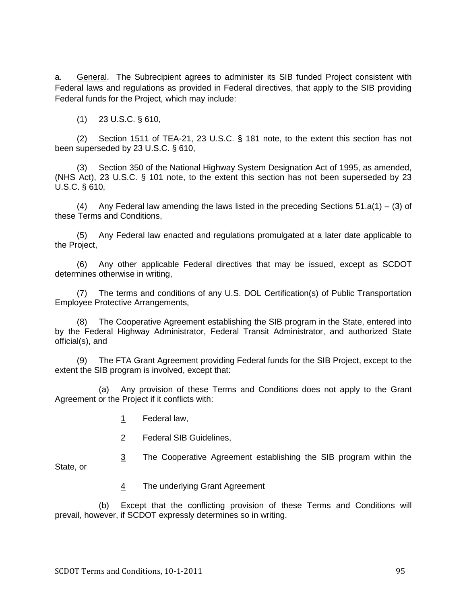a. General. The Subrecipient agrees to administer its SIB funded Project consistent with Federal laws and regulations as provided in Federal directives, that apply to the SIB providing Federal funds for the Project, which may include:

(1) 23 U.S.C. § 610,

(2) Section 1511 of TEA-21, 23 U.S.C. § 181 note, to the extent this section has not been superseded by 23 U.S.C. § 610,

(3) Section 350 of the National Highway System Designation Act of 1995, as amended, (NHS Act), 23 U.S.C. § 101 note, to the extent this section has not been superseded by 23 U.S.C. § 610,

(4) Any Federal law amending the laws listed in the preceding Sections  $51.a(1) - (3)$  of these Terms and Conditions,

(5) Any Federal law enacted and regulations promulgated at a later date applicable to the Project,

(6) Any other applicable Federal directives that may be issued, except as SCDOT determines otherwise in writing,

(7) The terms and conditions of any U.S. DOL Certification(s) of Public Transportation Employee Protective Arrangements,

The Cooperative Agreement establishing the SIB program in the State, entered into by the Federal Highway Administrator, Federal Transit Administrator, and authorized State official(s), and

(9) The FTA Grant Agreement providing Federal funds for the SIB Project, except to the extent the SIB program is involved, except that:

 (a) Any provision of these Terms and Conditions does not apply to the Grant Agreement or the Project if it conflicts with:

- 1 Federal law,
- 2 Federal SIB Guidelines,
- 3 The Cooperative Agreement establishing the SIB program within the

State, or

4 The underlying Grant Agreement

 (b) Except that the conflicting provision of these Terms and Conditions will prevail, however, if SCDOT expressly determines so in writing.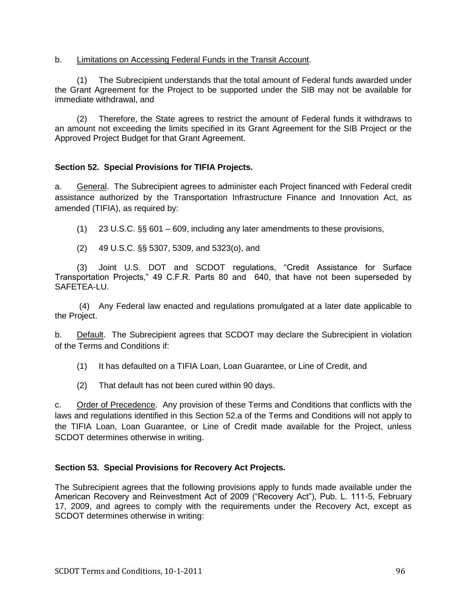### b. Limitations on Accessing Federal Funds in the Transit Account.

(1) The Subrecipient understands that the total amount of Federal funds awarded under the Grant Agreement for the Project to be supported under the SIB may not be available for immediate withdrawal, and

(2) Therefore, the State agrees to restrict the amount of Federal funds it withdraws to an amount not exceeding the limits specified in its Grant Agreement for the SIB Project or the Approved Project Budget for that Grant Agreement.

# **Section 52. Special Provisions for TIFIA Projects.**

a. General. The Subrecipient agrees to administer each Project financed with Federal credit assistance authorized by the Transportation Infrastructure Finance and Innovation Act, as amended (TIFIA), as required by:

- (1) 23 U.S.C. §§ 601 609, including any later amendments to these provisions,
- (2) 49 U.S.C. §§ 5307, 5309, and 5323(o), and

(3) Joint U.S. DOT and SCDOT regulations, "Credit Assistance for Surface Transportation Projects," 49 C.F.R. Parts 80 and 640, that have not been superseded by SAFFTFA-LU.

(4) Any Federal law enacted and regulations promulgated at a later date applicable to the Project.

b. Default. The Subrecipient agrees that SCDOT may declare the Subrecipient in violation of the Terms and Conditions if:

- (1) It has defaulted on a TIFIA Loan, Loan Guarantee, or Line of Credit, and
- (2) That default has not been cured within 90 days.

c. Order of Precedence. Any provision of these Terms and Conditions that conflicts with the laws and regulations identified in this Section 52.a of the Terms and Conditions will not apply to the TIFIA Loan, Loan Guarantee, or Line of Credit made available for the Project, unless SCDOT determines otherwise in writing.

### **Section 53. Special Provisions for Recovery Act Projects.**

The Subrecipient agrees that the following provisions apply to funds made available under the American Recovery and Reinvestment Act of 2009 ("Recovery Act"), Pub. L. 111-5, February 17, 2009, and agrees to comply with the requirements under the Recovery Act, except as SCDOT determines otherwise in writing: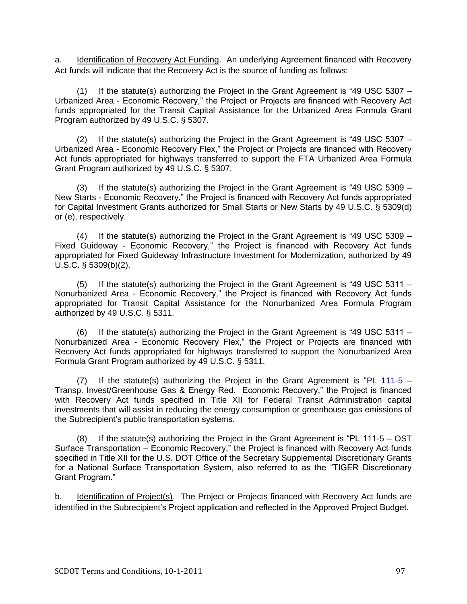a. Identification of Recovery Act Funding. An underlying Agreement financed with Recovery Act funds will indicate that the Recovery Act is the source of funding as follows:

(1) If the statute(s) authorizing the Project in the Grant Agreement is  $49$  USC 5307 – Urbanized Area - Economic Recovery," the Project or Projects are financed with Recovery Act funds appropriated for the Transit Capital Assistance for the Urbanized Area Formula Grant Program authorized by 49 U.S.C. § 5307.

(2) If the statute(s) authorizing the Project in the Grant Agreement is  $49$  USC 5307 – Urbanized Area - Economic Recovery Flex," the Project or Projects are financed with Recovery Act funds appropriated for highways transferred to support the FTA Urbanized Area Formula Grant Program authorized by 49 U.S.C. § 5307.

(3) If the statute(s) authorizing the Project in the Grant Agreement is  $49$  USC 5309 – New Starts - Economic Recovery," the Project is financed with Recovery Act funds appropriated for Capital Investment Grants authorized for Small Starts or New Starts by 49 U.S.C. § 5309(d) or (e), respectively.

 $(4)$  If the statute(s) authorizing the Project in the Grant Agreement is "49 USC 5309 – Fixed Guideway - Economic Recovery," the Project is financed with Recovery Act funds appropriated for Fixed Guideway Infrastructure Investment for Modernization, authorized by 49 U.S.C. § 5309(b)(2).

 $(5)$  If the statute(s) authorizing the Project in the Grant Agreement is "49 USC 5311 – Nonurbanized Area - Economic Recovery," the Project is financed with Recovery Act funds appropriated for Transit Capital Assistance for the Nonurbanized Area Formula Program authorized by 49 U.S.C. § 5311.

(6) If the statute(s) authorizing the Project in the Grant Agreement is  $49$  USC 5311 – Nonurbanized Area - Economic Recovery Flex," the Project or Projects are financed with Recovery Act funds appropriated for highways transferred to support the Nonurbanized Area Formula Grant Program authorized by 49 U.S.C. § 5311.

(7) If the statute(s) authorizing the Project in the Grant Agreement is "PL 111-5 – Transp. Invest/Greenhouse Gas & Energy Red. Economic Recovery," the Project is financed with Recovery Act funds specified in Title XII for Federal Transit Administration capital investments that will assist in reducing the energy consumption or greenhouse gas emissions of the Subrecipient's public transportation systems.

(8) If the statute(s) authorizing the Project in the Grant Agreement is  $P_{\text{PL}}$  111-5 – OST Surface Transportation – Economic Recovery," the Project is financed with Recovery Act funds specified in Title XII for the U.S. DOT Office of the Secretary Supplemental Discretionary Grants for a National Surface Transportation System, also referred to as the "TIGER Discretionary Grant Program."

b. Identification of Project(s). The Project or Projects financed with Recovery Act funds are identified in the Subrecipient's Project application and reflected in the Approved Project Budget.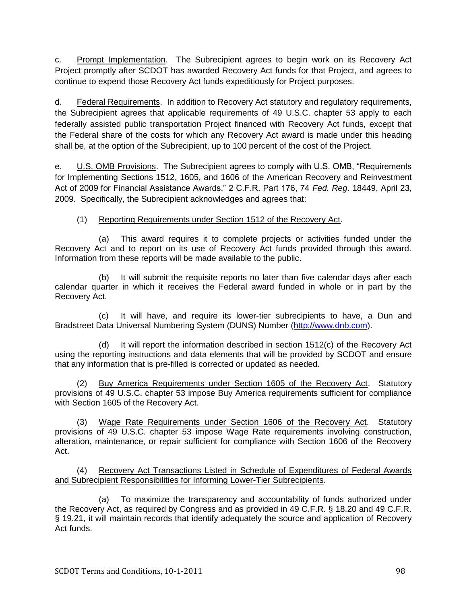c. Prompt Implementation. The Subrecipient agrees to begin work on its Recovery Act Project promptly after SCDOT has awarded Recovery Act funds for that Project, and agrees to continue to expend those Recovery Act funds expeditiously for Project purposes.

d. Federal Requirements. In addition to Recovery Act statutory and regulatory requirements, the Subrecipient agrees that applicable requirements of 49 U.S.C. chapter 53 apply to each federally assisted public transportation Project financed with Recovery Act funds, except that the Federal share of the costs for which any Recovery Act award is made under this heading shall be, at the option of the Subrecipient, up to 100 percent of the cost of the Project.

e. U.S. OMB Provisions. The Subrecipient agrees to comply with U.S. OMB, "Requirements for Implementing Sections 1512, 1605, and 1606 of the American Recovery and Reinvestment Act of 2009 for Financial Assistance Awards,‖ 2 C.F.R. Part 176, 74 *Fed. Reg*. 18449, April 23, 2009. Specifically, the Subrecipient acknowledges and agrees that:

# (1) Reporting Requirements under Section 1512 of the Recovery Act.

(a) This award requires it to complete projects or activities funded under the Recovery Act and to report on its use of Recovery Act funds provided through this award. Information from these reports will be made available to the public.

 (b) It will submit the requisite reports no later than five calendar days after each calendar quarter in which it receives the Federal award funded in whole or in part by the Recovery Act.

 (c) It will have, and require its lower-tier subrecipients to have, a Dun and Bradstreet Data Universal Numbering System (DUNS) Number [\(http://www.dnb.com\)](http://www.dnb.com/).

 (d) It will report the information described in section 1512(c) of the Recovery Act using the reporting instructions and data elements that will be provided by SCDOT and ensure that any information that is pre-filled is corrected or updated as needed.

(2) Buy America Requirements under Section 1605 of the Recovery Act. Statutory provisions of 49 U.S.C. chapter 53 impose Buy America requirements sufficient for compliance with Section 1605 of the Recovery Act.

(3) Wage Rate Requirements under Section 1606 of the Recovery Act. Statutory provisions of 49 U.S.C. chapter 53 impose Wage Rate requirements involving construction, alteration, maintenance, or repair sufficient for compliance with Section 1606 of the Recovery Act.

(4) Recovery Act Transactions Listed in Schedule of Expenditures of Federal Awards and Subrecipient Responsibilities for Informing Lower-Tier Subrecipients.

 (a) To maximize the transparency and accountability of funds authorized under the Recovery Act, as required by Congress and as provided in 49 C.F.R. § 18.20 and 49 C.F.R. § 19.21, it will maintain records that identify adequately the source and application of Recovery Act funds.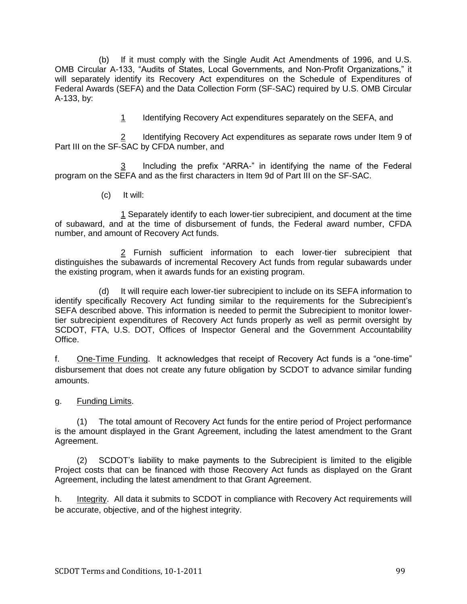(b) If it must comply with the Single Audit Act Amendments of 1996, and U.S. OMB Circular A-133, "Audits of States, Local Governments, and Non-Profit Organizations," it will separately identify its Recovery Act expenditures on the Schedule of Expenditures of Federal Awards (SEFA) and the Data Collection Form (SF-SAC) required by U.S. OMB Circular A-133, by:

1 Identifying Recovery Act expenditures separately on the SEFA, and

 2 Identifying Recovery Act expenditures as separate rows under Item 9 of  $\frac{2}{2}$  Identifying Recovery A<br>Part III on the SF-SAC by CFDA number, and

 $\frac{3}{2}$  Including the prefix "ARRA-" in identifying the name of the Federal program on the SEFA and as the first characters in Item 9d of Part III on the SF-SAC.

(c) It will:

1 Separately identify to each lower-tier subrecipient, and document at the time of subaward, and at the time of disbursement of funds, the Federal award number, CFDA number, and amount of Recovery Act funds.

2 Furnish sufficient information to each lower-tier subrecipient that distinguishes the subawards of incremental Recovery Act funds from regular subawards under the existing program, when it awards funds for an existing program.

 (d) It will require each lower-tier subrecipient to include on its SEFA information to identify specifically Recovery Act funding similar to the requirements for the Subrecipient's SEFA described above. This information is needed to permit the Subrecipient to monitor lowertier subrecipient expenditures of Recovery Act funds properly as well as permit oversight by SCDOT, FTA, U.S. DOT, Offices of Inspector General and the Government Accountability Office.

f. One-Time Funding. It acknowledges that receipt of Recovery Act funds is a "one-time" disbursement that does not create any future obligation by SCDOT to advance similar funding amounts.

g. Funding Limits.

(1) The total amount of Recovery Act funds for the entire period of Project performance is the amount displayed in the Grant Agreement, including the latest amendment to the Grant Agreement.

(2) SCDOT's liability to make payments to the Subrecipient is limited to the eligible Project costs that can be financed with those Recovery Act funds as displayed on the Grant Agreement, including the latest amendment to that Grant Agreement.

h. Integrity. All data it submits to SCDOT in compliance with Recovery Act requirements will be accurate, objective, and of the highest integrity.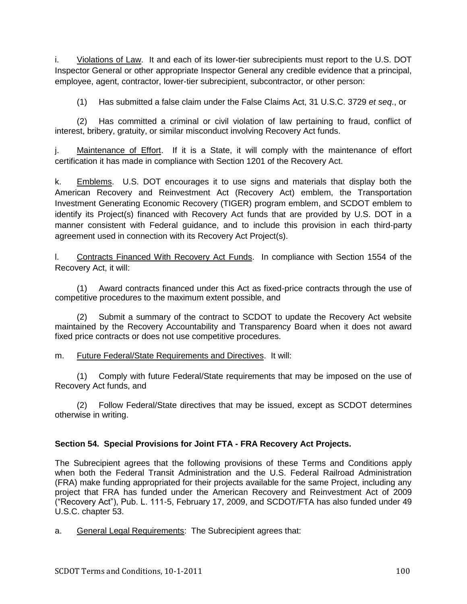i. Violations of Law. It and each of its lower-tier subrecipients must report to the U.S. DOT Inspector General or other appropriate Inspector General any credible evidence that a principal, employee, agent, contractor, lower-tier subrecipient, subcontractor, or other person:

(1) Has submitted a false claim under the False Claims Act, 31 U.S.C. 3729 *et seq*., or

(2) Has committed a criminal or civil violation of law pertaining to fraud, conflict of interest, bribery, gratuity, or similar misconduct involving Recovery Act funds.

j. Maintenance of Effort. If it is a State, it will comply with the maintenance of effort certification it has made in compliance with Section 1201 of the Recovery Act.

k. Emblems. U.S. DOT encourages it to use signs and materials that display both the American Recovery and Reinvestment Act (Recovery Act) emblem, the Transportation Investment Generating Economic Recovery (TIGER) program emblem, and SCDOT emblem to identify its Project(s) financed with Recovery Act funds that are provided by U.S. DOT in a manner consistent with Federal guidance, and to include this provision in each third-party agreement used in connection with its Recovery Act Project(s).

l. Contracts Financed With Recovery Act Funds. In compliance with Section 1554 of the Recovery Act, it will:

(1) Award contracts financed under this Act as fixed-price contracts through the use of competitive procedures to the maximum extent possible, and

(2) Submit a summary of the contract to SCDOT to update the Recovery Act website maintained by the Recovery Accountability and Transparency Board when it does not award fixed price contracts or does not use competitive procedures.

#### m. Future Federal/State Requirements and Directives. It will:

(1) Comply with future Federal/State requirements that may be imposed on the use of Recovery Act funds, and

(2) Follow Federal/State directives that may be issued, except as SCDOT determines otherwise in writing.

## **Section 54. Special Provisions for Joint FTA - FRA Recovery Act Projects.**

The Subrecipient agrees that the following provisions of these Terms and Conditions apply when both the Federal Transit Administration and the U.S. Federal Railroad Administration (FRA) make funding appropriated for their projects available for the same Project, including any project that FRA has funded under the American Recovery and Reinvestment Act of 2009 ("Recovery Act"), Pub. L. 111-5, February 17, 2009, and SCDOT/FTA has also funded under 49 U.S.C. chapter 53.

a. General Legal Requirements: The Subrecipient agrees that: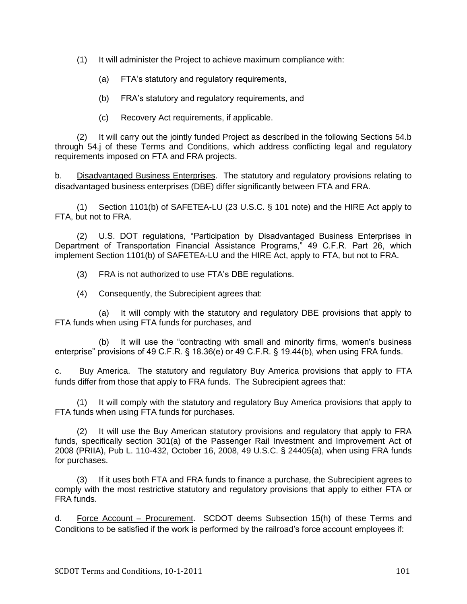(1) It will administer the Project to achieve maximum compliance with:

- (a) FTA's statutory and regulatory requirements,
- (b) FRA's statutory and regulatory requirements, and
- (c) Recovery Act requirements, if applicable.

(2) It will carry out the jointly funded Project as described in the following Sections 54.b through 54.j of these Terms and Conditions, which address conflicting legal and regulatory requirements imposed on FTA and FRA projects.

b. Disadvantaged Business Enterprises. The statutory and regulatory provisions relating to disadvantaged business enterprises (DBE) differ significantly between FTA and FRA.

(1) Section 1101(b) of SAFETEA-LU (23 U.S.C. § 101 note) and the HIRE Act apply to FTA, but not to FRA.

(2) U.S. DOT regulations, "Participation by Disadvantaged Business Enterprises in Department of Transportation Financial Assistance Programs," 49 C.F.R. Part 26, which implement Section 1101(b) of SAFETEA-LU and the HIRE Act, apply to FTA, but not to FRA.

- (3) FRA is not authorized to use FTA's DBE regulations.
- (4) Consequently, the Subrecipient agrees that:

 (a) It will comply with the statutory and regulatory DBE provisions that apply to FTA funds when using FTA funds for purchases, and

(b) It will use the "contracting with small and minority firms, women's business enterprise" provisions of 49 C.F.R. § 18.36(e) or 49 C.F.R. § 19.44(b), when using FRA funds.

c. Buy America. The statutory and regulatory Buy America provisions that apply to FTA funds differ from those that apply to FRA funds. The Subrecipient agrees that:

(1) It will comply with the statutory and regulatory Buy America provisions that apply to FTA funds when using FTA funds for purchases.

(2) It will use the Buy American statutory provisions and regulatory that apply to FRA funds, specifically section 301(a) of the Passenger Rail Investment and Improvement Act of 2008 (PRIIA), Pub L. 110-432, October 16, 2008, 49 U.S.C. § 24405(a), when using FRA funds for purchases.

(3) If it uses both FTA and FRA funds to finance a purchase, the Subrecipient agrees to comply with the most restrictive statutory and regulatory provisions that apply to either FTA or FRA funds.

d. Force Account – Procurement. SCDOT deems Subsection 15(h) of these Terms and Conditions to be satisfied if the work is performed by the railroad's force account employees if: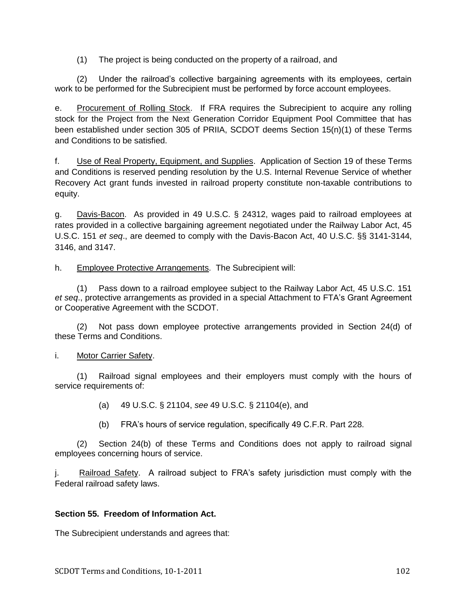(1) The project is being conducted on the property of a railroad, and

(2) Under the railroad's collective bargaining agreements with its employees, certain work to be performed for the Subrecipient must be performed by force account employees.

e. Procurement of Rolling Stock. If FRA requires the Subrecipient to acquire any rolling stock for the Project from the Next Generation Corridor Equipment Pool Committee that has been established under section 305 of PRIIA, SCDOT deems Section 15(n)(1) of these Terms and Conditions to be satisfied.

f. Use of Real Property, Equipment, and Supplies. Application of Section 19 of these Terms and Conditions is reserved pending resolution by the U.S. Internal Revenue Service of whether Recovery Act grant funds invested in railroad property constitute non-taxable contributions to equity.

g. Davis-Bacon. As provided in 49 U.S.C. § 24312, wages paid to railroad employees at rates provided in a collective bargaining agreement negotiated under the Railway Labor Act, 45 U.S.C. 151 *et seq*., are deemed to comply with the Davis-Bacon Act, 40 U.S.C. §§ 3141-3144, 3146, and 3147.

h. Employee Protective Arrangements. The Subrecipient will:

(1) Pass down to a railroad employee subject to the Railway Labor Act, 45 U.S.C. 151 *et seq*., protective arrangements as provided in a special Attachment to FTA's Grant Agreement or Cooperative Agreement with the SCDOT.

(2) Not pass down employee protective arrangements provided in Section 24(d) of these Terms and Conditions.

#### i. Motor Carrier Safety.

(1) Railroad signal employees and their employers must comply with the hours of service requirements of:

- (a) 49 U.S.C. § 21104, *see* 49 U.S.C. § 21104(e), and
- (b) FRA's hours of service regulation, specifically 49 C.F.R. Part 228.

(2) Section 24(b) of these Terms and Conditions does not apply to railroad signal employees concerning hours of service.

j. Railroad Safety. A railroad subject to FRA's safety jurisdiction must comply with the Federal railroad safety laws.

#### **Section 55. Freedom of Information Act.**

The Subrecipient understands and agrees that: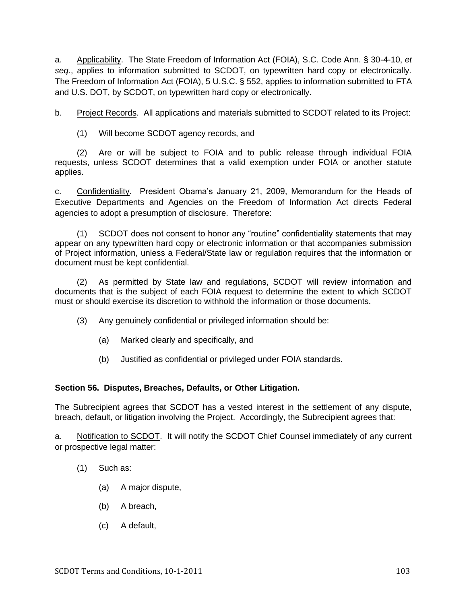a. Applicability. The State Freedom of Information Act (FOIA), S.C. Code Ann. § 30-4-10, *et seq*., applies to information submitted to SCDOT, on typewritten hard copy or electronically. The Freedom of Information Act (FOIA), 5 U.S.C. § 552, applies to information submitted to FTA and U.S. DOT, by SCDOT, on typewritten hard copy or electronically.

b. Project Records. All applications and materials submitted to SCDOT related to its Project:

(1) Will become SCDOT agency records, and

(2) Are or will be subject to FOIA and to public release through individual FOIA requests, unless SCDOT determines that a valid exemption under FOIA or another statute applies.

c. Confidentiality. President Obama's January 21, 2009, Memorandum for the Heads of Executive Departments and Agencies on the Freedom of Information Act directs Federal agencies to adopt a presumption of disclosure. Therefore:

(1) SCDOT does not consent to honor any "routine" confidentiality statements that may appear on any typewritten hard copy or electronic information or that accompanies submission of Project information, unless a Federal/State law or regulation requires that the information or document must be kept confidential.

(2) As permitted by State law and regulations, SCDOT will review information and documents that is the subject of each FOIA request to determine the extent to which SCDOT must or should exercise its discretion to withhold the information or those documents.

(3) Any genuinely confidential or privileged information should be:

- (a) Marked clearly and specifically, and
- (b) Justified as confidential or privileged under FOIA standards.

## **Section 56. Disputes, Breaches, Defaults, or Other Litigation.**

The Subrecipient agrees that SCDOT has a vested interest in the settlement of any dispute, breach, default, or litigation involving the Project. Accordingly, the Subrecipient agrees that:

a. Notification to SCDOT. It will notify the SCDOT Chief Counsel immediately of any current or prospective legal matter:

- (1) Such as:
	- (a) A major dispute,
	- (b) A breach,
	- (c) A default,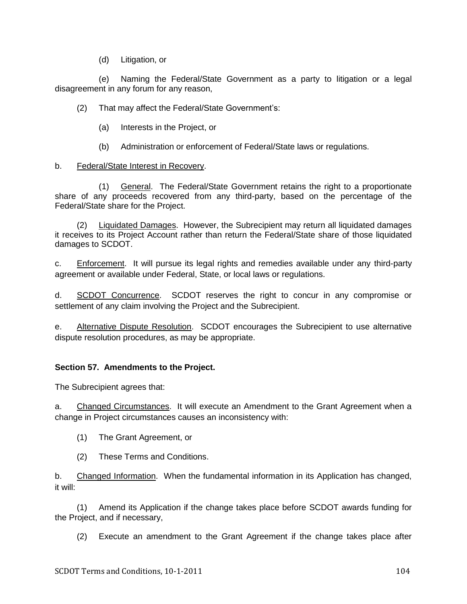(d) Litigation, or

 (e) Naming the Federal/State Government as a party to litigation or a legal disagreement in any forum for any reason,

(2) That may affect the Federal/State Government's:

- (a) Interests in the Project, or
- (b) Administration or enforcement of Federal/State laws or regulations.

#### b. Federal/State Interest in Recovery.

(1) General. The Federal/State Government retains the right to a proportionate share of any proceeds recovered from any third-party, based on the percentage of the Federal/State share for the Project.

(2) Liquidated Damages. However, the Subrecipient may return all liquidated damages it receives to its Project Account rather than return the Federal/State share of those liquidated damages to SCDOT.

c. Enforcement. It will pursue its legal rights and remedies available under any third-party agreement or available under Federal, State, or local laws or regulations.

d. SCDOT Concurrence. SCDOT reserves the right to concur in any compromise or settlement of any claim involving the Project and the Subrecipient.

e. Alternative Dispute Resolution. SCDOT encourages the Subrecipient to use alternative dispute resolution procedures, as may be appropriate.

#### **Section 57. Amendments to the Project.**

The Subrecipient agrees that:

a. Changed Circumstances. It will execute an Amendment to the Grant Agreement when a change in Project circumstances causes an inconsistency with:

- (1) The Grant Agreement, or
- (2) These Terms and Conditions.

b. Changed Information. When the fundamental information in its Application has changed, it will:

(1) Amend its Application if the change takes place before SCDOT awards funding for the Project, and if necessary,

(2) Execute an amendment to the Grant Agreement if the change takes place after